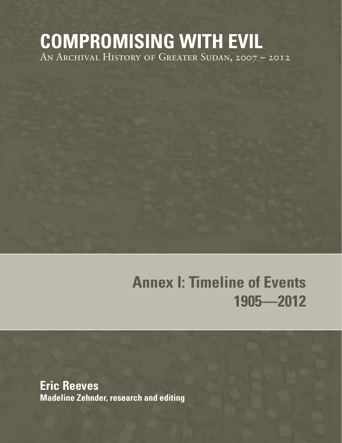## **COMPROMISING WITH EVIL** An Archival History of Greater Sudan, 2007 – 2012

# **Annex I: Timeline of Events 1905—2012**

**Eric Reeves Madeline Zehnder, research and editing**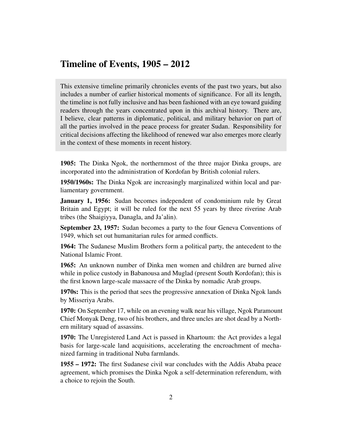## Timeline of Events, 1905 – 2012

This extensive timeline primarily chronicles events of the past two years, but also includes a number of earlier historical moments of significance. For all its length, the timeline is not fully inclusive and has been fashioned with an eye toward guiding readers through the years concentrated upon in this archival history. There are, I believe, clear patterns in diplomatic, political, and military behavior on part of all the parties involved in the peace process for greater Sudan. Responsibility for critical decisions affecting the likelihood of renewed war also emerges more clearly in the context of these moments in recent history.

1905: The Dinka Ngok, the northernmost of the three major Dinka groups, are incorporated into the administration of Kordofan by British colonial rulers.

1950/1960s: The Dinka Ngok are increasingly marginalized within local and parliamentary government.

January 1, 1956: Sudan becomes independent of condominium rule by Great Britain and Egypt; it will be ruled for the next 55 years by three riverine Arab tribes (the Shaigiyya, Danagla, and Ja'alin).

September 23, 1957: Sudan becomes a party to the four Geneva Conventions of 1949, which set out humanitarian rules for armed conflicts.

1964: The Sudanese Muslim Brothers form a political party, the antecedent to the National Islamic Front.

1965: An unknown number of Dinka men women and children are burned alive while in police custody in Babanousa and Muglad (present South Kordofan); this is the first known large-scale massacre of the Dinka by nomadic Arab groups.

1970s: This is the period that sees the progressive annexation of Dinka Ngok lands by Misseriya Arabs.

1970: On September 17, while on an evening walk near his village, Ngok Paramount Chief Monyak Deng, two of his brothers, and three uncles are shot dead by a Northern military squad of assassins.

1970: The Unregistered Land Act is passed in Khartoum: the Act provides a legal basis for large-scale land acquisitions, accelerating the encroachment of mechanized farming in traditional Nuba farmlands.

1955 – 1972: The first Sudanese civil war concludes with the Addis Ababa peace agreement, which promises the Dinka Ngok a self-determination referendum, with a choice to rejoin the South.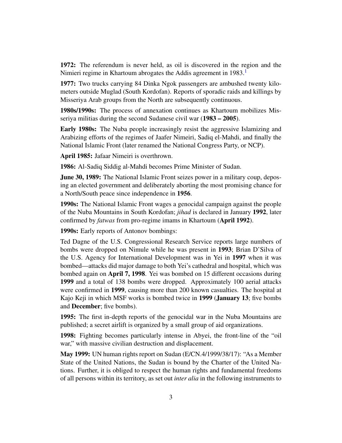<span id="page-2-0"></span>1972: The referendum is never held, as oil is discovered in the region and the Nimieri regime in Khartoum abrogates the Addis agreement in [1](#page-62-0)983.<sup>1</sup>

1977: Two trucks carrying 84 Dinka Ngok passengers are ambushed twenty kilometers outside Muglad (South Kordofan). Reports of sporadic raids and killings by Misseriya Arab groups from the North are subsequently continuous.

1980s/1990s: The process of annexation continues as Khartoum mobilizes Misseriya militias during the second Sudanese civil war (1983 – 2005).

Early 1980s: The Nuba people increasingly resist the aggressive Islamizing and Arabizing efforts of the regimes of Jaafer Nimeiri, Sadiq el-Mahdi, and finally the National Islamic Front (later renamed the National Congress Party, or NCP).

April 1985: Jafaar Nimeiri is overthrown.

1986: Al-Sadiq Siddig al-Mahdi becomes Prime Minister of Sudan.

**June 30, 1989:** The National Islamic Front seizes power in a military coup, deposing an elected government and deliberately aborting the most promising chance for a North/South peace since independence in 1956.

1990s: The National Islamic Front wages a genocidal campaign against the people of the Nuba Mountains in South Kordofan; *jihad* is declared in January 1992, later confirmed by *fatwas* from pro-regime imams in Khartoum (April 1992).

1990s: Early reports of Antonov bombings:

Ted Dagne of the U.S. Congressional Research Service reports large numbers of bombs were dropped on Nimule while he was present in 1993; Brian D'Silva of the U.S. Agency for International Development was in Yei in 1997 when it was bombed—attacks did major damage to both Yei's cathedral and hospital, which was bombed again on April 7, 1998. Yei was bombed on 15 different occasions during 1999 and a total of 138 bombs were dropped. Approximately 100 aerial attacks were confirmed in 1999, causing more than 200 known casualties. The hospital at Kajo Keji in which MSF works is bombed twice in 1999 (January 13; five bombs and December; five bombs).

1995: The first in-depth reports of the genocidal war in the Nuba Mountains are published; a secret airlift is organized by a small group of aid organizations.

1998: Fighting becomes particularly intense in Abyei, the front-line of the "oil war," with massive civilian destruction and displacement.

May 1999: UN human rights report on Sudan (E/CN.4/1999/38/17): "As a Member State of the United Nations, the Sudan is bound by the Charter of the United Nations. Further, it is obliged to respect the human rights and fundamental freedoms of all persons within its territory, as set out *inter alia* in the following instruments to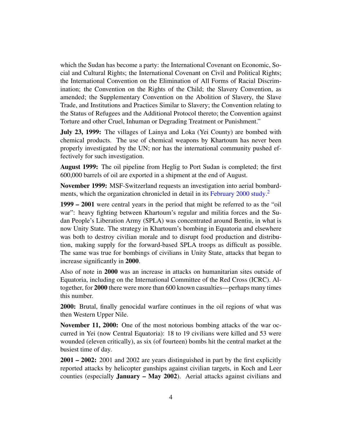which the Sudan has become a party: the International Covenant on Economic, Social and Cultural Rights; the International Covenant on Civil and Political Rights; the International Convention on the Elimination of All Forms of Racial Discrimination; the Convention on the Rights of the Child; the Slavery Convention, as amended; the Supplementary Convention on the Abolition of Slavery, the Slave Trade, and Institutions and Practices Similar to Slavery; the Convention relating to the Status of Refugees and the Additional Protocol thereto; the Convention against Torture and other Cruel, Inhuman or Degrading Treatment or Punishment."

July 23, 1999: The villages of Lainya and Loka (Yei County) are bombed with chemical products. The use of chemical weapons by Khartoum has never been properly investigated by the UN; nor has the international community pushed effectively for such investigation.

August 1999: The oil pipeline from Heglig to Port Sudan is completed; the first 600,000 barrels of oil are exported in a shipment at the end of August.

<span id="page-3-0"></span>November 1999: MSF-Switzerland requests an investigation into aerial bombard-ments, which the organization chronicled in detail in its [February 2000 study.](http://docs.google.com/viewer?a=v&q=cache:cyzQOddXzYQJ:www.aerzte-ohne-grenzen.de/_media/pdf/sudan/2000/2000-02-sudan-report-aerial-bombardments.pdf+msf+switzerland+sudan+equatoria+aerial+bombardment&hl=en&gl=us&pid=bl&srcid=ADGEESirOwR1ojS4qfbYQ-vmoHIFnkts0b2Q3E0lWEoPoTA7B6m8te8_shiWg1wraue-yq0020MnrLWW5Y1IhwtqZQg3ZYW_wTT6CDgqn9z5jZafNuvuIlPu0lCALXzWpyD2BIqjBIMp&sig=AHIEtbSjmM831ikEARGIVxtCo9sWiYlzMA)<sup>[2](#page-62-1)</sup>

1999 – 2001 were central years in the period that might be referred to as the "oil war": heavy fighting between Khartoum's regular and militia forces and the Sudan People's Liberation Army (SPLA) was concentrated around Bentiu, in what is now Unity State. The strategy in Khartoum's bombing in Equatoria and elsewhere was both to destroy civilian morale and to disrupt food production and distribution, making supply for the forward-based SPLA troops as difficult as possible. The same was true for bombings of civilians in Unity State, attacks that began to increase significantly in 2000.

Also of note in 2000 was an increase in attacks on humanitarian sites outside of Equatoria, including on the International Committee of the Red Cross (ICRC). Altogether, for 2000 there were more than 600 known casualties—perhaps many times this number.

2000: Brutal, finally genocidal warfare continues in the oil regions of what was then Western Upper Nile.

November 11, 2000: One of the most notorious bombing attacks of the war occurred in Yei (now Central Equatoria): 18 to 19 civilians were killed and 53 were wounded (eleven critically), as six (of fourteen) bombs hit the central market at the busiest time of day.

2001 – 2002: 2001 and 2002 are years distinguished in part by the first explicitly reported attacks by helicopter gunships against civilian targets, in Koch and Leer counties (especially January – May 2002). Aerial attacks against civilians and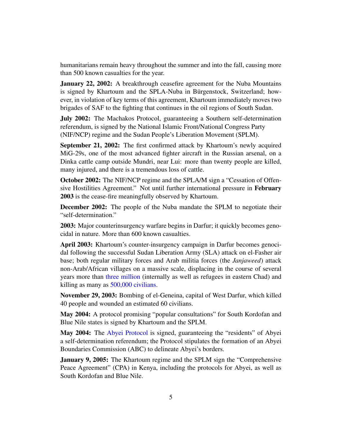humanitarians remain heavy throughout the summer and into the fall, causing more than 500 known casualties for the year.

**January 22, 2002:** A breakthrough ceasefire agreement for the Nuba Mountains is signed by Khartoum and the SPLA-Nuba in Bürgenstock, Switzerland; however, in violation of key terms of this agreement, Khartoum immediately moves two brigades of SAF to the fighting that continues in the oil regions of South Sudan.

July 2002: The Machakos Protocol, guaranteeing a Southern self-determination referendum, is signed by the National Islamic Front/National Congress Party (NIF/NCP) regime and the Sudan People's Liberation Movement (SPLM).

September 21, 2002: The first confirmed attack by Khartoum's newly acquired MiG-29s, one of the most advanced fighter aircraft in the Russian arsenal, on a Dinka cattle camp outside Mundri, near Lui: more than twenty people are killed, many injured, and there is a tremendous loss of cattle.

October 2002: The NIF/NCP regime and the SPLA/M sign a "Cessation of Offensive Hostilities Agreement." Not until further international pressure in February 2003 is the cease-fire meaningfully observed by Khartoum.

December 2002: The people of the Nuba mandate the SPLM to negotiate their "self-determination."

2003: Major counterinsurgency warfare begins in Darfur; it quickly becomes genocidal in nature. More than 600 known casualties.

April 2003: Khartoum's counter-insurgency campaign in Darfur becomes genocidal following the successful Sudan Liberation Army (SLA) attack on el-Fasher air base; both regular military forces and Arab militia forces (the *Janjaweed*) attack non-Arab/African villages on a massive scale, displacing in the course of several years more than [three million](http://reliefweb.int/node/418828) (internally as well as refugees in eastern Chad) and killing as many as [500,000 civilians.](http://www.sudanreeves.org/2011/12/30/2010/08/07/quantifying-genocide-darfur-mortality-update-august-6-2010/)

November 29, 2003: Bombing of el-Geneina, capital of West Darfur, which killed 40 people and wounded an estimated 60 civilians.

May 2004: A protocol promising "popular consultations" for South Kordofan and Blue Nile states is signed by Khartoum and the SPLM.

May 2004: The [Abyei Protocol](http://reliefweb.int/node/147977) is signed, guaranteeing the "residents" of Abyei a self-determination referendum; the Protocol stipulates the formation of an Abyei Boundaries Commission (ABC) to delineate Abyei's borders.

January 9, 2005: The Khartoum regime and the SPLM sign the "Comprehensive" Peace Agreement" (CPA) in Kenya, including the protocols for Abyei, as well as South Kordofan and Blue Nile.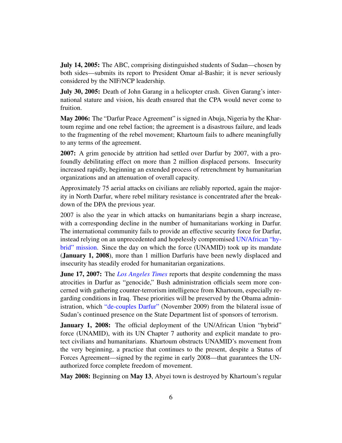July 14, 2005: The ABC, comprising distinguished students of Sudan—chosen by both sides—submits its report to President Omar al-Bashir; it is never seriously considered by the NIF/NCP leadership.

July 30, 2005: Death of John Garang in a helicopter crash. Given Garang's international stature and vision, his death ensured that the CPA would never come to fruition.

May 2006: The "Darfur Peace Agreement" is signed in Abuja, Nigeria by the Khartoum regime and one rebel faction; the agreement is a disastrous failure, and leads to the fragmenting of the rebel movement; Khartoum fails to adhere meaningfully to any terms of the agreement.

2007: A grim genocide by attrition had settled over Darfur by 2007, with a profoundly debilitating effect on more than 2 million displaced persons. Insecurity increased rapidly, beginning an extended process of retrenchment by humanitarian organizations and an attenuation of overall capacity.

Approximately 75 aerial attacks on civilians are reliably reported, again the majority in North Darfur, where rebel military resistance is concentrated after the breakdown of the DPA the previous year.

2007 is also the year in which attacks on humanitarians begin a sharp increase, with a corresponding decline in the number of humanitarians working in Darfur. The international community fails to provide an effective security force for Darfur, instead relying on an unprecedented and hopelessly compromised [UN/African "hy](http://www.sudanreeves.org/2011/12/30/2007/09/24/darfur-remains-adrift-a-skeptical-assessment-of-resolution-1769/)[brid" mission.](http://www.sudanreeves.org/2011/12/30/2007/09/24/darfur-remains-adrift-a-skeptical-assessment-of-resolution-1769/) Since the day on which the force (UNAMID) took up its mandate (January 1, 2008), more than 1 million Darfuris have been newly displaced and insecurity has steadily eroded for humanitarian organizations.

June 17, 2007: The *[Los Angeles Times](http://articles.latimes.com/2007/jun/11/world/fg-ussudan11)* reports that despite condemning the mass atrocities in Darfur as "genocide," Bush administration officials seem more concerned with gathering counter-terrorism intelligence from Khartoum, especially regarding conditions in Iraq. These priorities will be preserved by the Obama admin-istration, which ["de-couples Darfur"](http://www.sudanreeves.org/2011/09/18/“the-obama-administration-‘de-couples’-darfur-from-key-negotiating-issue”/) (November 2009) from the bilateral issue of Sudan's continued presence on the State Department list of sponsors of terrorism.

**January 1, 2008:** The official deployment of the UN/African Union "hybrid" force (UNAMID), with its UN Chapter 7 authority and explicit mandate to protect civilians and humanitarians. Khartoum obstructs UNAMID's movement from the very beginning, a practice that continues to the present, despite a Status of Forces Agreement—signed by the regime in early 2008—that guarantees the UNauthorized force complete freedom of movement.

May 2008: Beginning on May 13, Abyei town is destroyed by Khartoum's regular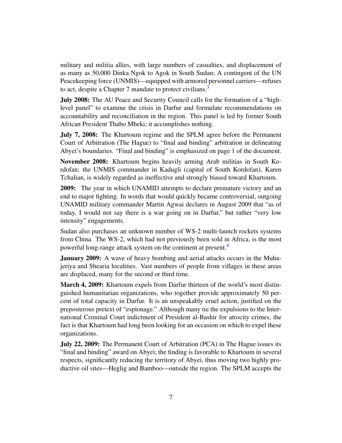military and militia allies, with large numbers of casualties, and displacement of as many as 50,000 Dinka Ngok to Agok in South Sudan; A contingent of the UN Peacekeeping force (UNMIS)—equipped with armored personnel carriers—refuses to act, despite a Chapter 7 mandate to protect civilians.<sup>[3](#page-62-2)</sup>

<span id="page-6-0"></span>July 2008: The AU Peace and Security Council calls for the formation of a "highlevel panel" to examine the crisis in Darfur and formulate recommendations on accountability and reconciliation in the region. This panel is led by former South African President Thabo Mbeki; it accomplishes nothing.

July 7, 2008: The Khartoum regime and the SPLM agree before the Permanent Court of Arbitration (The Hague) to "final and binding" arbitration in delineating Abyei's boundaries. "Final and binding" is emphasized on page 1 of the document.

November 2008: Khartoum begins heavily arming Arab militias in South Kordofan; the UNMIS commander in Kadugli (capital of South Kordofan), Karen Tchalian, is widely regarded as ineffective and strongly biased toward Khartoum.

2009: The year in which UNAMID attempts to declare premature victory and an end to major fighting. In words that would quickly became controversial, outgoing UNAMID military commander Martin Agwai declares in August 2009 that "as of today, I would not say there is a war going on in Darfur," but rather "very low intensity" engagements.

<span id="page-6-1"></span>Sudan also purchases an unknown number of WS-2 multi-launch rockets systems from China. The WS-2, which had not previously been sold in Africa, is the most powerful long-range attack system on the continent at present.<sup>[4](#page-62-3)</sup>

**January 2009:** A wave of heavy bombing and aerial attacks occurs in the Muhajeriya and Shearia localities. Vast numbers of people from villages in these areas are displaced, many for the second or third time.

March 4, 2009: Khartoum expels from Darfur thirteen of the world's most distinguished humanitarian organizations, who together provide approximately 50 percent of total capacity in Darfur. It is an unspeakably cruel action, justified on the preposterous pretext of "espionage." Although many tie the expulsions to the International Criminal Court indictment of President al-Bashir for atrocity crimes, the fact is that Khartoum had long been looking for an occasion on which to expel these organizations.

July 22, 2009: The Permanent Court of Arbitration (PCA) in The Hague issues its "final and binding" award on Abyei; the finding is favorable to Khartoum in several respects, significantly reducing the territory of Abyei, thus moving two highly productive oil sites—Heglig and Bamboo—outside the region. The SPLM accepts the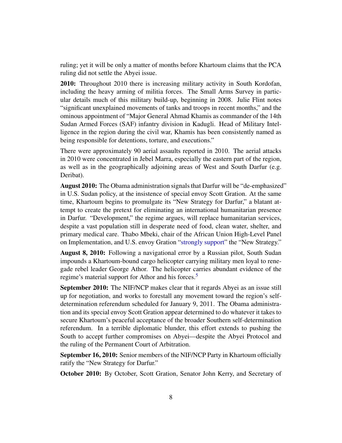ruling; yet it will be only a matter of months before Khartoum claims that the PCA ruling did not settle the Abyei issue.

2010: Throughout 2010 there is increasing military activity in South Kordofan, including the heavy arming of militia forces. The Small Arms Survey in particular details much of this military build-up, beginning in 2008. Julie Flint notes "significant unexplained movements of tanks and troops in recent months," and the ominous appointment of "Major General Ahmad Khamis as commander of the 14th Sudan Armed Forces (SAF) infantry division in Kadugli. Head of Military Intelligence in the region during the civil war, Khamis has been consistently named as being responsible for detentions, torture, and executions."

There were approximately 90 aerial assaults reported in 2010. The aerial attacks in 2010 were concentrated in Jebel Marra, especially the eastern part of the region, as well as in the geographically adjoining areas of West and South Darfur (e.g. Deribat).

August 2010: The Obama administration signals that Darfur will be "de-emphasized" in U.S. Sudan policy, at the insistence of special envoy Scott Gration. At the same time, Khartoum begins to promulgate its "New Strategy for Darfur," a blatant attempt to create the pretext for eliminating an international humanitarian presence in Darfur. "Development," the regime argues, will replace humanitarian services, despite a vast population still in desperate need of food, clean water, shelter, and primary medical care. Thabo Mbeki, chair of the African Union High-Level Panel on Implementation, and U.S. envoy Gration ["strongly support"](http://www.dissentmagazine.org/online.php?id=394) the "New Strategy."

August 8, 2010: Following a navigational error by a Russian pilot, South Sudan impounds a Khartoum-bound cargo helicopter carrying military men loyal to renegade rebel leader George Athor. The helicopter carries abundant evidence of the regime's material support for Athor and his forces.<sup>[5](#page-62-4)</sup>

<span id="page-7-0"></span>September 2010: The NIF/NCP makes clear that it regards Abyei as an issue still up for negotiation, and works to forestall any movement toward the region's selfdetermination referendum scheduled for January 9, 2011. The Obama administration and its special envoy Scott Gration appear determined to do whatever it takes to secure Khartoum's peaceful acceptance of the broader Southern self-determination referendum. In a terrible diplomatic blunder, this effort extends to pushing the South to accept further compromises on Abyei—despite the Abyei Protocol and the ruling of the Permanent Court of Arbitration.

September 16, 2010: Senior members of the NIF/NCP Party in Khartoum officially ratify the "New Strategy for Darfur."

October 2010: By October, Scott Gration, Senator John Kerry, and Secretary of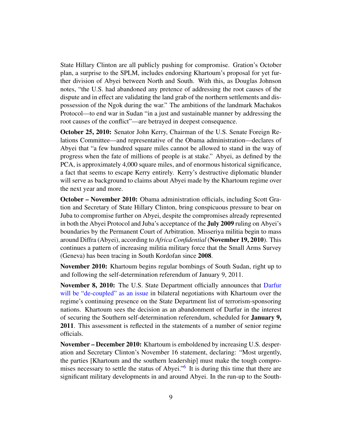State Hillary Clinton are all publicly pushing for compromise. Gration's October plan, a surprise to the SPLM, includes endorsing Khartoum's proposal for yet further division of Abyei between North and South. With this, as Douglas Johnson notes, "the U.S. had abandoned any pretence of addressing the root causes of the dispute and in effect are validating the land grab of the northern settlements and dispossession of the Ngok during the war." The ambitions of the landmark Machakos Protocol—to end war in Sudan "in a just and sustainable manner by addressing the root causes of the conflict"—are betrayed in deepest consequence.

October 25, 2010: Senator John Kerry, Chairman of the U.S. Senate Foreign Relations Committee—and representative of the Obama administration—declares of Abyei that "a few hundred square miles cannot be allowed to stand in the way of progress when the fate of millions of people is at stake." Abyei, as defined by the PCA, is approximately 4,000 square miles, and of enormous historical significance, a fact that seems to escape Kerry entirely. Kerry's destructive diplomatic blunder will serve as background to claims about Abyei made by the Khartoum regime over the next year and more.

October – November 2010: Obama administration officials, including Scott Gration and Secretary of State Hillary Clinton, bring conspicuous pressure to bear on Juba to compromise further on Abyei, despite the compromises already represented in both the Abyei Protocol and Juba's acceptance of the July 2009 ruling on Abyei's boundaries by the Permanent Court of Arbitration. Misseriya militia begin to mass around Diffra (Abyei), according to *Africa Confidential* (November 19, 2010). This continues a pattern of increasing militia military force that the Small Arms Survey (Geneva) has been tracing in South Kordofan since 2008.

November 2010: Khartoum begins regular bombings of South Sudan, right up to and following the self-determination referendum of January 9, 2011.

November 8, 2010: The U.S. State Department officially announces that [Darfur](http://geneva.usmission.gov/2010/11/09/senior-administration-officials-on-developments-in-sudan/) [will be "de-coupled" as an issue](http://geneva.usmission.gov/2010/11/09/senior-administration-officials-on-developments-in-sudan/) in bilateral negotiations with Khartoum over the regime's continuing presence on the State Department list of terrorism-sponsoring nations. Khartoum sees the decision as an abandonment of Darfur in the interest of securing the Southern self-determination referendum, scheduled for January 9, 2011. This assessment is reflected in the statements of a number of senior regime officials.

<span id="page-8-0"></span>November – December 2010: Khartoum is emboldened by increasing U.S. desperation and Secretary Clinton's November 16 statement, declaring: "Most urgently, the parties [Khartoum and the southern leadership] must make the tough compro-mises necessary to settle the status of Abyei."<sup>[6](#page-62-5)</sup> It is during this time that there are significant military developments in and around Abyei. In the run-up to the South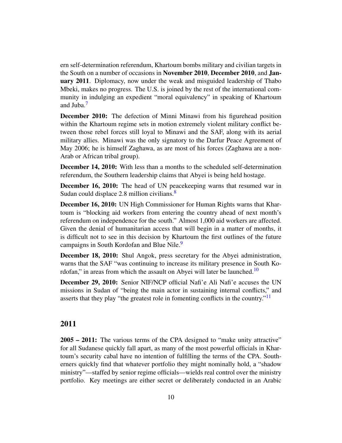ern self-determination referendum, Khartoum bombs military and civilian targets in the South on a number of occasions in November 2010, December 2010, and January 2011. Diplomacy, now under the weak and misguided leadership of Thabo Mbeki, makes no progress. The U.S. is joined by the rest of the international community in indulging an expedient "moral equivalency" in speaking of Khartoum and Juba.[7](#page-62-6)

<span id="page-9-0"></span>December 2010: The defection of Minni Minawi from his figurehead position within the Khartoum regime sets in motion extremely violent military conflict between those rebel forces still loyal to Minawi and the SAF, along with its aerial military allies. Minawi was the only signatory to the Darfur Peace Agreement of May 2006; he is himself Zaghawa, as are most of his forces (Zaghawa are a non-Arab or African tribal group).

December 14, 2010: With less than a months to the scheduled self-determination referendum, the Southern leadership claims that Abyei is being held hostage.

<span id="page-9-1"></span>December 16, 2010: The head of UN peacekeeping warns that resumed war in Sudan could displace 2.[8](#page-62-7) million civilians.<sup>8</sup>

December 16, 2010: UN High Commissioner for Human Rights warns that Khartoum is "blocking aid workers from entering the country ahead of next month's referendum on independence for the south." Almost 1,000 aid workers are affected. Given the denial of humanitarian access that will begin in a matter of months, it is difficult not to see in this decision by Khartoum the first outlines of the future campaigns in South Kordofan and Blue Nile.<sup>[9](#page-62-8)</sup>

<span id="page-9-2"></span>December 18, 2010: Shul Angok, press secretary for the Abyei administration, warns that the SAF "was continuing to increase its military presence in South Ko-rdofan," in areas from which the assault on Abyei will later be launched.<sup>[10](#page-62-9)</sup>

<span id="page-9-4"></span><span id="page-9-3"></span>December 29, 2010: Senior NIF/NCP official Nafi'e Ali Nafi'e accuses the UN missions in Sudan of "being the main actor in sustaining internal conflicts," and asserts that they play "the greatest role in fomenting conflicts in the country."<sup>[11](#page-62-10)</sup>

#### 2011

2005 – 2011: The various terms of the CPA designed to "make unity attractive" for all Sudanese quickly fall apart, as many of the most powerful officials in Khartoum's security cabal have no intention of fulfilling the terms of the CPA. Southerners quickly find that whatever portfolio they might nominally hold, a "shadow ministry"—staffed by senior regime officials—wields real control over the ministry portfolio. Key meetings are either secret or deliberately conducted in an Arabic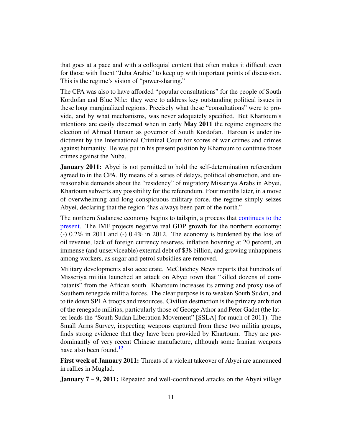that goes at a pace and with a colloquial content that often makes it difficult even for those with fluent "Juba Arabic" to keep up with important points of discussion. This is the regime's vision of "power-sharing."

The CPA was also to have afforded "popular consultations" for the people of South Kordofan and Blue Nile: they were to address key outstanding political issues in these long marginalized regions. Precisely what these "consultations" were to provide, and by what mechanisms, was never adequately specified. But Khartoum's intentions are easily discerned when in early May 2011 the regime engineers the election of Ahmed Haroun as governor of South Kordofan. Haroun is under indictment by the International Criminal Court for scores of war crimes and crimes against humanity. He was put in his present position by Khartoum to continue those crimes against the Nuba.

January 2011: Abyei is not permitted to hold the self-determination referendum agreed to in the CPA. By means of a series of delays, political obstruction, and unreasonable demands about the "residency" of migratory Misseriya Arabs in Abyei, Khartoum subverts any possibility for the referendum. Four months later, in a move of overwhelming and long conspicuous military force, the regime simply seizes Abyei, declaring that the region "has always been part of the north."

The northern Sudanese economy begins to tailspin, a process that [continues to the](http://www.guardian.co.uk/global-development/poverty-matters/2011/aug/01/sudan-economic-distress-khartoum) [present.](http://www.guardian.co.uk/global-development/poverty-matters/2011/aug/01/sudan-economic-distress-khartoum) The IMF projects negative real GDP growth for the northern economy:  $(-)$  0.2% in 2011 and  $(-)$  0.4% in 2012. The economy is burdened by the loss of oil revenue, lack of foreign currency reserves, inflation hovering at 20 percent, an immense (and unserviceable) external debt of \$38 billion, and growing unhappiness among workers, as sugar and petrol subsidies are removed.

Military developments also accelerate. McClatchey News reports that hundreds of Misseriya militia launched an attack on Abyei town that "killed dozens of combatants" from the African south. Khartoum increases its arming and proxy use of Southern renegade militia forces. The clear purpose is to weaken South Sudan, and to tie down SPLA troops and resources. Civilian destruction is the primary ambition of the renegade militias, particularly those of George Athor and Peter Gadet (the latter leads the "South Sudan Liberation Movement" [SSLA] for much of 2011). The Small Arms Survey, inspecting weapons captured from these two militia groups, finds strong evidence that they have been provided by Khartoum. They are predominantly of very recent Chinese manufacture, although some Iranian weapons have also been found.<sup>[12](#page-62-11)</sup>

<span id="page-10-0"></span>First week of January 2011: Threats of a violent takeover of Abyei are announced in rallies in Muglad.

**January 7 – 9, 2011:** Repeated and well-coordinated attacks on the Abyei village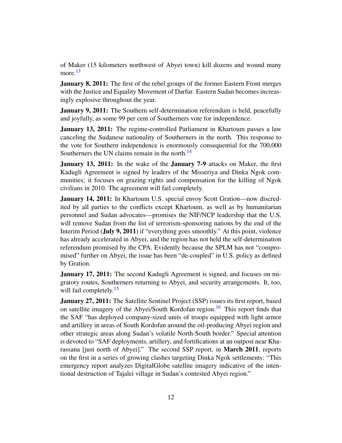<span id="page-11-0"></span>of Maker (15 kilometers northwest of Abyei town) kill dozens and wound many more <sup>[13](#page-62-12)</sup>

**January 8, 2011:** The first of the rebel groups of the former Eastern Front merges with the Justice and Equality Movement of Darfur. Eastern Sudan becomes increasingly explosive throughout the year.

January 9, 2011: The Southern self-determination referendum is held, peacefully and joyfully, as some 99 per cent of Southerners vote for independence.

January 13, 2011: The regime-controlled Parliament in Khartoum passes a law canceling the Sudanese nationality of Southerners in the north. This response to the vote for Southern independence is enormously consequential for the 700,000 Southerners the UN claims remain in the north. $^{14}$  $^{14}$  $^{14}$ 

<span id="page-11-1"></span>**January 13, 2011:** In the wake of the **January 7-9** attacks on Maker, the first Kadugli Agreement is signed by leaders of the Misseriya and Dinka Ngok communities; it focuses on grazing rights and compensation for the killing of Ngok civilians in 2010. The agreement will fail completely.

January 14, 2011: In Khartoum U.S. special envoy Scott Gration—now discredited by all parties to the conflicts except Khartoum, as well as by humanitarian personnel and Sudan advocates—promises the NIF/NCP leadership that the U.S. will remove Sudan from the list of terrorism-sponsoring nations by the end of the Interim Period (July 9, 2011) if "everything goes smoothly." At this point, violence has already accelerated in Abyei, and the region has not held the self-determination referendum promised by the CPA. Evidently because the SPLM has not "compromised" further on Abyei, the issue has been "de-coupled" in U.S. policy as defined by Gration.

<span id="page-11-2"></span>**January 17, 2011:** The second Kadugli Agreement is signed, and focuses on migratory routes, Southerners returning to Abyei, and security arrangements. It, too, will fail completely.<sup>[15](#page-63-1)</sup>

<span id="page-11-3"></span>January 27, 2011: The Satellite Sentinel Project (SSP) issues its first report, based on satellite imagery of the Abyei/South Kordofan region.<sup>[16](#page-63-2)</sup> This report finds that the SAF "has deployed company-sized units of troops equipped with light armor and artillery in areas of South Kordofan around the oil-producing Abyei region and other strategic areas along Sudan's volatile North-South border." Special attention is devoted to "SAF deployments, artillery, and fortifications at an outpost near Kharassana [just north of Abyei]." The second SSP report, in **March 2011**, reports on the first in a series of growing clashes targeting Dinka Ngok settlements: "This emergency report analyzes DigitalGlobe satellite imagery indicative of the intentional destruction of Tajalei village in Sudan's contested Abyei region."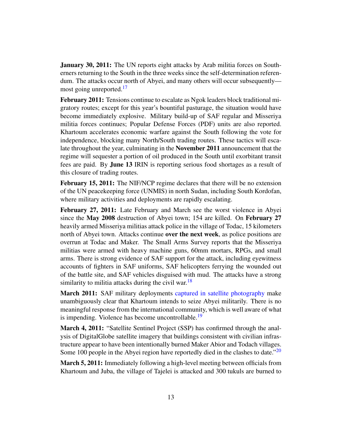**January 30, 2011:** The UN reports eight attacks by Arab militia forces on Southerners returning to the South in the three weeks since the self-determination referendum. The attacks occur north of Abyei, and many others will occur subsequently— most going unreported.<sup>[17](#page-63-3)</sup>

<span id="page-12-0"></span>February 2011: Tensions continue to escalate as Ngok leaders block traditional migratory routes; except for this year's bountiful pasturage, the situation would have become immediately explosive. Military build-up of SAF regular and Misseriya militia forces continues; Popular Defense Forces (PDF) units are also reported. Khartoum accelerates economic warfare against the South following the vote for independence, blocking many North/South trading routes. These tactics will escalate throughout the year, culminating in the November 2011 announcement that the regime will sequester a portion of oil produced in the South until exorbitant transit fees are paid. By June 13 IRIN is reporting serious food shortages as a result of this closure of trading routes.

February 15, 2011: The NIF/NCP regime declares that there will be no extension of the UN peacekeeping force (UNMIS) in north Sudan, including South Kordofan, where military activities and deployments are rapidly escalating.

February 27, 2011: Late February and March see the worst violence in Abyei since the May 2008 destruction of Abyei town; 154 are killed. On February 27 heavily armed Misseriya militias attack police in the village of Todac, 15 kilometers north of Abyei town. Attacks continue **over the next week**, as police positions are overrun at Todac and Maker. The Small Arms Survey reports that the Misseriya militias were armed with heavy machine guns, 60mm mortars, RPGs, and small arms. There is strong evidence of SAF support for the attack, including eyewitness accounts of fighters in SAF uniforms, SAF helicopters ferrying the wounded out of the battle site, and SAF vehicles disguised with mud. The attacks have a strong similarity to militia attacks during the civil war.<sup>[18](#page-63-4)</sup>

<span id="page-12-1"></span>March 2011: SAF military deployments [captured in satellite photography](http://www.satsentinel.org/imagery/frontline-abyei) make unambiguously clear that Khartoum intends to seize Abyei militarily. There is no meaningful response from the international community, which is well aware of what is impending. Violence has become uncontrollable.<sup>[19](#page-63-5)</sup>

<span id="page-12-2"></span>March 4, 2011: "Satellite Sentinel Project (SSP) has confirmed through the analysis of DigitalGlobe satellite imagery that buildings consistent with civilian infrastructure appear to have been intentionally burned Maker Abior and Todach villages. Some 100 people in the Abyei region have reportedly died in the clashes to date.<sup>"[20](#page-63-6)</sup>

<span id="page-12-3"></span>March 5, 2011: Immediately following a high-level meeting between officials from Khartoum and Juba, the village of Tajelei is attacked and 300 tukuls are burned to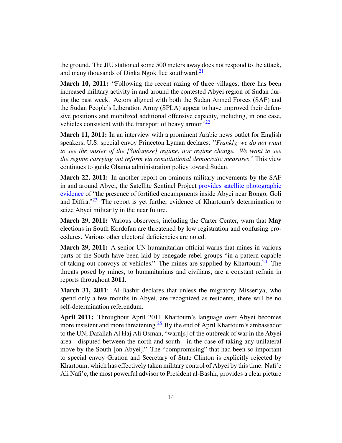<span id="page-13-0"></span>the ground. The JIU stationed some 500 meters away does not respond to the attack, and many thousands of Dinka Ngok flee southward.<sup>[21](#page-63-7)</sup>

March 10, 2011: "Following the recent razing of three villages, there has been increased military activity in and around the contested Abyei region of Sudan during the past week. Actors aligned with both the Sudan Armed Forces (SAF) and the Sudan People's Liberation Army (SPLA) appear to have improved their defensive positions and mobilized additional offensive capacity, including, in one case, vehicles consistent with the transport of heavy armor."<sup>[22](#page-63-8)</sup>

<span id="page-13-1"></span>**March 11, 2011:** In an interview with a prominent Arabic news outlet for English speakers, U.S. special envoy Princeton Lyman declares: "*Frankly, we do not want to see the ouster of the [Sudanese] regime, nor regime change. We want to see the regime carrying out reform via constitutional democratic measures*." This view continues to guide Obama administration policy toward Sudan.

<span id="page-13-2"></span>March 22, 2011: In another report on ominous military movements by the SAF in and around Abyei, the Satellite Sentinel Project [provides satellite photographic](http://www.satsentinel.org/report/abyei-incursion-evidence-northern-aligned-forces-deployed-abyei-region) [evidence](http://www.satsentinel.org/report/abyei-incursion-evidence-northern-aligned-forces-deployed-abyei-region) of "the presence of fortified encampments inside Abyei near Bongo, Goli and Diffra."<sup>[23](#page-63-9)</sup> The report is yet further evidence of Khartoum's determination to seize Abyei militarily in the near future.

March 29, 2011: Various observers, including the Carter Center, warn that May elections in South Kordofan are threatened by low registration and confusing procedures. Various other electoral deficiencies are noted.

<span id="page-13-3"></span>March 29, 2011: A senior UN humanitarian official warns that mines in various parts of the South have been laid by renegade rebel groups "in a pattern capable of taking out convoys of vehicles." The mines are supplied by Khartoum.<sup>[24](#page-63-10)</sup> The threats posed by mines, to humanitarians and civilians, are a constant refrain in reports throughout 2011.

March 31, 2011: Al-Bashir declares that unless the migratory Misseriya, who spend only a few months in Abyei, are recognized as residents, there will be no self-determination referendum.

<span id="page-13-4"></span>April 2011: Throughout April 2011 Khartoum's language over Abyei becomes more insistent and more threatening.<sup>[25](#page-63-11)</sup> By the end of April Khartoum's ambassador to the UN, Dafallah Al Haj Ali Osman, "warn[s] of the outbreak of war in the Abyei area—disputed between the north and south—in the case of taking any unilateral move by the South [on Abyei]." The "compromising" that had been so important to special envoy Gration and Secretary of State Clinton is explicitly rejected by Khartoum, which has effectively taken military control of Abyei by this time. Nafi'e Ali Nafi'e, the most powerful advisor to President al-Bashir, provides a clear picture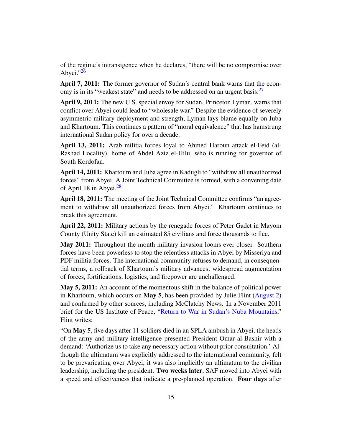<span id="page-14-0"></span>of the regime's intransigence when he declares, "there will be no compromise over Abyei." $26$ 

<span id="page-14-1"></span>April 7, 2011: The former governor of Sudan's central bank warns that the econ-omy is in its "weakest state" and needs to be addressed on an urgent basis.<sup>[27](#page-63-13)</sup>

April 9, 2011: The new U.S. special envoy for Sudan, Princeton Lyman, warns that conflict over Abyei could lead to "wholesale war." Despite the evidence of severely asymmetric military deployment and strength, Lyman lays blame equally on Juba and Khartoum. This continues a pattern of "moral equivalence" that has hamstrung international Sudan policy for over a decade.

April 13, 2011: Arab militia forces loyal to Ahmed Haroun attack el-Feid (al-Rashad Locality), home of Abdel Aziz el-Hilu, who is running for governor of South Kordofan.

<span id="page-14-2"></span>April 14, 2011: Khartoum and Juba agree in Kadugli to "withdraw all unauthorized forces" from Abyei. A Joint Technical Committee is formed, with a convening date of April 18 in Abyei. $28$ 

April 18, 2011: The meeting of the Joint Technical Committee confirms "an agreement to withdraw all unauthorized forces from Abyei." Khartoum continues to break this agreement.

April 22, 2011: Military actions by the renegade forces of Peter Gadet in Mayom County (Unity State) kill an estimated 85 civilians and force thousands to flee.

May 2011: Throughout the month military invasion looms ever closer. Southern forces have been powerless to stop the relentless attacks in Abyei by Misseriya and PDF militia forces. The international community refuses to demand, in consequential terms, a rollback of Khartoum's military advances; widespread augmentation of forces, fortifications, logistics, and firepower are unchallenged.

May 5, 2011: An account of the momentous shift in the balance of political power in Khartoum, which occurs on May 5, has been provided by Julie Flint [\(August 2\)](http://www.dailystar.com.lb/Opinion/Commentary/2011/Aug-02/The-Nuba-Mountains-war-isnt-going-away.ashx#axzz1UM7rRXZF) and confirmed by other sources, including McClatchy News. In a November 2011 brief for the US Institute of Peace, ["Return to War in Sudan's Nuba Mountains,](http://www.usip.org/publications/return-war-in-sudan-s-nuba-mountains)" Flint writes:

"On May 5, five days after 11 soldiers died in an SPLA ambush in Abyei, the heads of the army and military intelligence presented President Omar al-Bashir with a demand: 'Authorize us to take any necessary action without prior consultation.' Although the ultimatum was explicitly addressed to the international community, felt to be prevaricating over Abyei, it was also implicitly an ultimatum to the civilian leadership, including the president. Two weeks later, SAF moved into Abyei with a speed and effectiveness that indicate a pre-planned operation. Four days after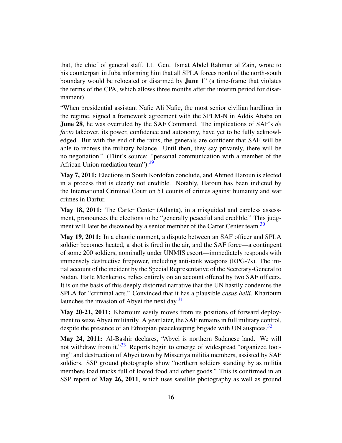that, the chief of general staff, Lt. Gen. Ismat Abdel Rahman al Zain, wrote to his counterpart in Juba informing him that all SPLA forces north of the north-south boundary would be relocated or disarmed by **June 1**" (a time-frame that violates the terms of the CPA, which allows three months after the interim period for disarmament).

"When presidential assistant Nafie Ali Nafie, the most senior civilian hardliner in the regime, signed a framework agreement with the SPLM-N in Addis Ababa on June 28, he was overruled by the SAF Command. The implications of SAF's *de facto* takeover, its power, confidence and autonomy, have yet to be fully acknowledged. But with the end of the rains, the generals are confident that SAF will be able to redress the military balance. Until then, they say privately, there will be no negotiation." (Flint's source: "personal communication with a member of the African Union mediation team").<sup>[29](#page-63-15)</sup>

<span id="page-15-0"></span>May 7, 2011: Elections in South Kordofan conclude, and Ahmed Haroun is elected in a process that is clearly not credible. Notably, Haroun has been indicted by the International Criminal Court on 51 counts of crimes against humanity and war crimes in Darfur.

<span id="page-15-1"></span>May 18, 2011: The Carter Center (Atlanta), in a misguided and careless assessment, pronounces the elections to be "generally peaceful and credible." This judg-ment will later be disowned by a senior member of the Carter Center team.<sup>[30](#page-63-16)</sup>

May 19, 2011: In a chaotic moment, a dispute between an SAF officer and SPLA soldier becomes heated, a shot is fired in the air, and the SAF force—a contingent of some 200 soldiers, nominally under UNMIS escort—immediately responds with immensely destructive firepower, including anti-tank weapons (RPG-7s). The initial account of the incident by the Special Representative of the Secretary-General to Sudan, Haile Menkerios, relies entirely on an account offered by two SAF officers. It is on the basis of this deeply distorted narrative that the UN hastily condemns the SPLA for "criminal acts." Convinced that it has a plausible *casus belli*, Khartoum launches the invasion of Abyei the next day.[31](#page-63-17)

<span id="page-15-3"></span><span id="page-15-2"></span>May 20-21, 2011: Khartoum easily moves from its positions of forward deployment to seize Abyei militarily. A year later, the SAF remains in full military control, despite the presence of an Ethiopian peacekeeping brigade with UN auspices.<sup>[32](#page-63-18)</sup>

<span id="page-15-4"></span>May 24, 2011: Al-Bashir declares, "Abyei is northern Sudanese land. We will not withdraw from it."<sup>[33](#page-64-0)</sup> Reports begin to emerge of widespread "organized looting" and destruction of Abyei town by Misseriya militia members, assisted by SAF soldiers. SSP ground photographs show "northern soldiers standing by as militia members load trucks full of looted food and other goods." This is confirmed in an SSP report of May 26, 2011, which uses satellite photography as well as ground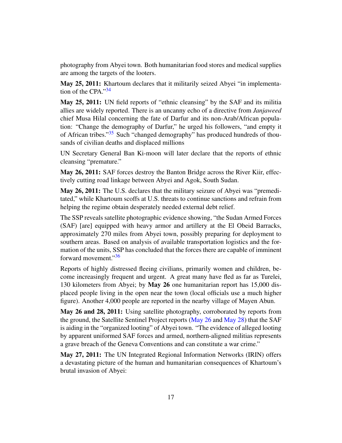photography from Abyei town. Both humanitarian food stores and medical supplies are among the targets of the looters.

<span id="page-16-0"></span>May 25, 2011: Khartoum declares that it militarily seized Abyei "in implementation of the CPA." $34$ 

May 25, 2011: UN field reports of "ethnic cleansing" by the SAF and its militia allies are widely reported. There is an uncanny echo of a directive from *Janjaweed* chief Musa Hilal concerning the fate of Darfur and its non-Arab/African population: "Change the demography of Darfur," he urged his followers, "and empty it of African tribes."[35](#page-64-2) Such "changed demography" has produced hundreds of thousands of civilian deaths and displaced millions

<span id="page-16-1"></span>UN Secretary General Ban Ki-moon will later declare that the reports of ethnic cleansing "premature."

May 26, 2011: SAF forces destroy the Banton Bridge across the River Kiir, effectively cutting road linkage between Abyei and Agok, South Sudan.

May 26, 2011: The U.S. declares that the military seizure of Abyei was "premeditated," while Khartoum scoffs at U.S. threats to continue sanctions and refrain from helping the regime obtain desperately needed external debt relief.

The SSP reveals satellite photographic evidence showing, "the Sudan Armed Forces (SAF) [are] equipped with heavy armor and artillery at the El Obeid Barracks, approximately 270 miles from Abyei town, possibly preparing for deployment to southern areas. Based on analysis of available transportation logistics and the formation of the units, SSP has concluded that the forces there are capable of imminent forward movement."<sup>[36](#page-64-3)</sup>

<span id="page-16-2"></span>Reports of highly distressed fleeing civilians, primarily women and children, become increasingly frequent and urgent. A great many have fled as far as Turelei, 130 kilometers from Abyei; by May 26 one humanitarian report has 15,000 displaced people living in the open near the town (local officials use a much higher figure). Another 4,000 people are reported in the nearby village of Mayen Abun.

May 26 and 28, 2011: Using satellite photography, corroborated by reports from the ground, the Satellite Sentinel Project reports [\(May 26](http://www.satsentinel.org/report/looting-abyei-ground-and-satellite-corroboration) and [May 28\)](http://www.satsentinel.org/report/burned-ground-evidence-potential-war-crimes-and-intentional-destruction-abyei-town-government-sudan) that the SAF is aiding in the "organized looting" of Abyei town. "The evidence of alleged looting by apparent uniformed SAF forces and armed, northern-aligned militias represents a grave breach of the Geneva Conventions and can constitute a war crime."

May 27, 2011: The UN Integrated Regional Information Networks (IRIN) offers a devastating picture of the human and humanitarian consequences of Khartoum's brutal invasion of Abyei: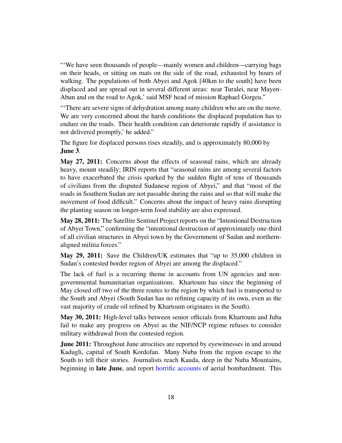"'We have seen thousands of people—mainly women and children—carrying bags on their heads, or sitting on mats on the side of the road, exhausted by hours of walking. The populations of both Abyei and Agok [40km to the south] have been displaced and are spread out in several different areas: near Turalei, near Mayen-Abun and on the road to Agok,' said MSF head of mission Raphael Gorgeu."

"'There are severe signs of dehydration among many children who are on the move. We are very concerned about the harsh conditions the displaced population has to endure on the roads. Their health condition can deteriorate rapidly if assistance is not delivered promptly,' he added."

The figure for displaced persons rises steadily, and is approximately 80,000 by June 3.

May 27, 2011: Concerns about the effects of seasonal rains, which are already heavy, mount steadily; IRIN reports that "seasonal rains are among several factors to have exacerbated the crisis sparked by the sudden flight of tens of thousands of civilians from the disputed Sudanese region of Abyei," and that "most of the roads in Southern Sudan are not passable during the rains and so that will make the movement of food difficult." Concerns about the impact of heavy rains disrupting the planting season on longer-term food stability are also expressed.

May 28, 2011: The Satellite Sentinel Project reports on the "Intentional Destruction of Abyei Town," confirming the "intentional destruction of approximately one-third of all civilian structures in Abyei town by the Government of Sudan and northernaligned militia forces."

May 29, 2011: Save the Children/UK estimates that "up to 35,000 children in Sudan's contested border region of Abyei are among the displaced."

The lack of fuel is a recurring theme in accounts from UN agencies and nongovernmental humanitarian organizations. Khartoum has since the beginning of May closed off two of the three routes to the region by which fuel is transported to the South and Abyei (South Sudan has no refining capacity of its own, even as the vast majority of crude oil refined by Khartoum originates in the South).

May 30, 2011: High-level talks between senior officials from Khartoum and Juba fail to make any progress on Abyei as the NIF/NCP regime refuses to consider military withdrawal from the contested region.

**June 2011:** Throughout June atrocities are reported by eyewitnesses in and around Kadugli, capital of South Kordofan. Many Nuba from the region escape to the South to tell their stories. Journalists reach Kauda, deep in the Nuba Mountains, beginning in late June, and report [horrific accounts](http://www.mcclatchydc.com/2011/07/06/v-print/117120/stories-of-death-terror-from-sudans.html) of aerial bombardment. This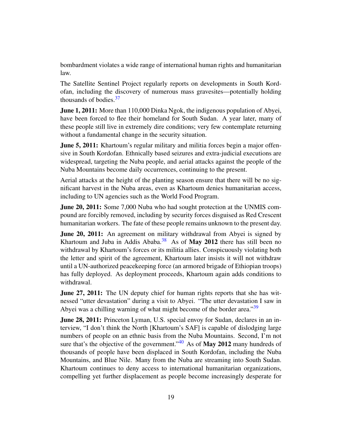bombardment violates a wide range of international human rights and humanitarian law.

The Satellite Sentinel Project regularly reports on developments in South Kordofan, including the discovery of numerous mass gravesites—potentially holding thousands of bodies  $37$ 

<span id="page-18-0"></span>**June 1, 2011:** More than 110,000 Dinka Ngok, the indigenous population of Abyei, have been forced to flee their homeland for South Sudan. A year later, many of these people still live in extremely dire conditions; very few contemplate returning without a fundamental change in the security situation.

**June 5, 2011:** Khartoum's regular military and militia forces begin a major offensive in South Kordofan. Ethnically based seizures and extra-judicial executions are widespread, targeting the Nuba people, and aerial attacks against the people of the Nuba Mountains become daily occurrences, continuing to the present.

Aerial attacks at the height of the planting season ensure that there will be no significant harvest in the Nuba areas, even as Khartoum denies humanitarian access, including to UN agencies such as the World Food Program.

**June 20, 2011:** Some 7,000 Nuba who had sought protection at the UNMIS compound are forcibly removed, including by security forces disguised as Red Crescent humanitarian workers. The fate of these people remains unknown to the present day.

<span id="page-18-1"></span>June 20, 2011: An agreement on military withdrawal from Abyei is signed by Khartoum and Juba in Addis Ababa. $38$  As of May 2012 there has still been no withdrawal by Khartoum's forces or its militia allies. Conspicuously violating both the letter and spirit of the agreement, Khartoum later insists it will not withdraw until a UN-authorized peacekeeping force (an armored brigade of Ethiopian troops) has fully deployed. As deployment proceeds, Khartoum again adds conditions to withdrawal.

<span id="page-18-2"></span>**June 27, 2011:** The UN deputy chief for human rights reports that she has witnessed "utter devastation" during a visit to Abyei. "The utter devastation I saw in Abyei was a chilling warning of what might become of the border area."<sup>[39](#page-64-6)</sup>

<span id="page-18-3"></span>June 28, 2011: Princeton Lyman, U.S. special envoy for Sudan, declares in an interview, "I don't think the North [Khartoum's SAF] is capable of dislodging large numbers of people on an ethnic basis from the Nuba Mountains. Second, I'm not sure that's the objective of the government." $40$  As of May 2012 many hundreds of thousands of people have been displaced in South Kordofan, including the Nuba Mountains, and Blue Nile. Many from the Nuba are streaming into South Sudan. Khartoum continues to deny access to international humanitarian organizations, compelling yet further displacement as people become increasingly desperate for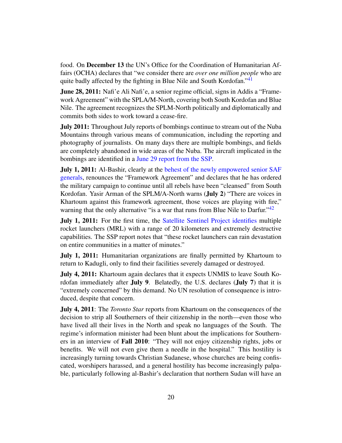<span id="page-19-0"></span>food. On December 13 the UN's Office for the Coordination of Humanitarian Affairs (OCHA) declares that "we consider there are *over one million people* who are quite badly affected by the fighting in Blue Nile and South Kordofan."<sup>[41](#page-64-8)</sup>

June 28, 2011: Nafi'e Ali Nafi'e, a senior regime official, signs in Addis a "Framework Agreement" with the SPLA/M-North, covering both South Kordofan and Blue Nile. The agreement recognizes the SPLM-North politically and diplomatically and commits both sides to work toward a cease-fire.

**July 2011:** Throughout July reports of bombings continue to stream out of the Nuba Mountains through various means of communication, including the reporting and photography of journalists. On many days there are multiple bombings, and fields are completely abandoned in wide areas of the Nuba. The aircraft implicated in the bombings are identified in a [June 29 report from the SSP.](http://www.satsentinel.org/report/bombardment-aerial-and-artillery-attacks-nuba-mountains)

**July 1, 2011:** Al-Bashir, clearly at the [behest of the newly empowered senior SAF](http://www.dissentmagazine.org/atw.php?keyword=Sudan) [generals,](http://www.dissentmagazine.org/atw.php?keyword=Sudan) renounces the "Framework Agreement" and declares that he has ordered the military campaign to continue until all rebels have been "cleansed" from South Kordofan. Yasir Arman of the SPLM/A-North warns (July 2) "There are voices in Khartoum against this framework agreement, those voices are playing with fire," warning that the only alternative "is a war that runs from Blue Nile to Darfur."<sup>[42](#page-64-9)</sup>

<span id="page-19-1"></span>July 1, 2011: For the first time, the [Satellite Sentinel Project identifies](http://www.satsentinel.org/report/strike-range-apparent-deployment-saf-mobile-rocket-launchers-near-south-kordofan) multiple rocket launchers (MRL) with a range of 20 kilometers and extremely destructive capabilities. The SSP report notes that "these rocket launchers can rain devastation on entire communities in a matter of minutes."

July 1, 2011: Humanitarian organizations are finally permitted by Khartoum to return to Kadugli, only to find their facilities severely damaged or destroyed.

July 4, 2011: Khartoum again declares that it expects UNMIS to leave South Kordofan immediately after **July 9**. Belatedly, the U.S. declares (**July 7**) that it is "extremely concerned" by this demand. No UN resolution of consequence is introduced, despite that concern.

July 4, 2011: The *Toronto Star* reports from Khartoum on the consequences of the decision to strip all Southerners of their citizenship in the north—even those who have lived all their lives in the North and speak no languages of the South. The regime's information minister had been blunt about the implications for Southerners in an interview of Fall 2010: "They will not enjoy citizenship rights, jobs or benefits. We will not even give them a needle in the hospital." This hostility is increasingly turning towards Christian Sudanese, whose churches are being confiscated, worshipers harassed, and a general hostility has become increasingly palpable, particularly following al-Bashir's declaration that northern Sudan will have an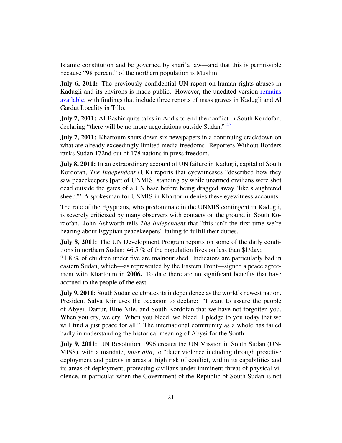Islamic constitution and be governed by shari'a law—and that this is permissible because "98 percent" of the northern population is Muslim.

**July 6, 2011:** The previously confidential UN report on human rights abuses in Kadugli and its environs is made public. However, the unedited version [remains](http://www.sudantribune.com/UNMIS-report-on-the-human-rights,39570) [available,](http://www.sudantribune.com/UNMIS-report-on-the-human-rights,39570) with findings that include three reports of mass graves in Kadugli and Al Gardut Locality in Tillo.

<span id="page-20-0"></span>July 7, 2011: Al-Bashir quits talks in Addis to end the conflict in South Kordofan, declaring "there will be no more negotiations outside Sudan." <sup>[43](#page-64-10)</sup>

July 7, 2011: Khartoum shuts down six newspapers in a continuing crackdown on what are already exceedingly limited media freedoms. Reporters Without Borders ranks Sudan 172nd out of 178 nations in press freedom.

July 8, 2011: In an extraordinary account of UN failure in Kadugli, capital of South Kordofan, *The Independent* (UK) reports that eyewitnesses "described how they saw peacekeepers [part of UNMIS] standing by while unarmed civilians were shot dead outside the gates of a UN base before being dragged away 'like slaughtered sheep."' A spokesman for UNMIS in Khartoum denies these eyewitness accounts.

The role of the Egyptians, who predominate in the UNMIS contingent in Kadugli, is severely criticized by many observers with contacts on the ground in South Kordofan. John Ashworth tells *The Independent* that "this isn't the first time we're hearing about Egyptian peacekeepers" failing to fulfill their duties.

July 8, 2011: The UN Development Program reports on some of the daily conditions in northern Sudan: 46.5 % of the population lives on less than \$1/day;

31.8 % of children under five are malnourished. Indicators are particularly bad in eastern Sudan, which—as represented by the Eastern Front—signed a peace agreement with Khartoum in 2006. To date there are no significant benefits that have accrued to the people of the east.

July 9, 2011: South Sudan celebrates its independence as the world's newest nation. President Salva Kiir uses the occasion to declare: "I want to assure the people of Abyei, Darfur, Blue Nile, and South Kordofan that we have not forgotten you. When you cry, we cry. When you bleed, we bleed. I pledge to you today that we will find a just peace for all." The international community as a whole has failed badly in understanding the historical meaning of Abyei for the South.

July 9, 2011: UN Resolution 1996 creates the UN Mission in South Sudan (UN-MISS), with a mandate, *inter alia*, to "deter violence including through proactive deployment and patrols in areas at high risk of conflict, within its capabilities and its areas of deployment, protecting civilians under imminent threat of physical violence, in particular when the Government of the Republic of South Sudan is not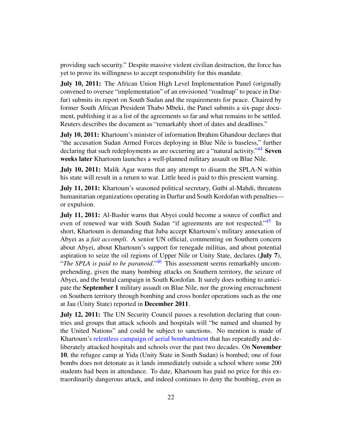providing such security." Despite massive violent civilian destruction, the force has yet to prove its willingness to accept responsibility for this mandate.

July 10, 2011: The African Union High Level Implementation Panel (originally convened to oversee "implementation" of an envisioned "roadmap" to peace in Darfur) submits its report on South Sudan and the requirements for peace. Chaired by former South African President Thabo Mbeki, the Panel submits a six-page document, publishing it as a list of the agreements so far and what remains to be settled. Reuters describes the document as "remarkably short of dates and deadlines."

<span id="page-21-0"></span>July 10, 2011: Khartoum's minister of information Ibrahim Ghandour declares that "the accusation Sudan Armed Forces deploying in Blue Nile is baseless," further declaring that such redeployments as are occurring are a "natural activity."<sup>[44](#page-64-11)</sup> Seven weeks later Khartoum launches a well-planned military assault on Blue Nile.

July 10, 2011: Malik Agar warns that any attempt to disarm the SPLA-N within his state will result in a return to war. Little heed is paid to this prescient warning.

July 11, 2011: Khartoum's seasoned political secretary, Gutbi al-Mahdi, threatens humanitarian organizations operating in Darfur and South Kordofan with penalties or expulsion.

<span id="page-21-2"></span><span id="page-21-1"></span>July 11, 2011: Al-Bashir warns that Abyei could become a source of conflict and even of renewed war with South Sudan "if agreements are not respected."<sup>[45](#page-64-12)</sup> In short, Khartoum is demanding that Juba accept Khartoum's military annexation of Abyei as a *fait accompli*. A senior UN official, commenting on Southern concern about Abyei, about Khartoum's support for renegade militias, and about potential aspiration to seize the oil regions of Upper Nile or Unity State, declares (July 7), "*The SPLA is paid to be paranoid*."[46](#page-64-13) This assessment seems remarkably uncomprehending, given the many bombing attacks on Southern territory, the seizure of Abyei, and the brutal campaign in South Kordofan. It surely does nothing to anticipate the September 1 military assault on Blue Nile, nor the growing encroachment on Southern territory through bombing and cross border operations such as the one at Jau (Unity State) reported in December 2011.

July 12, 2011: The UN Security Council passes a resolution declaring that countries and groups that attack schools and hospitals will "be named and shamed by the United Nations" and could be subject to sanctions. No mention is made of Khartoum's [relentless campaign of aerial bombardment](http://www.sudanbombing.org/) that has repeatedly and deliberately attacked hospitals and schools over the past two decades. On November 10, the refugee camp at Yida (Unity State in South Sudan) is bombed; one of four bombs does not detonate as it lands immediately outside a school where some 200 students had been in attendance. To date, Khartoum has paid no price for this extraordinarily dangerous attack, and indeed continues to deny the bombing, even as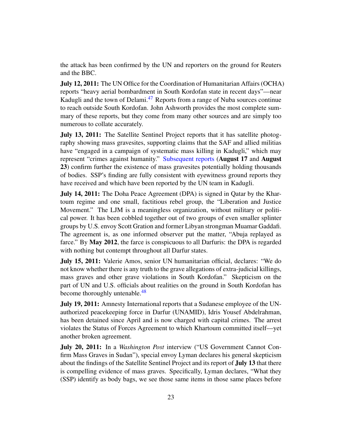the attack has been confirmed by the UN and reporters on the ground for Reuters and the BBC.

<span id="page-22-0"></span>July 12, 2011: The UN Office for the Coordination of Humanitarian Affairs (OCHA) reports "heavy aerial bombardment in South Kordofan state in recent days"—near Kadugli and the town of Delami.<sup>[47](#page-64-14)</sup> Reports from a range of Nuba sources continue to reach outside South Kordofan. John Ashworth provides the most complete summary of these reports, but they come from many other sources and are simply too numerous to collate accurately.

July 13, 2011: The Satellite Sentinel Project reports that it has satellite photography showing mass gravesites, supporting claims that the SAF and allied militias have "engaged in a campaign of systematic mass killing in Kadugli," which may represent "crimes against humanity." [Subsequent reports](http://www.satsentinel.org/reports-and-imagery/our-reports) (August 17 and August 23) confirm further the existence of mass gravesites potentially holding thousands of bodies. SSP's finding are fully consistent with eyewitness ground reports they have received and which have been reported by the UN team in Kadugli.

July 14, 2011: The Doha Peace Agreement (DPA) is signed in Qatar by the Khartoum regime and one small, factitious rebel group, the "Liberation and Justice Movement." The LJM is a meaningless organization, without military or political power. It has been cobbled together out of two groups of even smaller splinter groups by U.S. envoy Scott Gration and former Libyan strongman Muamar Gaddafi. The agreement is, as one informed observer put the matter, "Abuja replayed as farce." By May 2012, the farce is conspicuous to all Darfuris: the DPA is regarded with nothing but contempt throughout all Darfur states.

July 15, 2011: Valerie Amos, senior UN humanitarian official, declares: "We do not know whether there is any truth to the grave allegations of extra-judicial killings, mass graves and other grave violations in South Kordofan." Skepticism on the part of UN and U.S. officials about realities on the ground in South Kordofan has become thoroughly untenable.<sup>[48](#page-64-15)</sup>

<span id="page-22-1"></span>July 19, 2011: Amnesty International reports that a Sudanese employee of the UNauthorized peacekeeping force in Darfur (UNAMID), Idris Yousef Abdelrahman, has been detained since April and is now charged with capital crimes. The arrest violates the Status of Forces Agreement to which Khartoum committed itself—yet another broken agreement.

July 20, 2011: In a *Washington Post* interview ("US Government Cannot Confirm Mass Graves in Sudan"), special envoy Lyman declares his general skepticism about the findings of the Satellite Sentinel Project and its report of July 13 that there is compelling evidence of mass graves. Specifically, Lyman declares, "What they (SSP) identify as body bags, we see those same items in those same places before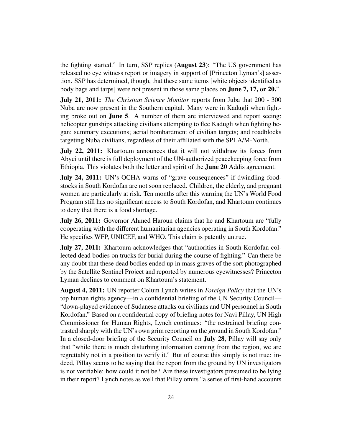the fighting started." In turn, SSP replies (August 23): "The US government has released no eye witness report or imagery in support of [Princeton Lyman's] assertion. SSP has determined, though, that these same items [white objects identified as body bags and tarps] were not present in those same places on **June 7, 17, or 20.**"

July 21, 2011: *The Christian Science Monitor* reports from Juba that 200 - 300 Nuba are now present in the Southern capital. Many were in Kadugli when fighting broke out on June 5. A number of them are interviewed and report seeing: helicopter gunships attacking civilians attempting to flee Kadugli when fighting began; summary executions; aerial bombardment of civilian targets; and roadblocks targeting Nuba civilians, regardless of their affiliated with the SPLA/M-North.

July 22, 2011: Khartoum announces that it will not withdraw its forces from Abyei until there is full deployment of the UN-authorized peacekeeping force from Ethiopia. This violates both the letter and spirit of the June 20 Addis agreement.

July 24, 2011: UN's OCHA warns of "grave consequences" if dwindling foodstocks in South Kordofan are not soon replaced. Children, the elderly, and pregnant women are particularly at risk. Ten months after this warning the UN's World Food Program still has no significant access to South Kordofan, and Khartoum continues to deny that there is a food shortage.

July 26, 2011: Governor Ahmed Haroun claims that he and Khartoum are "fully cooperating with the different humanitarian agencies operating in South Kordofan." He specifies WFP, UNICEF, and WHO. This claim is patently untrue.

July 27, 2011: Khartoum acknowledges that "authorities in South Kordofan collected dead bodies on trucks for burial during the course of fighting." Can there be any doubt that these dead bodies ended up in mass graves of the sort photographed by the Satellite Sentinel Project and reported by numerous eyewitnesses? Princeton Lyman declines to comment on Khartoum's statement.

August 4, 2011: UN reporter Colum Lynch writes in *Foreign Policy* that the UN's top human rights agency—in a confidential briefing of the UN Security Council— "down-played evidence of Sudanese attacks on civilians and UN personnel in South Kordofan." Based on a confidential copy of briefing notes for Navi Pillay, UN High Commissioner for Human Rights, Lynch continues: "the restrained briefing contrasted sharply with the UN's own grim reporting on the ground in South Kordofan." In a closed-door briefing of the Security Council on **July 28**, Pillay will say only that "while there is much disturbing information coming from the region, we are regrettably not in a position to verify it." But of course this simply is not true: indeed, Pillay seems to be saying that the report from the ground by UN investigators is not verifiable: how could it not be? Are these investigators presumed to be lying in their report? Lynch notes as well that Pillay omits "a series of first-hand accounts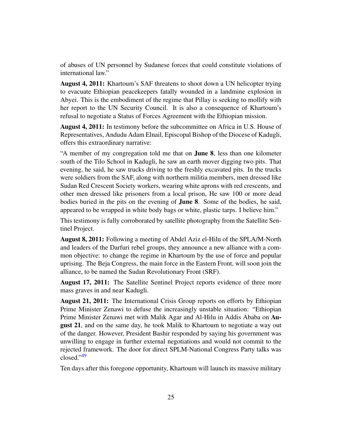of abuses of UN personnel by Sudanese forces that could constitute violations of international law."

August 4, 2011: Khartoum's SAF threatens to shoot down a UN helicopter trying to evacuate Ethiopian peacekeepers fatally wounded in a landmine explosion in Abyei. This is the embodiment of the regime that Pillay is seeking to mollify with her report to the UN Security Council. It is also a consequence of Khartoum's refusal to negotiate a Status of Forces Agreement with the Ethiopian mission.

August 4, 2011: In testimony before the subcommittee on Africa in U.S. House of Representatives, Andudu Adam Elnail, Episcopal Bishop of the Diocese of Kadugli, offers this extraordinary narrative:

"A member of my congregation told me that on June 8, less than one kilometer south of the Tilo School in Kadugli, he saw an earth mover digging two pits. That evening, he said, he saw trucks driving to the freshly excavated pits. In the trucks were soldiers from the SAF, along with northern militia members, men dressed like Sudan Red Crescent Society workers, wearing white aprons with red crescents, and other men dressed like prisoners from a local prison, He saw 100 or more dead bodies buried in the pits on the evening of June 8. Some of the bodies, he said, appeared to be wrapped in white body bags or white, plastic tarps. I believe him."

This testimony is fully corroborated by satellite photography from the Satellite Sentinel Project.

August 8, 2011: Following a meeting of Abdel Aziz el-Hilu of the SPLA/M-North and leaders of the Darfuri rebel groups, they announce a new alliance with a common objective: to change the regime in Khartoum by the use of force and popular uprising. The Beja Congress, the main force in the Eastern Front, will soon join the alliance, to be named the Sudan Revolutionary Front (SRF).

August 17, 2011: The Satellite Sentinel Project reports evidence of three more mass graves in and near Kadugli.

August 21, 2011: The International Crisis Group reports on efforts by Ethiopian Prime Minister Zenawi to defuse the increasingly unstable situation: "Ethiopian Prime Minister Zenawi met with Malik Agar and Al-Hilu in Addis Ababa on August 21, and on the same day, he took Malik to Khartoum to negotiate a way out of the danger. However, President Bashir responded by saying his government was unwilling to engage in further external negotiations and would not commit to the rejected framework. The door for direct SPLM-National Congress Party talks was closed."[49](#page-64-16)

<span id="page-24-0"></span>Ten days after this foregone opportunity, Khartoum will launch its massive military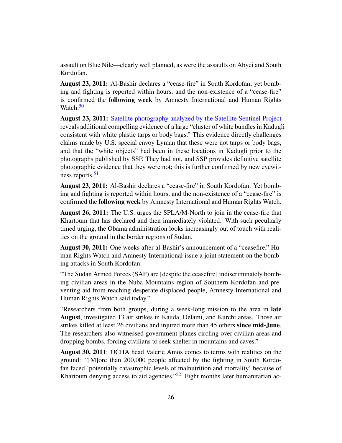assault on Blue Nile—clearly well planned, as were the assaults on Abyei and South Kordofan.

August 23, 2011: Al-Bashir declares a "cease-fire" in South Kordofan; yet bombing and fighting is reported within hours, and the non-existence of a "cease-fire" is confirmed the following week by Amnesty International and Human Rights Watch. $50$ 

<span id="page-25-0"></span>August 23, 2011: [Satellite photography analyzed by the Satellite Sentinel Project](http://www.satsentinel.org/report/special-report-evidence-burial-human-remains-kadugli-south-kordofan) reveals additional compelling evidence of a large "cluster of white bundles in Kadugli consistent with white plastic tarps or body bags." This evidence directly challenges claims made by U.S. special envoy Lyman that these were not tarps or body bags, and that the "white objects" had been in these locations in Kadugli prior to the photographs published by SSP. They had not, and SSP provides definitive satellite photographic evidence that they were not; this is further confirmed by new eyewit-ness reports.<sup>[51](#page-64-18)</sup>

<span id="page-25-1"></span>August 23, 2011: Al-Bashir declares a "cease-fire" in South Kordofan. Yet bombing and fighting is reported within hours, and the non-existence of a "cease-fire" is confirmed the following week by Amnesty International and Human Rights Watch.

August 26, 2011: The U.S. urges the SPLA/M-North to join in the cease-fire that Khartoum that has declared and then immediately violated. With such peculiarly timed urging, the Obama administration looks increasingly out of touch with realities on the ground in the border regions of Sudan.

August 30, 2011: One weeks after al-Bashir's announcement of a "ceasefire," Human Rights Watch and Amnesty International issue a joint statement on the bombing attacks in South Kordofan:

"The Sudan Armed Forces (SAF) are [despite the ceasefire] indiscriminately bombing civilian areas in the Nuba Mountains region of Southern Kordofan and preventing aid from reaching desperate displaced people, Amnesty International and Human Rights Watch said today."

"Researchers from both groups, during a week-long mission to the area in late August, investigated 13 air strikes in Kauda, Delami, and Kurchi areas. Those air strikes killed at least 26 civilians and injured more than 45 others since mid-June. The researchers also witnessed government planes circling over civilian areas and dropping bombs, forcing civilians to seek shelter in mountains and caves."

<span id="page-25-2"></span>August 30, 2011: OCHA head Valerie Amos comes to terms with realities on the ground: "[M]ore than 200,000 people affected by the fighting in South Kordofan faced 'potentially catastrophic levels of malnutrition and mortality' because of Khartoum denying access to aid agencies.<sup> $.52$  $.52$ </sup> Eight months later humanitarian ac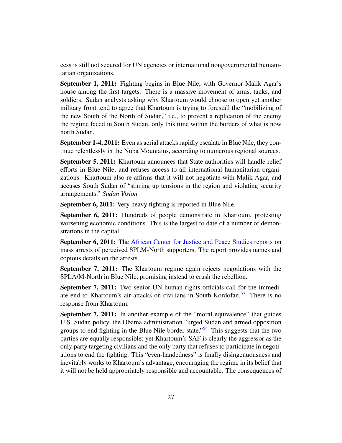cess is still not secured for UN agencies or international nongovernmental humanitarian organizations.

September 1, 2011: Fighting begins in Blue Nile, with Governor Malik Agar's house among the first targets. There is a massive movement of arms, tanks, and soldiers. Sudan analysts asking why Khartoum would choose to open yet another military front tend to agree that Khartoum is trying to forestall the "mobilizing of the new South of the North of Sudan," i.e., to prevent a replication of the enemy the regime faced in South Sudan, only this time within the borders of what is now north Sudan.

September 1-4, 2011: Even as aerial attacks rapidly escalate in Blue Nile, they continue relentlessly in the Nuba Mountains, according to numerous regional sources.

September 5, 2011: Khartoum announces that State authorities will handle relief efforts in Blue Nile, and refuses access to all international humanitarian organizations. Khartoum also re-affirms that it will not negotiate with Malik Agar, and accuses South Sudan of "stirring up tensions in the region and violating security arrangements." *Sudan Vision*

September 6, 2011: Very heavy fighting is reported in Blue Nile.

September 6, 2011: Hundreds of people demonstrate in Khartoum, protesting worsening economic conditions. This is the largest to date of a number of demonstrations in the capital.

September 6, 2011: The [African Center for Justice and Peace Studies reports](http://www.acjps.org/Publications/Press%20releases/2011/06-09-11PerceivedSPLMNorthernSectorSupportersArrestedthroughoutNorthernSudan.html) on mass arrests of perceived SPLM-North supporters. The report provides names and copious details on the arrests.

September 7, 2011: The Khartoum regime again rejects negotiations with the SPLA/M-North in Blue Nile, promising instead to crush the rebellion.

<span id="page-26-0"></span>September 7, 2011: Two senior UN human rights officials call for the immedi-ate end to Khartoum's air attacks on civilians in South Kordofan.<sup>[53](#page-64-20)</sup> There is no response from Khartoum.

<span id="page-26-1"></span>September 7, 2011: In another example of the "moral equivalence" that guides U.S. Sudan policy, the Obama administration "urged Sudan and armed opposition groups to end fighting in the Blue Nile border state."<sup>[54](#page-64-21)</sup> This suggests that the two parties are equally responsible; yet Khartoum's SAF is clearly the aggressor as the only party targeting civilians and the only party that refuses to participate in negotiations to end the fighting. This "even-handedness" is finally disingenuousness and inevitably works to Khartoum's advantage, encouraging the regime in its belief that it will not be held appropriately responsible and accountable. The consequences of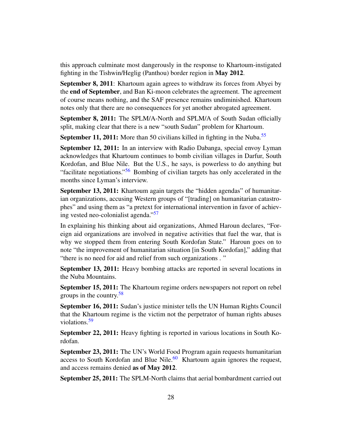this approach culminate most dangerously in the response to Khartoum-instigated fighting in the Tishwin/Heglig (Panthou) border region in May 2012.

September 8, 2011: Khartoum again agrees to withdraw its forces from Abyei by the end of September, and Ban Ki-moon celebrates the agreement. The agreement of course means nothing, and the SAF presence remains undiminished. Khartoum notes only that there are no consequences for yet another abrogated agreement.

September 8, 2011: The SPLM/A-North and SPLM/A of South Sudan officially split, making clear that there is a new "south Sudan" problem for Khartoum.

<span id="page-27-0"></span>**September 11, 2011:** More than 50 civilians killed in fighting in the Nuba.<sup>[55](#page-64-22)</sup>

<span id="page-27-1"></span>September 12, 2011: In an interview with Radio Dabanga, special envoy Lyman acknowledges that Khartoum continues to bomb civilian villages in Darfur, South Kordofan, and Blue Nile. But the U.S., he says, is powerless to do anything but "facilitate negotiations."[56](#page-65-0) Bombing of civilian targets has only accelerated in the months since Lyman's interview.

September 13, 2011: Khartoum again targets the "hidden agendas" of humanitarian organizations, accusing Western groups of "[trading] on humanitarian catastrophes" and using them as "a pretext for international intervention in favor of achieving vested neo-colonialist agenda."[57](#page-65-1)

<span id="page-27-2"></span>In explaining his thinking about aid organizations, Ahmed Haroun declares, "Foreign aid organizations are involved in negative activities that fuel the war, that is why we stopped them from entering South Kordofan State." Haroun goes on to note "the improvement of humanitarian situation [in South Kordofan]," adding that "there is no need for aid and relief from such organizations . "

September 13, 2011: Heavy bombing attacks are reported in several locations in the Nuba Mountains.

<span id="page-27-3"></span>September 15, 2011: The Khartoum regime orders newspapers not report on rebel groups in the country.<sup>[58](#page-65-2)</sup>

<span id="page-27-4"></span>September 16, 2011: Sudan's justice minister tells the UN Human Rights Council that the Khartoum regime is the victim not the perpetrator of human rights abuses violations.<sup>[59](#page-65-3)</sup>

September 22, 2011: Heavy fighting is reported in various locations in South Kordofan.

<span id="page-27-5"></span>September 23, 2011: The UN's World Food Program again requests humanitarian access to South Kordofan and Blue Nile. $^{60}$  $^{60}$  $^{60}$  Khartoum again ignores the request, and access remains denied as of May 2012.

September 25, 2011: The SPLM-North claims that aerial bombardment carried out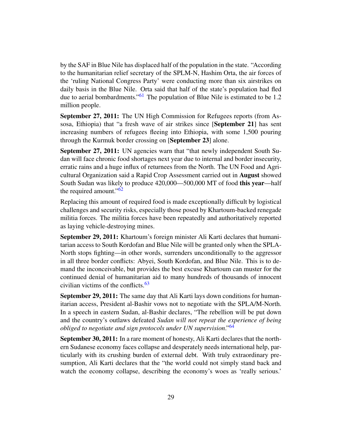by the SAF in Blue Nile has displaced half of the population in the state. "According to the humanitarian relief secretary of the SPLM-N, Hashim Orta, the air forces of the 'ruling National Congress Party' were conducting more than six airstrikes on daily basis in the Blue Nile. Orta said that half of the state's population had fled due to aerial bombardments."<sup>[61](#page-65-5)</sup> The population of Blue Nile is estimated to be 1.2 million people.

<span id="page-28-0"></span>September 27, 2011: The UN High Commission for Refugees reports (from Assosa, Ethiopia) that "a fresh wave of air strikes since [September 21] has sent increasing numbers of refugees fleeing into Ethiopia, with some 1,500 pouring through the Kurmuk border crossing on [September 23] alone.

September 27, 2011: UN agencies warn that "that newly independent South Sudan will face chronic food shortages next year due to internal and border insecurity, erratic rains and a huge influx of returnees from the North. The UN Food and Agricultural Organization said a Rapid Crop Assessment carried out in August showed South Sudan was likely to produce 420,000—500,000 MT of food this year—half the required amount."[62](#page-65-6)

<span id="page-28-1"></span>Replacing this amount of required food is made exceptionally difficult by logistical challenges and security risks, especially those posed by Khartoum-backed renegade militia forces. The militia forces have been repeatedly and authoritatively reported as laying vehicle-destroying mines.

September 29, 2011: Khartoum's foreign minister Ali Karti declares that humanitarian access to South Kordofan and Blue Nile will be granted only when the SPLA-North stops fighting—in other words, surrenders unconditionally to the aggressor in all three border conflicts: Abyei, South Kordofan, and Blue Nile. This is to demand the inconceivable, but provides the best excuse Khartoum can muster for the continued denial of humanitarian aid to many hundreds of thousands of innocent civilian victims of the conflicts. $63$ 

<span id="page-28-2"></span>September 29, 2011: The same day that Ali Karti lays down conditions for humanitarian access, President al-Bashir vows not to negotiate with the SPLA/M-North. In a speech in eastern Sudan, al-Bashir declares, "The rebellion will be put down and the country's outlaws defeated *Sudan will not repeat the experience of being obliged to negotiate and sign protocols under UN supervision*."[64](#page-65-8)

<span id="page-28-3"></span>September 30, 2011: In a rare moment of honesty, Ali Karti declares that the northern Sudanese economy faces collapse and desperately needs international help, particularly with its crushing burden of external debt. With truly extraordinary presumption, Ali Karti declares that the "the world could not simply stand back and watch the economy collapse, describing the economy's woes as 'really serious.'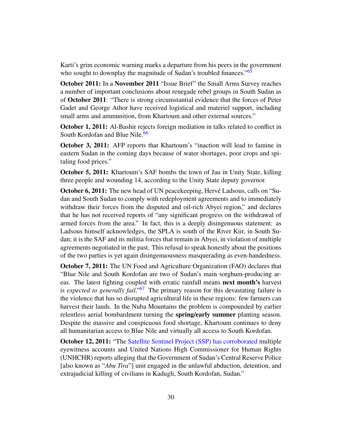<span id="page-29-0"></span>Karti's grim economic warning marks a departure from his peers in the government who sought to downplay the magnitude of Sudan's troubled finances."<sup>[65](#page-65-9)</sup>

October 2011: In a November 2011 "Issue Brief" the Small Arms Survey reaches a number of important conclusions about renegade rebel groups in South Sudan as of October 2011: "There is strong circumstantial evidence that the forces of Peter Gadet and George Athor have received logistical and materiel support, including small arms and ammunition, from Khartoum and other external sources."

<span id="page-29-1"></span>October 1, 2011: Al-Bashir rejects foreign mediation in talks related to conflict in South Kordofan and Blue Nile.<sup>[66](#page-65-10)</sup>

October 3, 2011: AFP reports that Khartoum's "inaction will lead to famine in eastern Sudan in the coming days because of water shortages, poor crops and spiraling food prices."

October 5, 2011: Khartoum's SAF bombs the town of Jau in Unity State, killing three people and wounding 14, according to the Unity State deputy governor.

October 6, 2011: The new head of UN peacekeeping, Hervé Ladsous, calls on "Sudan and South Sudan to comply with redeployment agreements and to immediately withdraw their forces from the disputed and oil-rich Abyei region," and declares that he has not received reports of "any significant progress on the withdrawal of armed forces from the area." In fact, this is a deeply disingenuous statement: as Ladsous himself acknowledges, the SPLA is south of the River Kiir, in South Sudan; it is the SAF and its militia forces that remain in Abyei, in violation of multiple agreements negotiated in the past. This refusal to speak honestly about the positions of the two parties is yet again disingenuousness masquerading as even-handedness.

<span id="page-29-2"></span>October 7, 2011: The UN Food and Agriculture Organization (FAO) declares that "Blue Nile and South Kordofan are two of Sudan's main sorghum-producing areas. The latest fighting coupled with erratic rainfall means next month's harvest is *expected to generally fail*."[67](#page-65-11) The primary reason for this devastating failure is the violence that has so disrupted agricultural life in these regions: few farmers can harvest their lands. In the Nuba Mountains the problem is compounded by earlier relentless aerial bombardment turning the spring/early summer planting season. Despite the massive and conspicuous food shortage, Khartoum continues to deny all humanitarian access to Blue Nile and virtually all access to South Kordofan.

October 12, 2011: "The [Satellite Sentinel Project \(SSP\) has corroborated](http://www.satsentinel.org/report/close-proximity-alleged-abduction-detention-and-extra-judicial-killings-abu-tira) multiple eyewitness accounts and United Nations High Commissioner for Human Rights (UNHCHR) reports alleging that the Government of Sudan's Central Reserve Police [also known as "*Abu Tira*"] unit engaged in the unlawful abduction, detention, and extrajudicial killing of civilians in Kadugli, South Kordofan, Sudan."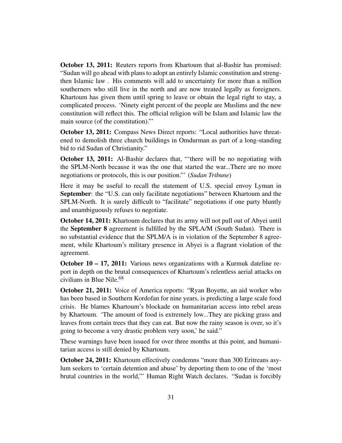October 13, 2011: Reuters reports from Khartoum that al-Bashir has promised: "Sudan will go ahead with plans to adopt an entirely Islamic constitution and strengthen Islamic law . His comments will add to uncertainty for more than a million southerners who still live in the north and are now treated legally as foreigners. Khartoum has given them until spring to leave or obtain the legal right to stay, a complicated process. 'Ninety eight percent of the people are Muslims and the new constitution will reflect this. The official religion will be Islam and Islamic law the main source (of the constitution)."'

October 13, 2011: Compass News Direct reports: "Local authorities have threatened to demolish three church buildings in Omdurman as part of a long-standing bid to rid Sudan of Christianity."

October 13, 2011: Al-Bashir declares that, "'there will be no negotiating with the SPLM-North because it was the one that started the war...There are no more negotiations or protocols, this is our position."' (*Sudan Tribune*)

Here it may be useful to recall the statement of U.S. special envoy Lyman in September: the "U.S. can only facilitate negotiations" between Khartoum and the SPLM-North. It is surely difficult to "facilitate" negotiations if one party bluntly and unambiguously refuses to negotiate.

October 14, 2011: Khartoum declares that its army will not pull out of Abyei until the September 8 agreement is fulfilled by the SPLA/M (South Sudan). There is no substantial evidence that the SPLM/A is in violation of the September 8 agreement, while Khartoum's military presence in Abyei is a flagrant violation of the agreement.

October 10 – 17, 2011: Various news organizations with a Kurmuk dateline report in depth on the brutal consequences of Khartoum's relentless aerial attacks on civilians in Blue Nile. $68$ 

<span id="page-30-0"></span>October 21, 2011: Voice of America reports: "Ryan Boyette, an aid worker who has been based in Southern Kordofan for nine years, is predicting a large scale food crisis. He blames Khartoum's blockade on humanitarian access into rebel areas by Khartoum. 'The amount of food is extremely low...They are picking grass and leaves from certain trees that they can eat. But now the rainy season is over, so it's going to become a very drastic problem very soon,' he said."

These warnings have been issued for over three months at this point, and humanitarian access is still denied by Khartoum.

October 24, 2011: Khartoum effectively condemns "more than 300 Eritreans asylum seekers to 'certain detention and abuse' by deporting them to one of the 'most brutal countries in the world,"' Human Right Watch declares. "Sudan is forcibly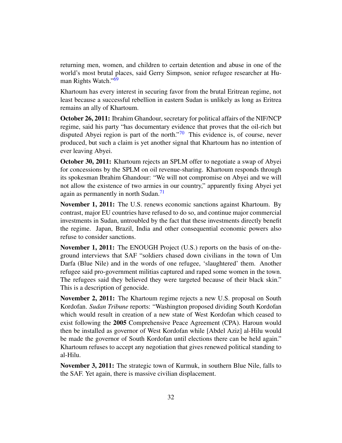<span id="page-31-0"></span>returning men, women, and children to certain detention and abuse in one of the world's most brutal places, said Gerry Simpson, senior refugee researcher at Hu-man Rights Watch."<sup>[69](#page-65-13)</sup>

Khartoum has every interest in securing favor from the brutal Eritrean regime, not least because a successful rebellion in eastern Sudan is unlikely as long as Eritrea remains an ally of Khartoum.

<span id="page-31-1"></span>October 26, 2011: Ibrahim Ghandour, secretary for political affairs of the NIF/NCP regime, said his party "has documentary evidence that proves that the oil-rich but disputed Abyei region is part of the north. $\frac{70}{70}$  $\frac{70}{70}$  $\frac{70}{70}$  This evidence is, of course, never produced, but such a claim is yet another signal that Khartoum has no intention of ever leaving Abyei.

October 30, 2011: Khartoum rejects an SPLM offer to negotiate a swap of Abyei for concessions by the SPLM on oil revenue-sharing. Khartoum responds through its spokesman Ibrahim Ghandour: "We will not compromise on Abyei and we will not allow the existence of two armies in our country," apparently fixing Abyei yet again as permanently in north Sudan.<sup>[71](#page-65-15)</sup>

<span id="page-31-2"></span>November 1, 2011: The U.S. renews economic sanctions against Khartoum. By contrast, major EU countries have refused to do so, and continue major commercial investments in Sudan, untroubled by the fact that these investments directly benefit the regime. Japan, Brazil, India and other consequential economic powers also refuse to consider sanctions.

November 1, 2011: The ENOUGH Project (U.S.) reports on the basis of on-theground interviews that SAF "soldiers chased down civilians in the town of Um Darfa (Blue Nile) and in the words of one refugee, 'slaughtered' them. Another refugee said pro-government militias captured and raped some women in the town. The refugees said they believed they were targeted because of their black skin." This is a description of genocide.

November 2, 2011: The Khartoum regime rejects a new U.S. proposal on South Kordofan. *Sudan Tribune* reports: "Washington proposed dividing South Kordofan which would result in creation of a new state of West Kordofan which ceased to exist following the 2005 Comprehensive Peace Agreement (CPA). Haroun would then be installed as governor of West Kordofan while [Abdel Aziz] al-Hilu would be made the governor of South Kordofan until elections there can be held again." Khartoum refuses to accept any negotiation that gives renewed political standing to al-Hilu.

November 3, 2011: The strategic town of Kurmuk, in southern Blue Nile, falls to the SAF. Yet again, there is massive civilian displacement.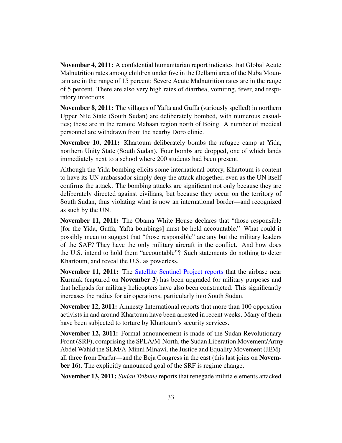November 4, 2011: A confidential humanitarian report indicates that Global Acute Malnutrition rates among children under five in the Dellami area of the Nuba Mountain are in the range of 15 percent; Severe Acute Malnutrition rates are in the range of 5 percent. There are also very high rates of diarrhea, vomiting, fever, and respiratory infections.

November 8, 2011: The villages of Yafta and Guffa (variously spelled) in northern Upper Nile State (South Sudan) are deliberately bombed, with numerous casualties; these are in the remote Mabaan region north of Boing. A number of medical personnel are withdrawn from the nearby Doro clinic.

November 10, 2011: Khartoum deliberately bombs the refugee camp at Yida, northern Unity State (South Sudan). Four bombs are dropped, one of which lands immediately next to a school where 200 students had been present.

Although the Yida bombing elicits some international outcry, Khartoum is content to have its UN ambassador simply deny the attack altogether, even as the UN itself confirms the attack. The bombing attacks are significant not only because they are deliberately directed against civilians, but because they occur on the territory of South Sudan, thus violating what is now an international border—and recognized as such by the UN.

November 11, 2011: The Obama White House declares that "those responsible [for the Yida, Guffa, Yafta bombings] must be held accountable." What could it possibly mean to suggest that "those responsible" are any but the military leaders of the SAF? They have the only military aircraft in the conflict. And how does the U.S. intend to hold them "accountable"? Such statements do nothing to deter Khartoum, and reveal the U.S. as powerless.

November 11, 2011: The [Satellite Sentinel Project reports](http://www.satsentinel.org/report/radius-operations-sudan-increases-air-attack-capacity) that the airbase near Kurmuk (captured on **November 3**) has been upgraded for military purposes and that helipads for military helicopters have also been constructed. This significantly increases the radius for air operations, particularly into South Sudan.

November 12, 2011: Amnesty International reports that more than 100 opposition activists in and around Khartoum have been arrested in recent weeks. Many of them have been subjected to torture by Khartoum's security services.

November 12, 2011: Formal announcement is made of the Sudan Revolutionary Front (SRF), comprising the SPLA/M-North, the Sudan Liberation Movement/Army-Abdel Wahid the SLM/A-Minni Minawi, the Justice and Equality Movement (JEM) all three from Darfur—and the Beja Congress in the east (this last joins on November 16). The explicitly announced goal of the SRF is regime change.

November 13, 2011: *Sudan Tribune* reports that renegade militia elements attacked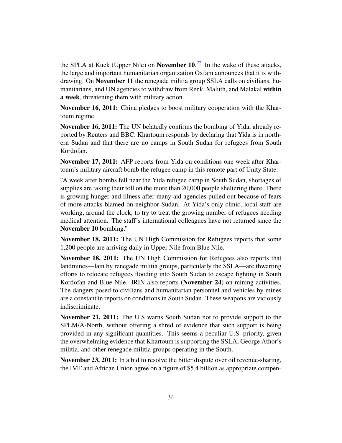<span id="page-33-0"></span>the SPLA at Kuek (Upper Nile) on **November 10**.<sup>[72](#page-65-16)</sup> In the wake of these attacks, the large and important humanitarian organization Oxfam announces that it is withdrawing. On November 11 the renegade militia group SSLA calls on civilians, humanitarians, and UN agencies to withdraw from Renk, Maluth, and Malakal within a week, threatening them with military action.

November 16, 2011: China pledges to boost military cooperation with the Khartoum regime.

November 16, 2011: The UN belatedly confirms the bombing of Yida, already reported by Reuters and BBC. Khartoum responds by declaring that Yida is in northern Sudan and that there are no camps in South Sudan for refugees from South Kordofan.

November 17, 2011: AFP reports from Yida on conditions one week after Khartoum's military aircraft bomb the refugee camp in this remote part of Unity State:

"A week after bombs fell near the Yida refugee camp in South Sudan, shortages of supplies are taking their toll on the more than 20,000 people sheltering there. There is growing hunger and illness after many aid agencies pulled out because of fears of more attacks blamed on neighbor Sudan. At Yida's only clinic, local staff are working, around the clock, to try to treat the growing number of refugees needing medical attention. The staff's international colleagues have not returned since the November 10 bombing."

November 18, 2011: The UN High Commission for Refugees reports that some 1,200 people are arriving daily in Upper Nile from Blue Nile.

November 18, 2011: The UN High Commission for Refugees also reports that landmines—lain by renegade militia groups, particularly the SSLA—are thwarting efforts to relocate refugees flooding into South Sudan to escape fighting in South Kordofan and Blue Nile. IRIN also reports (November 24) on mining activities. The dangers posed to civilians and humanitarian personnel and vehicles by mines are a constant in reports on conditions in South Sudan. These weapons are viciously indiscriminate.

November 21, 2011: The U.S warns South Sudan not to provide support to the SPLM/A-North, without offering a shred of evidence that such support is being provided in any significant quantities. This seems a peculiar U.S. priority, given the overwhelming evidence that Khartoum is supporting the SSLA, George Athor's militia, and other renegade militia groups operating in the South.

November 23, 2011: In a bid to resolve the bitter dispute over oil revenue-sharing, the IMF and African Union agree on a figure of \$5.4 billion as appropriate compen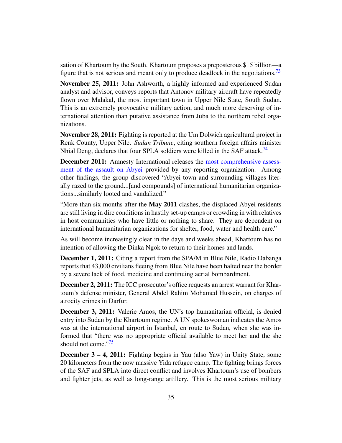<span id="page-34-0"></span>sation of Khartoum by the South. Khartoum proposes a preposterous \$15 billion—a figure that is not serious and meant only to produce deadlock in the negotiations.<sup>[73](#page-65-17)</sup>

November 25, 2011: John Ashworth, a highly informed and experienced Sudan analyst and advisor, conveys reports that Antonov military aircraft have repeatedly flown over Malakal, the most important town in Upper Nile State, South Sudan. This is an extremely provocative military action, and much more deserving of international attention than putative assistance from Juba to the northern rebel organizations.

<span id="page-34-1"></span>November 28, 2011: Fighting is reported at the Um Dolwich agricultural project in Renk County, Upper Nile. *Sudan Tribune*, citing southern foreign affairs minister Nhial Deng, declares that four SPLA soldiers were killed in the SAF attack.<sup>[74](#page-65-18)</sup>

December 2011: Amnesty International releases the [most comprehensive assess](http://www.amnesty.org/en/library/info/AFR54/041/2011/en)[ment of the assault on Abyei](http://www.amnesty.org/en/library/info/AFR54/041/2011/en) provided by any reporting organization. Among other findings, the group discovered "Abyei town and surrounding villages literally razed to the ground...[and compounds] of international humanitarian organizations...similarly looted and vandalized."

"More than six months after the May 2011 clashes, the displaced Abyei residents are still living in dire conditions in hastily set-up camps or crowding in with relatives in host communities who have little or nothing to share. They are dependent on international humanitarian organizations for shelter, food, water and health care."

As will become increasingly clear in the days and weeks ahead, Khartoum has no intention of allowing the Dinka Ngok to return to their homes and lands.

December 1, 2011: Citing a report from the SPA/M in Blue Nile, Radio Dabanga reports that 43,000 civilians fleeing from Blue Nile have been halted near the border by a severe lack of food, medicine and continuing aerial bombardment.

**December 2, 2011:** The ICC prosecutor's office requests an arrest warrant for Khartoum's defense minister, General Abdel Rahim Mohamed Hussein, on charges of atrocity crimes in Darfur.

December 3, 2011: Valerie Amos, the UN's top humanitarian official, is denied entry into Sudan by the Khartoum regime. A UN spokeswoman indicates the Amos was at the international airport in Istanbul, en route to Sudan, when she was informed that "there was no appropriate official available to meet her and the she should not come." $75$ 

<span id="page-34-2"></span>December 3 – 4, 2011: Fighting begins in Yau (also Yaw) in Unity State, some 20 kilometers from the now massive Yida refugee camp. The fighting brings forces of the SAF and SPLA into direct conflict and involves Khartoum's use of bombers and fighter jets, as well as long-range artillery. This is the most serious military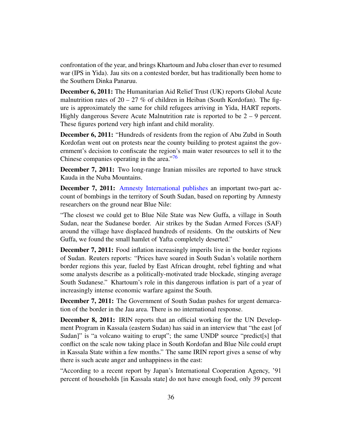confrontation of the year, and brings Khartoum and Juba closer than ever to resumed war (IPS in Yida). Jau sits on a contested border, but has traditionally been home to the Southern Dinka Panaruu.

December 6, 2011: The Humanitarian Aid Relief Trust (UK) reports Global Acute malnutrition rates of  $20 - 27$  % of children in Heiban (South Kordofan). The figure is approximately the same for child refugees arriving in Yida, HART reports. Highly dangerous Severe Acute Malnutrition rate is reported to be  $2 - 9$  percent. These figures portend very high infant and child morality.

**December 6, 2011:** "Hundreds of residents from the region of Abu Zubd in South Kordofan went out on protests near the county building to protest against the government's decision to confiscate the region's main water resources to sell it to the Chinese companies operating in the area. $176$  $176$ 

<span id="page-35-0"></span>December 7, 2011: Two long-range Iranian missiles are reported to have struck Kauda in the Nuba Mountains.

December 7, 2011: [Amnesty International publishes](http://www.twylah.com/AmnestyOnline/tweets/144435790477406209) an important two-part account of bombings in the territory of South Sudan, based on reporting by Amnesty researchers on the ground near Blue Nile:

"The closest we could get to Blue Nile State was New Guffa, a village in South Sudan, near the Sudanese border. Air strikes by the Sudan Armed Forces (SAF) around the village have displaced hundreds of residents. On the outskirts of New Guffa, we found the small hamlet of Yafta completely deserted."

December 7, 2011: Food inflation increasingly imperils live in the border regions of Sudan. Reuters reports: "Prices have soared in South Sudan's volatile northern border regions this year, fueled by East African drought, rebel fighting and what some analysts describe as a politically-motivated trade blockade, stinging average South Sudanese." Khartoum's role in this dangerous inflation is part of a year of increasingly intense economic warfare against the South.

December 7, 2011: The Government of South Sudan pushes for urgent demarcation of the border in the Jau area. There is no international response.

December 8, 2011: IRIN reports that an official working for the UN Development Program in Kassala (eastern Sudan) has said in an interview that "the east [of Sudan]" is "a volcano waiting to erupt"; the same UNDP source "predict<sup>[s]</sup> that conflict on the scale now taking place in South Kordofan and Blue Nile could erupt in Kassala State within a few months." The same IRIN report gives a sense of why there is such acute anger and unhappiness in the east:

"According to a recent report by Japan's International Cooperation Agency, '91 percent of households [in Kassala state] do not have enough food, only 39 percent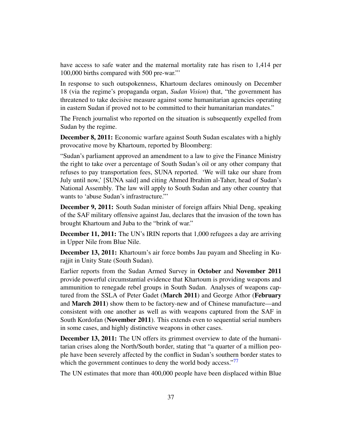have access to safe water and the maternal mortality rate has risen to 1,414 per 100,000 births compared with 500 pre-war."'

In response to such outspokenness, Khartoum declares ominously on December 18 (via the regime's propaganda organ, *Sudan Vision*) that, "the government has threatened to take decisive measure against some humanitarian agencies operating in eastern Sudan if proved not to be committed to their humanitarian mandates."

The French journalist who reported on the situation is subsequently expelled from Sudan by the regime.

December 8, 2011: Economic warfare against South Sudan escalates with a highly provocative move by Khartoum, reported by Bloomberg:

"Sudan's parliament approved an amendment to a law to give the Finance Ministry the right to take over a percentage of South Sudan's oil or any other company that refuses to pay transportation fees, SUNA reported. 'We will take our share from July until now,' [SUNA said] and citing Ahmed Ibrahim al-Taher, head of Sudan's National Assembly. The law will apply to South Sudan and any other country that wants to 'abuse Sudan's infrastructure."'

December 9, 2011: South Sudan minister of foreign affairs Nhial Deng, speaking of the SAF military offensive against Jau, declares that the invasion of the town has brought Khartoum and Juba to the "brink of war."

December 11, 2011: The UN's IRIN reports that 1,000 refugees a day are arriving in Upper Nile from Blue Nile.

December 13, 2011: Khartoum's air force bombs Jau payam and Sheeling in Kurajjit in Unity State (South Sudan).

Earlier reports from the Sudan Armed Survey in October and November 2011 provide powerful circumstantial evidence that Khartoum is providing weapons and ammunition to renegade rebel groups in South Sudan. Analyses of weapons captured from the SSLA of Peter Gadet (March 2011) and George Athor (February and March 2011) show them to be factory-new and of Chinese manufacture—and consistent with one another as well as with weapons captured from the SAF in South Kordofan (November 2011). This extends even to sequential serial numbers in some cases, and highly distinctive weapons in other cases.

December 13, 2011: The UN offers its grimmest overview to date of the humanitarian crises along the North/South border, stating that "a quarter of a million people have been severely affected by the conflict in Sudan's southern border states to which the government continues to deny the world body access."<sup>[77](#page-65-21)</sup>

<span id="page-36-0"></span>The UN estimates that more than 400,000 people have been displaced within Blue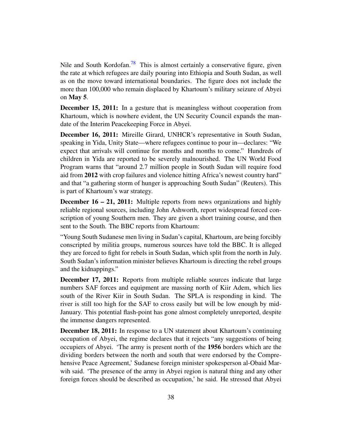<span id="page-37-0"></span>Nile and South Kordofan.<sup>[78](#page-65-22)</sup> This is almost certainly a conservative figure, given the rate at which refugees are daily pouring into Ethiopia and South Sudan, as well as on the move toward international boundaries. The figure does not include the more than 100,000 who remain displaced by Khartoum's military seizure of Abyei on May 5.

December 15, 2011: In a gesture that is meaningless without cooperation from Khartoum, which is nowhere evident, the UN Security Council expands the mandate of the Interim Peacekeeping Force in Abyei.

December 16, 2011: Mireille Girard, UNHCR's representative in South Sudan, speaking in Yida, Unity State—where refugees continue to pour in—declares: "We expect that arrivals will continue for months and months to come." Hundreds of children in Yida are reported to be severely malnourished. The UN World Food Program warns that "around 2.7 million people in South Sudan will require food aid from 2012 with crop failures and violence hitting Africa's newest country hard" and that "a gathering storm of hunger is approaching South Sudan" (Reuters). This is part of Khartoum's war strategy.

December 16 – 21, 2011: Multiple reports from news organizations and highly reliable regional sources, including John Ashworth, report widespread forced conscription of young Southern men. They are given a short training course, and then sent to the South. The BBC reports from Khartoum:

"Young South Sudanese men living in Sudan's capital, Khartoum, are being forcibly conscripted by militia groups, numerous sources have told the BBC. It is alleged they are forced to fight for rebels in South Sudan, which split from the north in July. South Sudan's information minister believes Khartoum is directing the rebel groups and the kidnappings."

December 17, 2011: Reports from multiple reliable sources indicate that large numbers SAF forces and equipment are massing north of Kiir Adem, which lies south of the River Kiir in South Sudan. The SPLA is responding in kind. The river is still too high for the SAF to cross easily but will be low enough by mid-January. This potential flash-point has gone almost completely unreported, despite the immense dangers represented.

December 18, 2011: In response to a UN statement about Khartoum's continuing occupation of Abyei, the regime declares that it rejects "any suggestions of being occupiers of Abyei. 'The army is present north of the 1956 borders which are the dividing borders between the north and south that were endorsed by the Comprehensive Peace Agreement,' Sudanese foreign minister spokesperson al-Obaid Marwih said. 'The presence of the army in Abyei region is natural thing and any other foreign forces should be described as occupation,' he said. He stressed that Abyei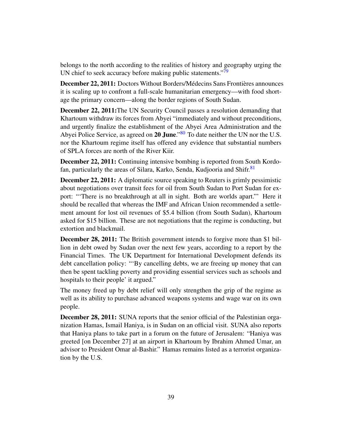<span id="page-38-0"></span>belongs to the north according to the realities of history and geography urging the UN chief to seek accuracy before making public statements."<sup>[79](#page-65-23)</sup>

December 22, 2011: Doctors Without Borders/Médecins Sans Frontières announces it is scaling up to confront a full-scale humanitarian emergency—with food shortage the primary concern—along the border regions of South Sudan.

<span id="page-38-1"></span>December 22, 2011:The UN Security Council passes a resolution demanding that Khartoum withdraw its forces from Abyei "immediately and without preconditions, and urgently finalize the establishment of the Abyei Area Administration and the Abyei Police Service, as agreed on 20 June."<sup>[80](#page-65-24)</sup> To date neither the UN nor the U.S. nor the Khartoum regime itself has offered any evidence that substantial numbers of SPLA forces are north of the River Kiir.

<span id="page-38-2"></span>December 22, 2011: Continuing intensive bombing is reported from South Kordo-fan, particularly the areas of Silara, Karko, Senda, Kudjooria and Shifr.<sup>[81](#page-65-25)</sup>

December 22, 2011: A diplomatic source speaking to Reuters is grimly pessimistic about negotiations over transit fees for oil from South Sudan to Port Sudan for export: "'There is no breakthrough at all in sight. Both are worlds apart."' Here it should be recalled that whereas the IMF and African Union recommended a settlement amount for lost oil revenues of \$5.4 billion (from South Sudan), Khartoum asked for \$15 billion. These are not negotiations that the regime is conducting, but extortion and blackmail.

December 28, 2011: The British government intends to forgive more than \$1 billion in debt owed by Sudan over the next few years, according to a report by the Financial Times. The UK Department for International Development defends its debt cancellation policy: "'By cancelling debts, we are freeing up money that can then be spent tackling poverty and providing essential services such as schools and hospitals to their people' it argued."

The money freed up by debt relief will only strengthen the grip of the regime as well as its ability to purchase advanced weapons systems and wage war on its own people.

December 28, 2011: SUNA reports that the senior official of the Palestinian organization Hamas, Ismail Haniya, is in Sudan on an official visit. SUNA also reports that Haniya plans to take part in a forum on the future of Jerusalem: "Haniya was greeted [on December 27] at an airport in Khartoum by Ibrahim Ahmed Umar, an advisor to President Omar al-Bashir." Hamas remains listed as a terrorist organization by the U.S.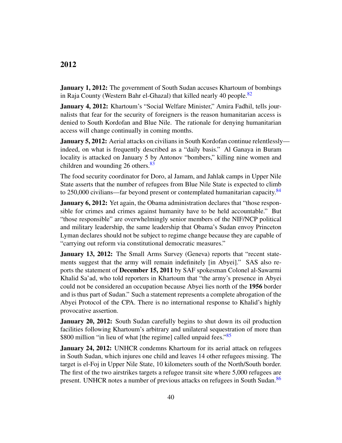#### 2012

<span id="page-39-0"></span>**January 1, 2012:** The government of South Sudan accuses Khartoum of bombings in Raja County (Western Bahr el-Ghazal) that killed nearly 40 people.<sup>[82](#page-65-26)</sup>

January 4, 2012: Khartoum's "Social Welfare Minister," Amira Fadhil, tells journalists that fear for the security of foreigners is the reason humanitarian access is denied to South Kordofan and Blue Nile. The rationale for denying humanitarian access will change continually in coming months.

**January 5, 2012:** Aerial attacks on civilians in South Kordofan continue relentlessly indeed, on what is frequently described as a "daily basis." Al Ganaya in Buram locality is attacked on January 5 by Antonov "bombers," killing nine women and children and wounding 26 others. $83$ 

<span id="page-39-2"></span><span id="page-39-1"></span>The food security coordinator for Doro, al Jamam, and Jahlak camps in Upper Nile State asserts that the number of refugees from Blue Nile State is expected to climb to  $250,000$  civilians—far beyond present or contemplated humanitarian capacity.<sup>[84](#page-66-1)</sup>

January 6, 2012: Yet again, the Obama administration declares that "those responsible for crimes and crimes against humanity have to be held accountable." But "those responsible" are overwhelmingly senior members of the NIF/NCP political and military leadership, the same leadership that Obama's Sudan envoy Princeton Lyman declares should not be subject to regime change because they are capable of "carrying out reform via constitutional democratic measures."

January 13, 2012: The Small Arms Survey (Geneva) reports that "recent statements suggest that the army will remain indefinitely [in Abyei]." SAS also reports the statement of December 15, 2011 by SAF spokesman Colonel al-Sawarmi Khalid Sa'ad, who told reporters in Khartoum that "the army's presence in Abyei could not be considered an occupation because Abyei lies north of the 1956 border and is thus part of Sudan." Such a statement represents a complete abrogation of the Abyei Protocol of the CPA. There is no international response to Khalid's highly provocative assertion.

<span id="page-39-3"></span>**January 20, 2012:** South Sudan carefully begins to shut down its oil production facilities following Khartoum's arbitrary and unilateral sequestration of more than \$800 million "in lieu of what [the regime] called unpaid fees."<sup>[85](#page-66-2)</sup>

<span id="page-39-4"></span>**January 24, 2012:** UNHCR condemns Khartoum for its aerial attack on refugees in South Sudan, which injures one child and leaves 14 other refugees missing. The target is el-Foj in Upper Nile State, 10 kilometers south of the North/South border. The first of the two airstrikes targets a refugee transit site where 5,000 refugees are present. UNHCR notes a number of previous attacks on refugees in South Sudan.<sup>[86](#page-66-3)</sup>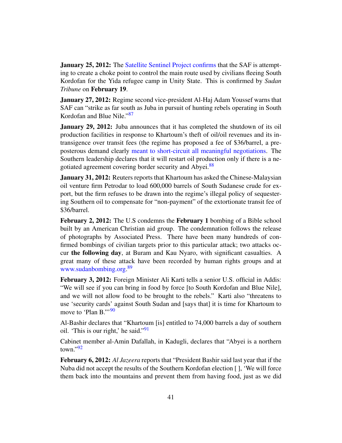**January 25, 2012:** The [Satellite Sentinel Project confirms](http://www.satsentinel.org/imagery/chokepoint-evidence-saf-control-refugee-route-south-sudan-imagery) that the SAF is attempting to create a choke point to control the main route used by civilians fleeing South Kordofan for the Yida refugee camp in Unity State. This is confirmed by *Sudan Tribune* on February 19.

<span id="page-40-0"></span>January 27, 2012: Regime second vice-president Al-Haj Adam Youssef warns that SAF can "strike as far south as Juba in pursuit of hunting rebels operating in South Kordofan and Blue Nile."[87](#page-66-4)

January 29, 2012: Juba announces that it has completed the shutdown of its oil production facilities in response to Khartoum's theft of oil/oil revenues and its intransigence over transit fees (the regime has proposed a fee of \$36/barrel, a preposterous demand clearly [meant to short-circuit all meaningful negotiations.](http://www.sudanreeves.org/2012/01/30/sudan-oil-crisis-extortion-and-misappropriation-are-not-negotiations/) The Southern leadership declares that it will restart oil production only if there is a ne-gotiated agreement covering border security and Abyei.<sup>[88](#page-66-5)</sup>

<span id="page-40-1"></span>**January 31, 2012:** Reuters reports that Khartoum has asked the Chinese-Malaysian oil venture firm Petrodar to load 600,000 barrels of South Sudanese crude for export, but the firm refuses to be drawn into the regime's illegal policy of sequestering Southern oil to compensate for "non-payment" of the extortionate transit fee of \$36/barrel.

February 2, 2012: The U.S condemns the February 1 bombing of a Bible school built by an American Christian aid group. The condemnation follows the release of photographs by Associated Press. There have been many hundreds of confirmed bombings of civilian targets prior to this particular attack; two attacks occur the following day, at Buram and Kau Nyaro, with significant casualties. A great many of these attack have been recorded by human rights groups and at [www.sudanbombing.org.](www.sudanbombing.com) [89](#page-66-6)

<span id="page-40-2"></span>February 3, 2012: Foreign Minister Ali Karti tells a senior U.S. official in Addis: "We will see if you can bring in food by force [to South Kordofan and Blue Nile], and we will not allow food to be brought to the rebels." Karti also "threatens to use 'security cards' against South Sudan and [says that] it is time for Khartoum to move to 'Plan B."<sup>[90](#page-66-7)</sup>

<span id="page-40-4"></span><span id="page-40-3"></span>Al-Bashir declares that "Khartoum [is] entitled to 74,000 barrels a day of southern oil. 'This is our right,' he said.'<sup>[91](#page-66-8)</sup>

<span id="page-40-5"></span>Cabinet member al-Amin Dafallah, in Kadugli, declares that "Abyei is a northern town $\cdot$ <sup>[92](#page-66-9)</sup>

February 6, 2012: *Al Jazeera* reports that "President Bashir said last year that if the Nuba did not accept the results of the Southern Kordofan election [ ], 'We will force them back into the mountains and prevent them from having food, just as we did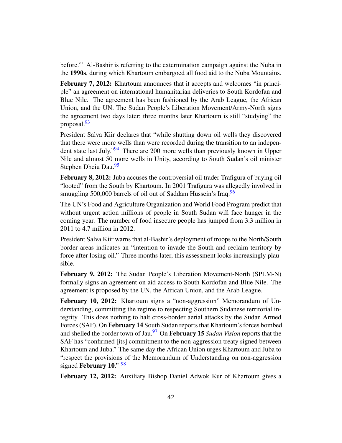before."' Al-Bashir is referring to the extermination campaign against the Nuba in the 1990s, during which Khartoum embargoed all food aid to the Nuba Mountains.

February 7, 2012: Khartoum announces that it accepts and welcomes "in principle" an agreement on international humanitarian deliveries to South Kordofan and Blue Nile. The agreement has been fashioned by the Arab League, the African Union, and the UN. The Sudan People's Liberation Movement/Army-North signs the agreement two days later; three months later Khartoum is still "studying" the proposal.<sup>[93](#page-66-10)</sup>

<span id="page-41-1"></span><span id="page-41-0"></span>President Salva Kiir declares that "while shutting down oil wells they discovered that there were more wells than were recorded during the transition to an indepen-dent state last July."<sup>[94](#page-66-11)</sup> There are 200 more wells than previously known in Upper Nile and almost 50 more wells in Unity, according to South Sudan's oil minister Stephen Dheiu Dau.<sup>[95](#page-66-12)</sup>

<span id="page-41-3"></span><span id="page-41-2"></span>February 8, 2012: Juba accuses the controversial oil trader Trafigura of buying oil "looted" from the South by Khartoum. In 2001 Trafigura was allegedly involved in smuggling 500,000 barrels of oil out of Saddam Hussein's Iraq.<sup>[96](#page-66-13)</sup>

The UN's Food and Agriculture Organization and World Food Program predict that without urgent action millions of people in South Sudan will face hunger in the coming year. The number of food insecure people has jumped from 3.3 million in 2011 to 4.7 million in 2012.

President Salva Kiir warns that al-Bashir's deployment of troops to the North/South border areas indicates an "intention to invade the South and reclaim territory by force after losing oil." Three months later, this assessment looks increasingly plausible.

February 9, 2012: The Sudan People's Liberation Movement-North (SPLM-N) formally signs an agreement on aid access to South Kordofan and Blue Nile. The agreement is proposed by the UN, the African Union, and the Arab League.

<span id="page-41-4"></span>February 10, 2012: Khartoum signs a "non-aggression" Memorandum of Understanding, committing the regime to respecting Southern Sudanese territorial integrity. This does nothing to halt cross-border aerial attacks by the Sudan Armed Forces (SAF). On February 14 South Sudan reports that Khartoum's forces bombed and shelled the border town of Jau.<sup>[97](#page-66-14)</sup> On **February 15** *Sudan Vision* reports that the SAF has "confirmed [its] commitment to the non-aggression treaty signed between Khartoum and Juba." The same day the African Union urges Khartoum and Juba to "respect the provisions of the Memorandum of Understanding on non-aggression signed February  $10.^{98}$  $10.^{98}$  $10.^{98}$ 

<span id="page-41-5"></span>February 12, 2012: Auxiliary Bishop Daniel Adwok Kur of Khartoum gives a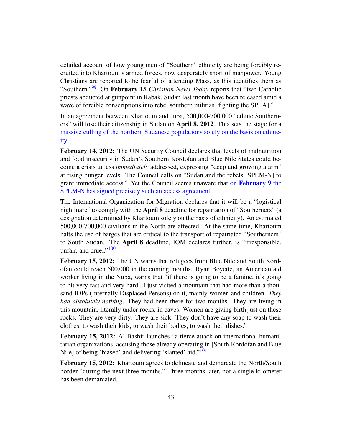<span id="page-42-0"></span>detailed account of how young men of "Southern" ethnicity are being forcibly recruited into Khartoum's armed forces, now desperately short of manpower. Young Christians are reported to be fearful of attending Mass, as this identifies them as "Southern."[99](#page-66-16) On February 15 *Christian News Today* reports that "two Catholic priests abducted at gunpoint in Rabak, Sudan last month have been released amid a wave of forcible conscriptions into rebel southern militias [fighting the SPLA]."

In an agreement between Khartoum and Juba, 500,000-700,000 "ethnic Southerners" will lose their citizenship in Sudan on April 8, 2012. This sets the stage for a [massive culling of the northern Sudanese populations solely on the basis on ethnic](http://dissentmagazine.org/atw.php?id=691)[ity.](http://dissentmagazine.org/atw.php?id=691)

February 14, 2012: The UN Security Council declares that levels of malnutrition and food insecurity in Sudan's Southern Kordofan and Blue Nile States could become a crisis unless *immediately* addressed, expressing "deep and growing alarm" at rising hunger levels. The Council calls on "Sudan and the rebels [SPLM-N] to grant immediate access." Yet the Council seems unaware that on [February 9](http://www.sudanreeves.org/2012/03/17/why-no-pressure-on-khartoum-to-accept-humanitarian-access-proposal/) the [SPLM-N has signed precisely such an access agreement.](http://www.sudanreeves.org/2012/03/17/why-no-pressure-on-khartoum-to-accept-humanitarian-access-proposal/)

The International Organization for Migration declares that it will be a "logistical nightmare" to comply with the **April 8** deadline for repatriation of "Southerners" (a designation determined by Khartoum solely on the basis of ethnicity). An estimated 500,000-700,000 civilians in the North are affected. At the same time, Khartoum halts the use of barges that are critical to the transport of repatriated "Southerners" to South Sudan. The April 8 deadline, IOM declares further, is "irresponsible, unfair, and cruel." $100$ 

<span id="page-42-1"></span>February 15, 2012: The UN warns that refugees from Blue Nile and South Kordofan could reach 500,000 in the coming months. Ryan Boyette, an American aid worker living in the Nuba, warns that "if there is going to be a famine, it's going to hit very fast and very hard...I just visited a mountain that had more than a thousand IDPs (Internally Displaced Persons) on it, mainly women and children. *They had absolutely nothing*. They had been there for two months. They are living in this mountain, literally under rocks, in caves. Women are giving birth just on these rocks. They are very dirty. They are sick. They don't have any soap to wash their clothes, to wash their kids, to wash their bodies, to wash their dishes."

<span id="page-42-2"></span>February 15, 2012: Al-Bashir launches "a fierce attack on international humanitarian organizations, accusing those already operating in [South Kordofan and Blue Nile] of being 'biased' and delivering 'slanted' aid."<sup>[101](#page-66-18)</sup>

February 15, 2012: Khartoum agrees to delineate and demarcate the North/South border "during the next three months." Three months later, not a single kilometer has been demarcated.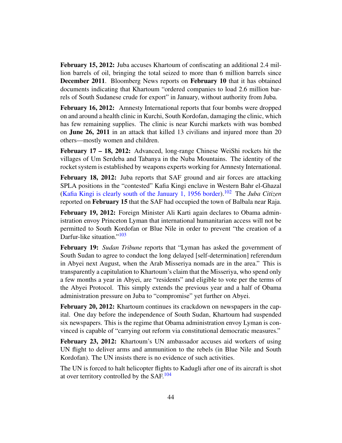February 15, 2012: Juba accuses Khartoum of confiscating an additional 2.4 million barrels of oil, bringing the total seized to more than 6 million barrels since December 2011. Bloomberg News reports on February 10 that it has obtained documents indicating that Khartoum "ordered companies to load 2.6 million barrels of South Sudanese crude for export" in January, without authority from Juba.

February 16, 2012: Amnesty International reports that four bombs were dropped on and around a health clinic in Kurchi, South Kordofan, damaging the clinic, which has few remaining supplies. The clinic is near Kurchi markets with was bombed on June 26, 2011 in an attack that killed 13 civilians and injured more than 20 others—mostly women and children.

February 17 – 18, 2012: Advanced, long-range Chinese WeiShi rockets hit the villages of Um Serdeba and Tabanya in the Nuba Mountains. The identity of the rocket system is established by weapons experts working for Amnesty International.

<span id="page-43-0"></span>February 18, 2012: Juba reports that SAF ground and air forces are attacking SPLA positions in the "contested" Kafia Kingi enclave in Western Bahr el-Ghazal [\(Kafia Kingi is clearly south of the January 1, 1956 border\)](http://www.humansecuritygateway.com/showRecord.php?RecordId=34466).[102](#page-66-19) The *Juba Citizen* reported on February 15 that the SAF had occupied the town of Balbala near Raja.

February 19, 2012: Foreign Minister Ali Karti again declares to Obama administration envoy Princeton Lyman that international humanitarian access will not be permitted to South Kordofan or Blue Nile in order to prevent "the creation of a Darfur-like situation."<sup>[103](#page-66-20)</sup>

<span id="page-43-1"></span>February 19: *Sudan Tribune* reports that "Lyman has asked the government of South Sudan to agree to conduct the long delayed [self-determination] referendum in Abyei next August, when the Arab Misseriya nomads are in the area." This is transparently a capitulation to Khartoum's claim that the Misseriya, who spend only a few months a year in Abyei, are "residents" and eligible to vote per the terms of the Abyei Protocol. This simply extends the previous year and a half of Obama administration pressure on Juba to "compromise" yet further on Abyei.

February 20, 2012: Khartoum continues its crackdown on newspapers in the capital. One day before the independence of South Sudan, Khartoum had suspended six newspapers. This is the regime that Obama administration envoy Lyman is convinced is capable of "carrying out reform via constitutional democratic measures."

February 23, 2012: Khartoum's UN ambassador accuses aid workers of using UN flight to deliver arms and ammunition to the rebels (in Blue Nile and South Kordofan). The UN insists there is no evidence of such activities.

<span id="page-43-2"></span>The UN is forced to halt helicopter flights to Kadugli after one of its aircraft is shot at over territory controlled by the  $SAF<sup>104</sup>$  $SAF<sup>104</sup>$  $SAF<sup>104</sup>$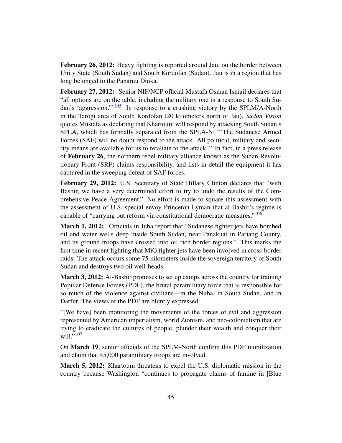February 26, 2012: Heavy fighting is reported around Jau, on the border between Unity State (South Sudan) and South Kordofan (Sudan). Jau is in a region that has long belonged to the Panaruu Dinka.

<span id="page-44-0"></span>February 27, 2012: Senior NIF/NCP official Mustafa Osman Ismail declares that "all options are on the table, including the military one in a response to South Su-dan's 'aggression."<sup>[105](#page-66-22)</sup> In response to a crushing victory by the SPLM/A-North in the Tarogi area of South Kordofan (20 kilometers north of Jau), *Sudan Vision* quotes Mustafa as declaring that Khartoum will respond by attacking South Sudan's SPLA, which has formally separated from the SPLA-N: "'The Sudanese Armed Forces (SAF) will no doubt respond to the attack. All political, military and security means are available for us to retaliate to the attack."' In fact, in a press release of February 26, the northern rebel military alliance known as the Sudan Revolutionary Front (SRF) claims responsibility, and lists in detail the equipment it has captured in the sweeping defeat of SAF forces.

February 29, 2012: U.S. Secretary of State Hillary Clinton declares that "with Bashir, we have a very determined effort to try to undo the results of the Comprehensive Peace Agreement." No effort is made to square this assessment with the assessment of U.S. special envoy Princeton Lyman that al-Bashir's regime is capable of "carrying out reform via constitutional democratic measures."<sup>[106](#page-66-23)</sup>

<span id="page-44-1"></span>March 1, 2012: Officials in Juba report that "Sudanese fighter jets have bombed oil and water wells deep inside South Sudan, near Panakuat in Pariang County, and its ground troops have crossed into oil rich border regions." This marks the first time in recent fighting that MiG fighter jets have been involved in cross-border raids. The attack occurs some 75 kilometers inside the sovereign territory of South Sudan and destroys two oil well-heads.

March 3, 2012: Al-Bashir promises to set up camps across the country for training Popular Defense Forces (PDF), the brutal paramilitary force that is responsible for so much of the violence against civilians—in the Nuba, in South Sudan, and in Darfur. The views of the PDF are bluntly expressed:

"[We have] been monitoring the movements of the forces of evil and aggression represented by American imperialism, world Zionism, and neo-colonialism that are trying to eradicate the cultures of people, plunder their wealth and conquer their will." $107$ 

<span id="page-44-2"></span>On March 19, senior officials of the SPLM-North confirm this PDF mobilization and claim that 45,000 paramilitary troops are involved.

March 5, 2012: Khartoum threatens to expel the U.S. diplomatic mission in the country because Washington "continues to propagate claims of famine in [Blue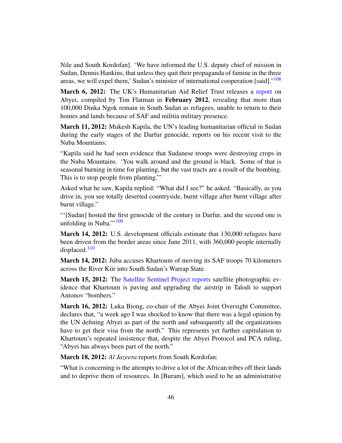<span id="page-45-0"></span>Nile and South Kordofan]. 'We have informed the U.S. deputy chief of mission in Sudan, Dennis Hankins, that unless they quit their propaganda of famine in the three areas, we will expel them,' Sudan's minister of international cooperation [said]. $108$ 

March 6, 2012: The UK's Humanitarian Aid Relief Trust releases a [report](http://reliefweb.int/node/481046) on Abyei, compiled by Tim Flatman in February 2012, revealing that more than 100,000 Dinka Ngok remain in South Sudan as refugees, unable to return to their homes and lands because of SAF and militia military presence.

March 11, 2012: Mukesh Kapila, the UN's leading humanitarian official in Sudan during the early stages of the Darfur genocide, reports on his recent visit to the Nuba Mountains:

"Kapila said he had seen evidence that Sudanese troops were destroying crops in the Nuba Mountains. 'You walk around and the ground is black. Some of that is seasonal burning in time for planting, but the vast tracts are a result of the bombing. This is to stop people from planting."'

Asked what he saw, Kapila replied: "What did I see?" he asked. "Basically, as you drive in, you see totally deserted countryside, burnt village after burnt village after burnt village."

<span id="page-45-1"></span>"'[Sudan] hosted the first genocide of the century in Darfur, and the second one is unfolding in Nuba."<sup>[109](#page-66-26)</sup>

<span id="page-45-2"></span>March 14, 2012: U.S. development officials estimate that 130,000 refugees have been driven from the border areas since June 2011, with 360,000 people internally  $displaced.<sup>110</sup>$  $displaced.<sup>110</sup>$  $displaced.<sup>110</sup>$ 

March 14, 2012: Juba accuses Khartoum of moving its SAF troops 70 kilometers across the River Kiir into South Sudan's Warrap State.

March 15, 2012: The [Satellite Sentinel Project reports](http://www.satsentinel.org/report/impact-indiscriminate-bombardment-saf-antonov-south-kordofan-sudan-report) satellite photographic evidence that Khartoum is paving and upgrading the airstrip in Talodi to support Antonov "bombers."

March 16, 2012: Luka Biong, co-chair of the Abyei Joint Oversight Committee, declares that, "a week ago I was shocked to know that there was a legal opinion by the UN defining Abyei as part of the north and subsequently all the organizations have to get their visa from the north." This represents yet further capitulation to Khartoum's repeated insistence that, despite the Abyei Protocol and PCA ruling, "Abyei has always been part of the north."

March 18, 2012: *Al Jazeera* reports from South Kordofan:

"What is concerning is the attempts to drive a lot of the African tribes off their lands and to deprive them of resources. In [Buram], which used to be an administrative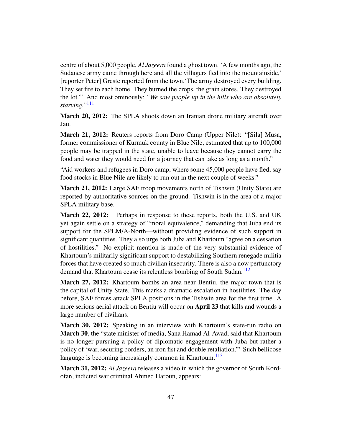centre of about 5,000 people, *Al Jazeera* found a ghost town. 'A few months ago, the Sudanese army came through here and all the villagers fled into the mountainside,' [reporter Peter] Greste reported from the town.'The army destroyed every building. They set fire to each home. They burned the crops, the grain stores. They destroyed the lot."' And most ominously: "*We saw people up in the hills who are absolutely* starving."<sup>[111](#page-66-28)</sup>

<span id="page-46-0"></span>**March 20, 2012:** The SPLA shoots down an Iranian drone military aircraft over Jau.

March 21, 2012: Reuters reports from Doro Camp (Upper Nile): "[Sila] Musa, former commissioner of Kurmuk county in Blue Nile, estimated that up to 100,000 people may be trapped in the state, unable to leave because they cannot carry the food and water they would need for a journey that can take as long as a month."

"Aid workers and refugees in Doro camp, where some 45,000 people have fled, say food stocks in Blue Nile are likely to run out in the next couple of weeks."

March 21, 2012: Large SAF troop movements north of Tishwin (Unity State) are reported by authoritative sources on the ground. Tishwin is in the area of a major SPLA military base.

March 22, 2012: Perhaps in response to these reports, both the U.S. and UK yet again settle on a strategy of "moral equivalence," demanding that Juba end its support for the SPLM/A-North—without providing evidence of such support in significant quantities. They also urge both Juba and Khartoum "agree on a cessation of hostilities." No explicit mention is made of the very substantial evidence of Khartoum's militarily significant support to destabilizing Southern renegade militia forces that have created so much civilian insecurity. There is also a now perfunctory demand that Khartoum cease its relentless bombing of South Sudan.<sup>[112](#page-67-0)</sup>

<span id="page-46-1"></span>March 27, 2012: Khartoum bombs an area near Bentiu, the major town that is the capital of Unity State. This marks a dramatic escalation in hostilities. The day before, SAF forces attack SPLA positions in the Tishwin area for the first time. A more serious aerial attack on Bentiu will occur on April 23 that kills and wounds a large number of civilians.

March 30, 2012: Speaking in an interview with Khartoum's state-run radio on March 30, the "state minister of media, Sana Hamad Al-Awad, said that Khartoum is no longer pursuing a policy of diplomatic engagement with Juba but rather a policy of 'war, securing borders, an iron fist and double retaliation."' Such bellicose language is becoming increasingly common in Khartoum.<sup>[113](#page-67-1)</sup>

<span id="page-46-2"></span>March 31, 2012: *Al Jazeera* releases a video in which the governor of South Kordofan, indicted war criminal Ahmed Haroun, appears: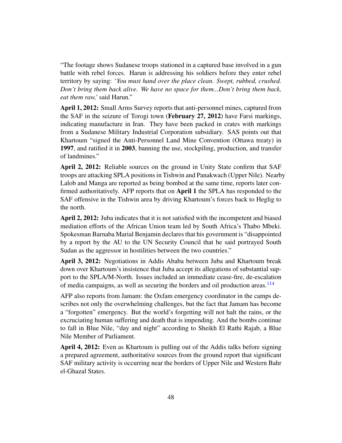"The footage shows Sudanese troops stationed in a captured base involved in a gun battle with rebel forces. Harun is addressing his soldiers before they enter rebel territory by saying: '*You must hand over the place clean. Swept, rubbed, crushed. Don't bring them back alive. We have no space for them...Don't bring them back, eat them raw,'* said Harun."

April 1, 2012: Small Arms Survey reports that anti-personnel mines, captured from the SAF in the seizure of Torogi town (February 27, 2012) have Farsi markings, indicating manufacture in Iran. They have been packed in crates with markings from a Sudanese Military Industrial Corporation subsidiary. SAS points out that Khartoum "signed the Anti-Personnel Land Mine Convention (Ottawa treaty) in 1997, and ratified it in 2003, banning the use, stockpiling, production, and transfer of landmines."

April 2, 2012: Reliable sources on the ground in Unity State confirm that SAF troops are attacking SPLA positions in Tishwin and Panakwach (Upper Nile). Nearby Lalob and Manga are reported as being bombed at the same time, reports later confirmed authoritatively. AFP reports that on April 1 the SPLA has responded to the SAF offensive in the Tishwin area by driving Khartoum's forces back to Heglig to the north.

April 2, 2012: Juba indicates that it is not satisfied with the incompetent and biased mediation efforts of the African Union team led by South Africa's Thabo Mbeki. Spokesman Barnaba Marial Benjamin declares that his government is "disappointed by a report by the AU to the UN Security Council that he said portrayed South Sudan as the aggressor in hostilities between the two countries."

April 3, 2012: Negotiations in Addis Ababa between Juba and Khartoum break down over Khartoum's insistence that Juba accept its allegations of substantial support to the SPLA/M-North. Issues included an immediate cease-fire, de-escalation of media campaigns, as well as securing the borders and oil production areas.<sup>[114](#page-67-2)</sup>

<span id="page-47-0"></span>AFP also reports from Jamam: the Oxfam emergency coordinator in the camps describes not only the overwhelming challenges, but the fact that Jamam has become a "forgotten" emergency. But the world's forgetting will not halt the rains, or the excruciating human suffering and death that is impending. And the bombs continue to fall in Blue Nile, "day and night" according to Sheikh El Rathi Rajab, a Blue Nile Member of Parliament.

April 4, 2012: Even as Khartoum is pulling out of the Addis talks before signing a prepared agreement, authoritative sources from the ground report that significant SAF military activity is occurring near the borders of Upper Nile and Western Bahr el-Ghazal States.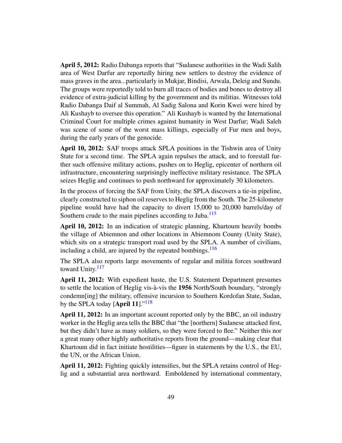April 5, 2012: Radio Dabanga reports that "Sudanese authorities in the Wadi Salih area of West Darfur are reportedly hiring new settlers to destroy the evidence of mass graves in the area...particularly in Mukjar, Bindisi, Arwala, Deleig and Sundu. The groups were reportedly told to burn all traces of bodies and bones to destroy all evidence of extra-judicial killing by the government and its militias. Witnesses told Radio Dabanga Daif al Summah, Al Sadig Salona and Korin Kwei were hired by Ali Kushayb to oversee this operation." Ali Kushayb is wanted by the International Criminal Court for multiple crimes against humanity in West Darfur; Wadi Saleh was scene of some of the worst mass killings, especially of Fur men and boys, during the early years of the genocide.

April 10, 2012: SAF troops attack SPLA positions in the Tishwin area of Unity State for a second time. The SPLA again repulses the attack, and to forestall further such offensive military actions, pushes on to Heglig, epicenter of northern oil infrastructure, encountering surprisingly ineffective military resistance. The SPLA seizes Heglig and continues to push northward for approximately 30 kilometers.

In the process of forcing the SAF from Unity, the SPLA discovers a tie-in pipeline, clearly constructed to siphon oil reserves to Heglig from the South. The 25-kilometer pipeline would have had the capacity to divert 15,000 to 20,000 barrels/day of Southern crude to the main pipelines according to Juba.<sup>[115](#page-67-3)</sup>

<span id="page-48-0"></span>April 10, 2012: In an indication of strategic planning, Khartoum heavily bombs the village of Abiemnon and other locations in Abiemnom County (Unity State), which sits on a strategic transport road used by the SPLA. A number of civilians, including a child, are injured by the repeated bombings.  $116$ 

<span id="page-48-2"></span><span id="page-48-1"></span>The SPLA also reports large movements of regular and militia forces southward toward Unity.<sup>[117](#page-67-5)</sup>

April 11, 2012: With expedient haste, the U.S. Statement Department presumes to settle the location of Heglig vis-à-vis the 1956 North/South boundary, "strongly condemn[ing] the military, offensive incursion to Southern Kordofan State, Sudan, by the SPLA today [April 11]."<sup>[118](#page-67-6)</sup>

<span id="page-48-3"></span>April 11, 2012: In an important account reported only by the BBC, an oil industry worker in the Heglig area tells the BBC that "the [northern] Sudanese attacked first, but they didn't have as many soldiers, so they were forced to flee." Neither this nor a great many other highly authoritative reports from the ground—making clear that Khartoum did in fact initiate hostilities—figure in statements by the U.S., the EU, the UN, or the African Union.

April 11, 2012: Fighting quickly intensifies, but the SPLA retains control of Heglig and a substantial area northward. Emboldened by international commentary,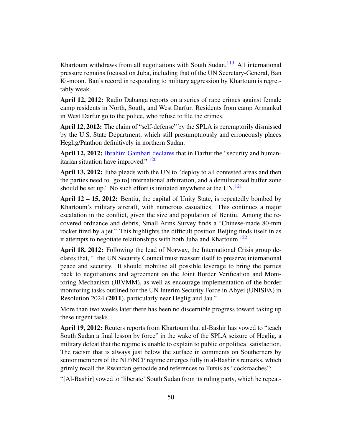<span id="page-49-0"></span>Khartoum withdraws from all negotiations with South Sudan.<sup>[119](#page-67-7)</sup> All international pressure remains focused on Juba, including that of the UN Secretary-General, Ban Ki-moon. Ban's record in responding to military aggression by Khartoum is regrettably weak.

April 12, 2012: Radio Dabanga reports on a series of rape crimes against female camp residents in North, South, and West Darfur. Residents from camp Armankul in West Darfur go to the police, who refuse to file the crimes.

April 12, 2012: The claim of "self-defense" by the SPLA is peremptorily dismissed by the U.S. State Department, which still presumptuously and erroneously places Heglig/Panthou definitively in northern Sudan.

<span id="page-49-1"></span>April 12, 2012: [Ibrahim Gambari declares](http://www.mirayafm.org/index.php/regional-news/8245-darfur-security-and-humanitarian-situation-improve) that in Darfur the "security and humanitarian situation have improved."  $\frac{120}{2}$  $\frac{120}{2}$  $\frac{120}{2}$ 

<span id="page-49-2"></span>April 13, 2012: Juba pleads with the UN to "deploy to all contested areas and then the parties need to [go to] international arbitration, and a demilitarized buffer zone should be set up." No such effort is initiated anywhere at the  $UN<sup>121</sup>$  $UN<sup>121</sup>$  $UN<sup>121</sup>$ 

April 12 – 15, 2012: Bentiu, the capital of Unity State, is repeatedly bombed by Khartoum's military aircraft, with numerous casualties. This continues a major escalation in the conflict, given the size and population of Bentiu. Among the recovered ordnance and debris, Small Arms Survey finds a "Chinese-made 80-mm rocket fired by a jet." This highlights the difficult position Beijing finds itself in as it attempts to negotiate relationships with both Juba and Khartoum.<sup>[122](#page-67-10)</sup>

<span id="page-49-3"></span>April 18, 2012: Following the lead of Norway, the International Crisis group declares that, " the UN Security Council must reassert itself to preserve international peace and security. It should mobilise all possible leverage to bring the parties back to negotiations and agreement on the Joint Border Verification and Monitoring Mechanism (JBVMM), as well as encourage implementation of the border monitoring tasks outlined for the UN Interim Security Force in Abyei (UNISFA) in Resolution 2024 (2011), particularly near Heglig and Jau."

More than two weeks later there has been no discernible progress toward taking up these urgent tasks.

April 19, 2012: Reuters reports from Khartoum that al-Bashir has vowed to "teach South Sudan a final lesson by force" in the wake of the SPLA seizure of Heglig, a military defeat that the regime is unable to explain to public or political satisfaction. The racism that is always just below the surface in comments on Southerners by senior members of the NIF/NCP regime emerges fully in al-Bashir's remarks, which grimly recall the Rwandan genocide and references to Tutsis as "cockroaches":

"[Al-Bashir] vowed to 'liberate' South Sudan from its ruling party, which he repeat-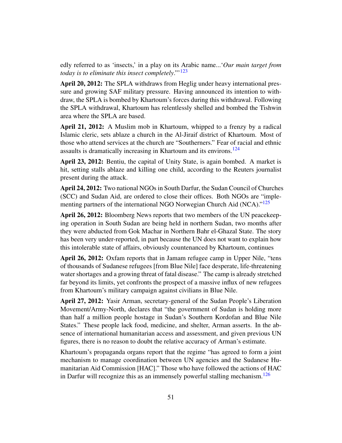<span id="page-50-0"></span>edly referred to as 'insects,' in a play on its Arabic name...'*Our main target from today is to eliminate this insect completely*."'[123](#page-67-11)

April 20, 2012: The SPLA withdraws from Heglig under heavy international pressure and growing SAF military pressure. Having announced its intention to withdraw, the SPLA is bombed by Khartoum's forces during this withdrawal. Following the SPLA withdrawal, Khartoum has relentlessly shelled and bombed the Tishwin area where the SPLA are based.

April 21, 2012: A Muslim mob in Khartoum, whipped to a frenzy by a radical Islamic cleric, sets ablaze a church in the Al-Jiraif district of Khartoum. Most of those who attend services at the church are "Southerners." Fear of racial and ethnic assaults is dramatically increasing in Khartoum and its environs.<sup>[124](#page-67-12)</sup>

<span id="page-50-1"></span>April 23, 2012: Bentiu, the capital of Unity State, is again bombed. A market is hit, setting stalls ablaze and killing one child, according to the Reuters journalist present during the attack.

April 24, 2012: Two national NGOs in South Darfur, the Sudan Council of Churches (SCC) and Sudan Aid, are ordered to close their offices. Both NGOs are "implementing partners of the international NGO Norwegian Church Aid (NCA). $125$ 

<span id="page-50-2"></span>April 26, 2012: Bloomberg News reports that two members of the UN peacekeeping operation in South Sudan are being held in northern Sudan, two months after they were abducted from Gok Machar in Northern Bahr el-Ghazal State. The story has been very under-reported, in part because the UN does not want to explain how this intolerable state of affairs, obviously countenanced by Khartoum, continues

April 26, 2012: Oxfam reports that in Jamam refugee camp in Upper Nile, "tens of thousands of Sudanese refugees [from Blue Nile] face desperate, life-threatening water shortages and a growing threat of fatal disease." The camp is already stretched far beyond its limits, yet confronts the prospect of a massive influx of new refugees from Khartoum's military campaign against civilians in Blue Nile.

April 27, 2012: Yasir Arman, secretary-general of the Sudan People's Liberation Movement/Army-North, declares that "the government of Sudan is holding more than half a million people hostage in Sudan's Southern Kordofan and Blue Nile States." These people lack food, medicine, and shelter, Arman asserts. In the absence of international humanitarian access and assessment, and given previous UN figures, there is no reason to doubt the relative accuracy of Arman's estimate.

<span id="page-50-3"></span>Khartoum's propaganda organs report that the regime "has agreed to form a joint mechanism to manage coordination between UN agencies and the Sudanese Humanitarian Aid Commission [HAC]." Those who have followed the actions of HAC in Darfur will recognize this as an immensely powerful stalling mechanism.<sup>[126](#page-67-14)</sup>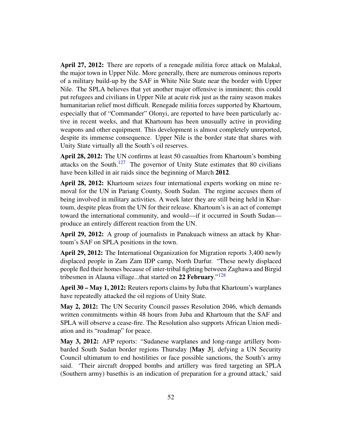April 27, 2012: There are reports of a renegade militia force attack on Malakal, the major town in Upper Nile. More generally, there are numerous ominous reports of a military build-up by the SAF in White Nile State near the border with Upper Nile. The SPLA believes that yet another major offensive is imminent; this could put refugees and civilians in Upper Nile at acute risk just as the rainy season makes humanitarian relief most difficult. Renegade militia forces supported by Khartoum, especially that of "Commander" Olonyi, are reported to have been particularly active in recent weeks, and that Khartoum has been unusually active in providing weapons and other equipment. This development is almost completely unreported, despite its immense consequence. Upper Nile is the border state that shares with Unity State virtually all the South's oil reserves.

<span id="page-51-0"></span>April 28, 2012: The UN confirms at least 50 casualties from Khartoum's bombing attacks on the South.<sup>[127](#page-67-15)</sup> The governor of Unity State estimates that 80 civilians have been killed in air raids since the beginning of March 2012.

April 28, 2012: Khartoum seizes four international experts working on mine removal for the UN in Pariang County, South Sudan. The regime accuses them of being involved in military activities. A week later they are still being held in Khartoum, despite pleas from the UN for their release. Khartoum's is an act of contempt toward the international community, and would—if it occurred in South Sudan produce an entirely different reaction from the UN.

April 29, 2012: A group of journalists in Panakuach witness an attack by Khartoum's SAF on SPLA positions in the town.

April 29, 2012: The International Organization for Migration reports 3,400 newly displaced people in Zam Zam IDP camp, North Darfur. "These newly displaced people fled their homes because of inter-tribal fighting between Zaghawa and Birgid tribesmen in Alauna village...that started on 22 February."<sup>[128](#page-67-16)</sup>

<span id="page-51-1"></span>April 30 – May 1, 2012: Reuters reports claims by Juba that Khartoum's warplanes have repeatedly attacked the oil regions of Unity State.

May 2, 2012: The UN Security Council passes Resolution 2046, which demands written commitments within 48 hours from Juba and Khartoum that the SAF and SPLA will observe a cease-fire. The Resolution also supports African Union mediation and its "roadmap" for peace.

May 3, 2012: AFP reports: "Sudanese warplanes and long-range artillery bombarded South Sudan border regions Thursday [May 3], defying a UN Security Council ultimatum to end hostilities or face possible sanctions, the South's army said. 'Their aircraft dropped bombs and artillery was fired targeting an SPLA (Southern army) basethis is an indication of preparation for a ground attack,' said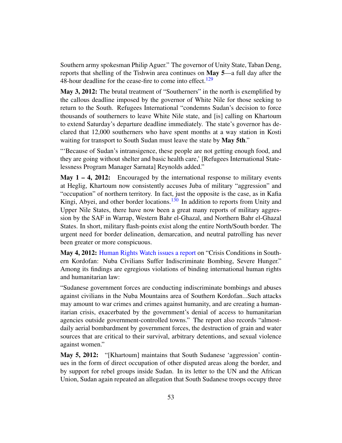<span id="page-52-0"></span>Southern army spokesman Philip Aguer." The governor of Unity State, Taban Deng, reports that shelling of the Tishwin area continues on May 5—a full day after the 48-hour deadline for the cease-fire to come into effect.<sup>[129](#page-67-17)</sup>

May 3, 2012: The brutal treatment of "Southerners" in the north is exemplified by the callous deadline imposed by the governor of White Nile for those seeking to return to the South. Refugees International "condemns Sudan's decision to force thousands of southerners to leave White Nile state, and [is] calling on Khartoum to extend Saturday's departure deadline immediately. The state's governor has declared that 12,000 southerners who have spent months at a way station in Kosti waiting for transport to South Sudan must leave the state by **May 5th.**"

"'Because of Sudan's intransigence, these people are not getting enough food, and they are going without shelter and basic health care,' [Refugees International Statelessness Program Manager Sarnata] Reynolds added."

<span id="page-52-1"></span>May 1 – 4, 2012: Encouraged by the international response to military events at Heglig, Khartoum now consistently accuses Juba of military "aggression" and "occupation" of northern territory. In fact, just the opposite is the case, as in Kafia Kingi, Abyei, and other border locations.<sup>[130](#page-67-18)</sup> In addition to reports from Unity and Upper Nile States, there have now been a great many reports of military aggression by the SAF in Warrap, Western Bahr el-Ghazal, and Northern Bahr el-Ghazal States. In short, military flash-points exist along the entire North/South border. The urgent need for border delineation, demarcation, and neutral patrolling has never been greater or more conspicuous.

May 4, 2012: [Human Rights Watch issues a report](http://www.hrw.org/news/2012/05/04/sudan-crisis-conditions-southern-kordofan) on "Crisis Conditions in Southern Kordofan: Nuba Civilians Suffer Indiscriminate Bombing, Severe Hunger." Among its findings are egregious violations of binding international human rights and humanitarian law:

"Sudanese government forces are conducting indiscriminate bombings and abuses against civilians in the Nuba Mountains area of Southern Kordofan...Such attacks may amount to war crimes and crimes against humanity, and are creating a humanitarian crisis, exacerbated by the government's denial of access to humanitarian agencies outside government-controlled towns." The report also records "almostdaily aerial bombardment by government forces, the destruction of grain and water sources that are critical to their survival, arbitrary detentions, and sexual violence against women."

May 5, 2012: "[Khartoum] maintains that South Sudanese 'aggression' continues in the form of direct occupation of other disputed areas along the border, and by support for rebel groups inside Sudan. In its letter to the UN and the African Union, Sudan again repeated an allegation that South Sudanese troops occupy three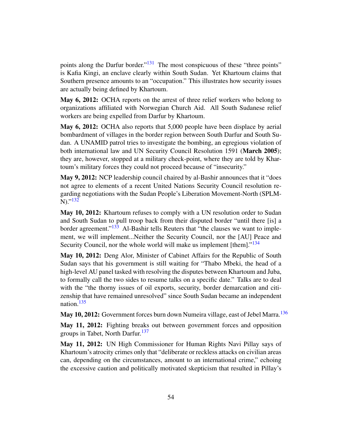<span id="page-53-0"></span>points along the Darfur border."<sup>[131](#page-67-19)</sup> The most conspicuous of these "three points" is Kafia Kingi, an enclave clearly within South Sudan. Yet Khartoum claims that Southern presence amounts to an "occupation." This illustrates how security issues are actually being defined by Khartoum.

May 6, 2012: OCHA reports on the arrest of three relief workers who belong to organizations affiliated with Norwegian Church Aid. All South Sudanese relief workers are being expelled from Darfur by Khartoum.

May 6, 2012: OCHA also reports that 5,000 people have been displace by aerial bombardment of villages in the border region between South Darfur and South Sudan. A UNAMID patrol tries to investigate the bombing, an egregious violation of both international law and UN Security Council Resolution 1591 (March 2005); they are, however, stopped at a military check-point, where they are told by Khartoum's military forces they could not proceed because of "insecurity."

May 9, 2012: NCP leadership council chaired by al-Bashir announces that it "does not agree to elements of a recent United Nations Security Council resolution regarding negotiations with the Sudan People's Liberation Movement-North (SPLM- $N$ ."<sup>[132](#page-67-20)</sup>

<span id="page-53-2"></span><span id="page-53-1"></span>May 10, 2012: Khartoum refuses to comply with a UN resolution order to Sudan and South Sudan to pull troop back from their disputed border "until there [is] a border agreement." $133$  Al-Bashir tells Reuters that "the clauses we want to implement, we will implement...Neither the Security Council, nor the [AU] Peace and Security Council, nor the whole world will make us implement [them]."<sup>[134](#page-68-1)</sup>

<span id="page-53-3"></span>May 10, 2012: Deng Alor, Minister of Cabinet Affairs for the Republic of South Sudan says that his government is still waiting for "Thabo Mbeki, the head of a high-level AU panel tasked with resolving the disputes between Khartoum and Juba, to formally call the two sides to resume talks on a specific date." Talks are to deal with the "the thorny issues of oil exports, security, border demarcation and citizenship that have remained unresolved" since South Sudan became an independent nation.[135](#page-68-2)

<span id="page-53-5"></span><span id="page-53-4"></span>May 10, 2012: Government forces burn down Numeira village, east of Jebel Marra.<sup>[136](#page-68-3)</sup>

<span id="page-53-6"></span>May 11, 2012: Fighting breaks out between government forces and opposition groups in Tabet, North Darfur.<sup>[137](#page-68-4)</sup>

May 11, 2012: UN High Commissioner for Human Rights Navi Pillay says of Khartoum's atrocity crimes only that "deliberate or reckless attacks on civilian areas can, depending on the circumstances, amount to an international crime," echoing the excessive caution and politically motivated skepticism that resulted in Pillay's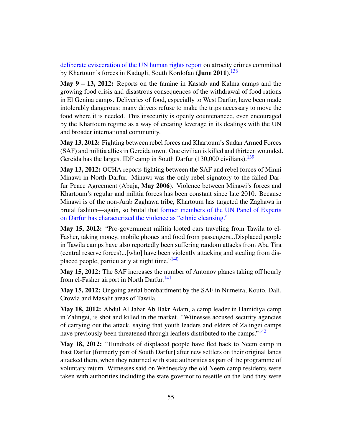<span id="page-54-0"></span>[deliberate evisceration of the UN human rights report](http://turtlebay.foreignpolicy.com/posts/2011/08/04/why_is_the_un_soft_pedaling_its_criticism_of_sudan) on atrocity crimes committed by Khartoum's forces in Kadugli, South Kordofan (June 2011).<sup>[138](#page-68-5)</sup>

May 9 – 13, 2012: Reports on the famine in Kassab and Kalma camps and the growing food crisis and disastrous consequences of the withdrawal of food rations in El Genina camps. Deliveries of food, especially to West Darfur, have been made intolerably dangerous: many drivers refuse to make the trips necessary to move the food where it is needed. This insecurity is openly countenanced, even encouraged by the Khartoum regime as a way of creating leverage in its dealings with the UN and broader international community.

<span id="page-54-1"></span>May 13, 2012: Fighting between rebel forces and Khartoum's Sudan Armed Forces (SAF) and militia allies in Gereida town. One civilian is killed and thirteen wounded. Gereida has the largest IDP camp in South Darfur  $(130,000 \text{ civilians})$ .<sup>[139](#page-68-6)</sup>

May 13, 2012: OCHA reports fighting between the SAF and rebel forces of Minni Minawi in North Darfur. Minawi was the only rebel signatory to the failed Darfur Peace Agreement (Abuja, May 2006). Violence between Minawi's forces and Khartoum's regular and militia forces has been constant since late 2010. Because Minawi is of the non-Arab Zaghawa tribe, Khartoum has targeted the Zaghawa in brutal fashion—again, so brutal that [former members of the UN Panel of Experts](http://www.sudanreeves.org/2012/04/17/former-members-of-the-un-panel-of-experts-for-darfur-offer-a-damning-alternative-to-the-official-report/) [on Darfur has characterized the violence as "ethnic cleansing."](http://www.sudanreeves.org/2012/04/17/former-members-of-the-un-panel-of-experts-for-darfur-offer-a-damning-alternative-to-the-official-report/)

May 15, 2012: "Pro-government militia looted cars traveling from Tawila to el-Fasher, taking money, mobile phones and food from passengers...Displaced people in Tawila camps have also reportedly been suffering random attacks from Abu Tira (central reserve forces)...[who] have been violently attacking and stealing from displaced people, particularly at night time. $140$ 

<span id="page-54-3"></span><span id="page-54-2"></span>May 15, 2012: The SAF increases the number of Antonov planes taking off hourly from el-Fasher airport in North Darfur.<sup>[141](#page-68-8)</sup>

May 15, 2012: Ongoing aerial bombardment by the SAF in Numeira, Kouto, Dali, Crowla and Masalit areas of Tawila.

May 18, 2012: Abdul Al Jabar Ab Bakr Adam, a camp leader in Hamidiya camp in Zalingei, is shot and killed in the market. "Witnesses accused security agencies of carrying out the attack, saying that youth leaders and elders of Zalingei camps have previously been threatened through leaflets distributed to the camps."<sup>[142](#page-68-9)</sup>

<span id="page-54-4"></span>May 18, 2012: "Hundreds of displaced people have fled back to Neem camp in East Darfur [formerly part of South Darfur] after new settlers on their original lands attacked them, when they returned with state authorities as part of the programme of voluntary return. Witnesses said on Wednesday the old Neem camp residents were taken with authorities including the state governor to resettle on the land they were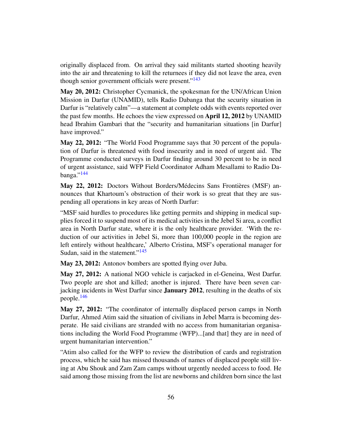<span id="page-55-0"></span>originally displaced from. On arrival they said militants started shooting heavily into the air and threatening to kill the returnees if they did not leave the area, even though senior government officials were present." $143$ 

May 20, 2012: Christopher Cycmanick, the spokesman for the UN/African Union Mission in Darfur (UNAMID), tells Radio Dabanga that the security situation in Darfur is "relatively calm"—a statement at complete odds with events reported over the past few months. He echoes the view expressed on April 12, 2012 by UNAMID head Ibrahim Gambari that the "security and humanitarian situations [in Darfur] have improved."

May 22, 2012: "The World Food Programme says that 30 percent of the population of Darfur is threatened with food insecurity and in need of urgent aid. The Programme conducted surveys in Darfur finding around 30 percent to be in need of urgent assistance, said WFP Field Coordinator Adham Mesallami to Radio Dabanga." $144$ 

<span id="page-55-1"></span>May 22, 2012: Doctors Without Borders/Médecins Sans Frontières (MSF) announces that Khartoum's obstruction of their work is so great that they are suspending all operations in key areas of North Darfur:

"MSF said hurdles to procedures like getting permits and shipping in medical supplies forced it to suspend most of its medical activities in the Jebel Si area, a conflict area in North Darfur state, where it is the only healthcare provider. 'With the reduction of our activities in Jebel Si, more than 100,000 people in the region are left entirely without healthcare,' Alberto Cristina, MSF's operational manager for Sudan, said in the statement." $145$ 

<span id="page-55-2"></span>May 23, 2012: Antonov bombers are spotted flying over Juba.

May 27, 2012: A national NGO vehicle is carjacked in el-Geneina, West Darfur. Two people are shot and killed; another is injured. There have been seven carjacking incidents in West Darfur since January 2012, resulting in the deaths of six people.[146](#page-68-13)

<span id="page-55-3"></span>May 27, 2012: "The coordinator of internally displaced person camps in North Darfur, Ahmed Atim said the situation of civilians in Jebel Marra is becoming desperate. He said civilians are stranded with no access from humanitarian organisations including the World Food Programme (WFP)...[and that] they are in need of urgent humanitarian intervention."

"Atim also called for the WFP to review the distribution of cards and registration process, which he said has missed thousands of names of displaced people still living at Abu Shouk and Zam Zam camps without urgently needed access to food. He said among those missing from the list are newborns and children born since the last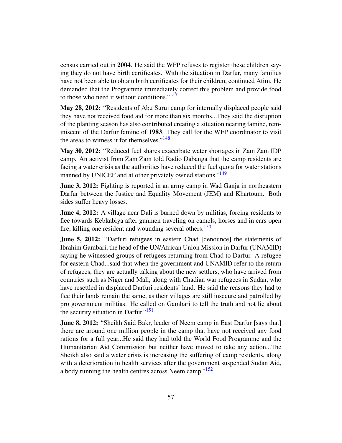census carried out in 2004. He said the WFP refuses to register these children saying they do not have birth certificates. With the situation in Darfur, many families have not been able to obtain birth certificates for their children, continued Atim. He demanded that the Programme immediately correct this problem and provide food to those who need it without conditions."<sup>[147](#page-68-14)</sup>

<span id="page-56-0"></span>May 28, 2012: "Residents of Abu Suruj camp for internally displaced people said they have not received food aid for more than six months...They said the disruption of the planting season has also contributed creating a situation nearing famine, reminiscent of the Darfur famine of 1983. They call for the WFP coordinator to visit the areas to witness it for themselves." $148$ 

<span id="page-56-1"></span>May 30, 2012: "Reduced fuel shares exacerbate water shortages in Zam Zam IDP camp. An activist from Zam Zam told Radio Dabanga that the camp residents are facing a water crisis as the authorities have reduced the fuel quota for water stations manned by UNICEF and at other privately owned stations."<sup>[149](#page-68-16)</sup>

<span id="page-56-2"></span>June 3, 2012: Fighting is reported in an army camp in Wad Ganja in northeastern Darfur between the Justice and Equality Movement (JEM) and Khartoum. Both sides suffer heavy losses.

<span id="page-56-3"></span>**June 4, 2012:** A village near Dali is burned down by militias, forcing residents to flee towards Kebkabiya after gunmen traveling on camels, horses and in cars open fire, killing one resident and wounding several others.<sup>[150](#page-68-17)</sup>

June 5, 2012: "Darfuri refugees in eastern Chad [denounce] the statements of Ibrahim Gambari, the head of the UN/African Union Mission in Darfur (UNAMID) saying he witnessed groups of refugees returning from Chad to Darfur. A refugee for eastern Chad...said that when the government and UNAMID refer to the return of refugees, they are actually talking about the new settlers, who have arrived from countries such as Niger and Mali, along with Chadian war refugees in Sudan, who have resettled in displaced Darfuri residents' land. He said the reasons they had to flee their lands remain the same, as their villages are still insecure and patrolled by pro government militias. He called on Gambari to tell the truth and not lie about the security situation in Darfur."<sup>[151](#page-68-18)</sup>

<span id="page-56-5"></span><span id="page-56-4"></span>**June 8, 2012:** "Sheikh Said Bakr, leader of Neem camp in East Darfur [says that] there are around one million people in the camp that have not received any food rations for a full year...He said they had told the World Food Programme and the Humanitarian Aid Commission but neither have moved to take any action...The Sheikh also said a water crisis is increasing the suffering of camp residents, along with a deterioration in health services after the government suspended Sudan Aid, a body running the health centres across Neem camp."<sup>[152](#page-68-19)</sup>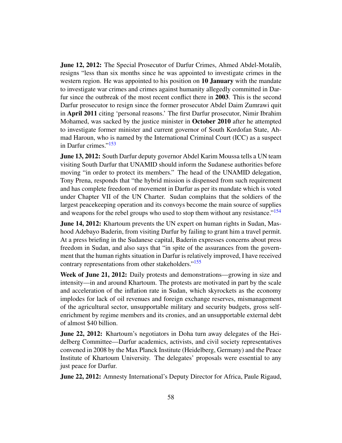June 12, 2012: The Special Prosecutor of Darfur Crimes, Ahmed Abdel-Motalib, resigns "less than six months since he was appointed to investigate crimes in the western region. He was appointed to his position on 10 **January** with the mandate to investigate war crimes and crimes against humanity allegedly committed in Darfur since the outbreak of the most recent conflict there in 2003. This is the second Darfur prosecutor to resign since the former prosecutor Abdel Daim Zumrawi quit in April 2011 citing 'personal reasons.' The first Darfur prosecutor, Nimir Ibrahim Mohamed, was sacked by the justice minister in **October 2010** after he attempted to investigate former minister and current governor of South Kordofan State, Ahmad Haroun, who is named by the International Criminal Court (ICC) as a suspect in Darfur crimes."[153](#page-68-20)

<span id="page-57-0"></span>June 13, 2012: South Darfur deputy governor Abdel Karim Moussa tells a UN team visiting South Darfur that UNAMID should inform the Sudanese authorities before moving "in order to protect its members." The head of the UNAMID delegation, Tony Prena, responds that "the hybrid mission is dispensed from such requirement and has complete freedom of movement in Darfur as per its mandate which is voted under Chapter VII of the UN Charter. Sudan complains that the soldiers of the largest peacekeeping operation and its convoys become the main source of supplies and weapons for the rebel groups who used to stop them without any resistance."<sup>[154](#page-68-21)</sup>

<span id="page-57-1"></span>**June 14, 2012:** Khartoum prevents the UN expert on human rights in Sudan, Mashood Adebayo Baderin, from visiting Darfur by failing to grant him a travel permit. At a press briefing in the Sudanese capital, Baderin expresses concerns about press freedom in Sudan, and also says that "in spite of the assurances from the government that the human rights situation in Darfur is relatively improved, I have received contrary representations from other stakeholders."<sup>[155](#page-68-22)</sup>

<span id="page-57-2"></span>Week of June 21, 2012: Daily protests and demonstrations—growing in size and intensity—in and around Khartoum. The protests are motivated in part by the scale and acceleration of the inflation rate in Sudan, which skyrockets as the economy implodes for lack of oil revenues and foreign exchange reserves, mismanagement of the agricultural sector, unsupportable military and security budgets, gross selfenrichment by regime members and its cronies, and an unsupportable external debt of almost \$40 billion.

**June 22, 2012:** Khartoum's negotiators in Doha turn away delegates of the Heidelberg Committee—Darfur academics, activists, and civil society representatives convened in 2008 by the Max Planck Institute (Heidelberg, Germany) and the Peace Institute of Khartoum University. The delegates' proposals were essential to any just peace for Darfur.

**June 22, 2012:** Amnesty International's Deputy Director for Africa, Paule Rigaud,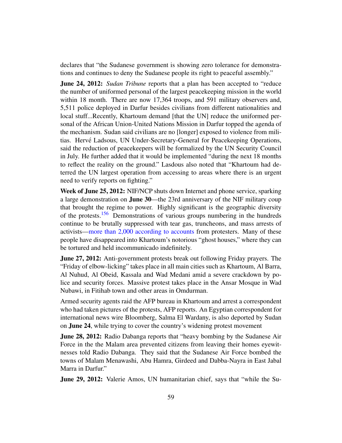declares that "the Sudanese government is showing zero tolerance for demonstrations and continues to deny the Sudanese people its right to peaceful assembly."

**June 24, 2012:** *Sudan Tribune* reports that a plan has been accepted to "reduce" the number of uniformed personal of the largest peacekeeping mission in the world within 18 month. There are now 17,364 troops, and 591 military observers and, 5,511 police deployed in Darfur besides civilians from different nationalities and local stuff...Recently, Khartoum demand [that the UN] reduce the uniformed personal of the African Union-United Nations Mission in Darfur topped the agenda of the mechanism. Sudan said civilians are no [longer] exposed to violence from militias. Hervé Ladsous, UN Under-Secretary-General for Peacekeeping Operations, said the reduction of peacekeepers will be formalized by the UN Security Council in July. He further added that it would be implemented "during the next 18 months to reflect the reality on the ground." Lasdous also noted that "Khartoum had deterred the UN largest operation from accessing to areas where there is an urgent need to verify reports on fighting."

<span id="page-58-0"></span>Week of June 25, 2012: NIF/NCP shuts down Internet and phone service, sparking a large demonstration on June 30—the 23rd anniversary of the NIF military coup that brought the regime to power. Highly significant is the geographic diversity of the protests.<sup>[156](#page-68-23)</sup> Demonstrations of various groups numbering in the hundreds continue to be brutally suppressed with tear gas, truncheons, and mass arrests of activists[—more than 2,000 according to accounts](http://www.sudantribune.com/Sudan-arrested-1000-in-crackdown,43121) from protesters. Many of these people have disappeared into Khartoum's notorious "ghost houses," where they can be tortured and held incommunicado indefinitely.

June 27, 2012: Anti-government protests break out following Friday prayers. The "Friday of elbow-licking" takes place in all main cities such as Khartoum, Al Barra, Al Nuhud, Al Obeid, Kassala and Wad Medani amid a severe crackdown by police and security forces. Massive protest takes place in the Ansar Mosque in Wad Nubawi, in Fitihab town and other areas in Omdurman.

Armed security agents raid the AFP bureau in Khartoum and arrest a correspondent who had taken pictures of the protests, AFP reports. An Egyptian correspondent for international news wire Bloomberg, Salma El Wardany, is also deported by Sudan on June 24, while trying to cover the country's widening protest movement

June 28, 2012: Radio Dabanga reports that "heavy bombing by the Sudanese Air Force in the the Malam area prevented citizens from leaving their homes eyewitnesses told Radio Dabanga. They said that the Sudanese Air Force bombed the towns of Malam Menawashi, Abu Hamra, Girdeed and Dabba-Nayra in East Jabal Marra in Darfur."

**June 29, 2012:** Valerie Amos, UN humanitarian chief, says that "while the Su-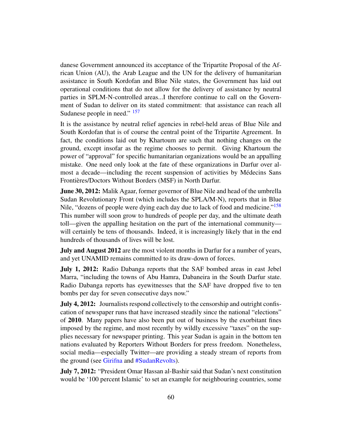danese Government announced its acceptance of the Tripartite Proposal of the African Union (AU), the Arab League and the UN for the delivery of humanitarian assistance in South Kordofan and Blue Nile states, the Government has laid out operational conditions that do not allow for the delivery of assistance by neutral parties in SPLM-N-controlled areas...I therefore continue to call on the Government of Sudan to deliver on its stated commitment: that assistance can reach all Sudanese people in need." <sup>[157](#page-68-24)</sup>

<span id="page-59-0"></span>It is the assistance by neutral relief agencies in rebel-held areas of Blue Nile and South Kordofan that is of course the central point of the Tripartite Agreement. In fact, the conditions laid out by Khartoum are such that nothing changes on the ground, except insofar as the regime chooses to permit. Giving Khartoum the power of "approval" for specific humanitarian organizations would be an appalling mistake. One need only look at the fate of these organizations in Darfur over almost a decade—including the recent suspension of activities by Medecins Sans ´ Frontières/Doctors Without Borders (MSF) in North Darfur.

<span id="page-59-1"></span>**June 30, 2012:** Malik Agaar, former governor of Blue Nile and head of the umbrella Sudan Revolutionary Front (which includes the SPLA/M-N), reports that in Blue Nile, "dozens of people were dying each day due to lack of food and medicine."<sup>[158](#page-68-25)</sup> This number will soon grow to hundreds of people per day, and the ultimate death toll—given the appalling hesitation on the part of the international community will certainly be tens of thousands. Indeed, it is increasingly likely that in the end hundreds of thousands of lives will be lost.

**July and August 2012** are the most violent months in Darfur for a number of years, and yet UNAMID remains committed to its draw-down of forces.

July 1, 2012: Radio Dabanga reports that the SAF bombed areas in east Jebel Marra, "including the towns of Abu Hamra, Dabaneira in the South Darfur state. Radio Dabanga reports has eyewitnesses that the SAF have dropped five to ten bombs per day for seven consecutive days now."

July 4, 2012: Journalists respond collectively to the censorship and outright confiscation of newspaper runs that have increased steadily since the national "elections" of 2010. Many papers have also been put out of business by the exorbitant fines imposed by the regime, and most recently by wildly excessive "taxes" on the supplies necessary for newspaper printing. This year Sudan is again in the bottom ten nations evaluated by Reporters Without Borders for press freedom. Nonetheless, social media—especially Twitter—are providing a steady stream of reports from the ground (see [Girifna](http://www.girifna.com/6257) and [#SudanRevolts\)](http://sudanrevolts.wordpress.com/).

July 7, 2012: "President Omar Hassan al-Bashir said that Sudan's next constitution would be '100 percent Islamic' to set an example for neighbouring countries, some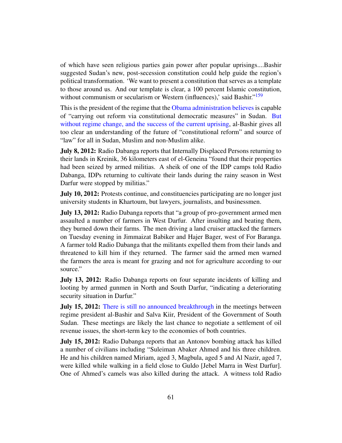of which have seen religious parties gain power after popular uprisings....Bashir suggested Sudan's new, post-secession constitution could help guide the region's political transformation. 'We want to present a constitution that serves as a template to those around us. And our template is clear, a 100 percent Islamic constitution, without communism or secularism or Western (influences),' said Bashir."<sup>[159](#page-68-26)</sup>

<span id="page-60-0"></span>This is the president of the regime that the [Obama administration believes](http://www.asharq-e.com/news.asp?section=3&id=27543) is capable of "carrying out reform via constitutional democratic measures" in Sudan. [But](http://www.sudanreeves.org/2012/07/15/3328/) [without regime change, and the success of the current uprising,](http://www.sudanreeves.org/2012/07/15/3328/) al-Bashir gives all too clear an understanding of the future of "constitutional reform" and source of "law" for all in Sudan, Muslim and non-Muslim alike.

July 8, 2012: Radio Dabanga reports that Internally Displaced Persons returning to their lands in Kreinik, 36 kilometers east of el-Geneina "found that their properties had been seized by armed militias. A sheik of one of the IDP camps told Radio Dabanga, IDPs returning to cultivate their lands during the rainy season in West Darfur were stopped by militias."

July 10, 2012: Protests continue, and constituencies participating are no longer just university students in Khartoum, but lawyers, journalists, and businessmen.

July 13, 2012: Radio Dabanga reports that "a group of pro-government armed men assaulted a number of farmers in West Darfur. After insulting and beating them, they burned down their farms. The men driving a land cruiser attacked the farmers on Tuesday evening in Jimmaizat Babiker and Hajer Bager, west of For Baranga. A farmer told Radio Dabanga that the militants expelled them from their lands and threatened to kill him if they returned. The farmer said the armed men warned the farmers the area is meant for grazing and not for agriculture according to our source."

July 13, 2012: Radio Dabanga reports on four separate incidents of killing and looting by armed gunmen in North and South Darfur, "indicating a deteriorating security situation in Darfur."

**July 15, 2012:** [There is still no announced breakthrough](http://www.ft.com/intl/cms/s/0/fda61f5c-ce8d-11e1-bc0c-00144feabdc0.html#axzz20i5sNxT2) in the meetings between regime president al-Bashir and Salva Kiir, President of the Government of South Sudan. These meetings are likely the last chance to negotiate a settlement of oil revenue issues, the short-term key to the economies of both countries.

July 15, 2012: Radio Dabanga reports that an Antonov bombing attack has killed a number of civilians including "Suleiman Abaker Ahmed and his three children. He and his children named Miriam, aged 3, Magbula, aged 5 and Al Nazir, aged 7, were killed while walking in a field close to Guldo [Jebel Marra in West Darfur]. One of Ahmed's camels was also killed during the attack. A witness told Radio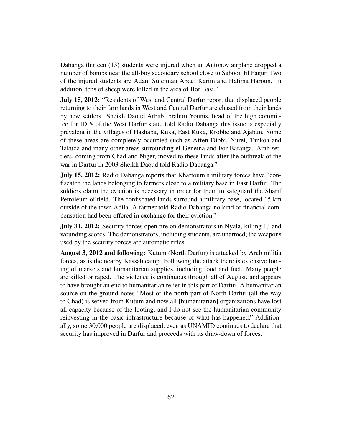Dabanga thirteen (13) students were injured when an Antonov airplane dropped a number of bombs near the all-boy secondary school close to Saboon El Fagur. Two of the injured students are Adam Suleiman Abdel Karim and Halima Haroun. In addition, tens of sheep were killed in the area of Bor Basi."

July 15, 2012: "Residents of West and Central Darfur report that displaced people returning to their farmlands in West and Central Darfur are chased from their lands by new settlers. Sheikh Daoud Arbab Ibrahim Younis, head of the high committee for IDPs of the West Darfur state, told Radio Dabanga this issue is especially prevalent in the villages of Hashaba, Kuka, East Kuka, Krobbe and Ajabun. Some of these areas are completely occupied such as Affen Dibbi, Nurei, Tankoa and Takuda and many other areas surrounding el-Geneina and For Baranga. Arab settlers, coming from Chad and Niger, moved to these lands after the outbreak of the war in Darfur in 2003 Sheikh Daoud told Radio Dabanga."

July 15, 2012: Radio Dabanga reports that Khartoum's military forces have "confiscated the lands belonging to farmers close to a military base in East Darfur. The soldiers claim the eviction is necessary in order for them to safeguard the Sharif Petroleum oilfield. The confiscated lands surround a military base, located 15 km outside of the town Adila. A farmer told Radio Dabanga no kind of financial compensation had been offered in exchange for their eviction."

July 31, 2012: Security forces open fire on demonstrators in Nyala, killing 13 and wounding scores. The demonstrators, including students, are unarmed; the weapons used by the security forces are automatic rifles.

August 3, 2012 and following: Kutum (North Darfur) is attacked by Arab militia forces, as is the nearby Kassab camp. Following the attack there is extensive looting of markets and humanitarian supplies, including food and fuel. Many people are killed or raped. The violence is continuous through all of August, and appears to have brought an end to humanitarian relief in this part of Darfur. A humanitarian source on the ground notes "Most of the north part of North Darfur (all the way to Chad) is served from Kutum and now all [humanitarian] organizations have lost all capacity because of the looting, and I do not see the humanitarian community reinvesting in the basic infrastructure because of what has happened." Additionally, some 30,000 people are displaced, even as UNAMID continues to declare that security has improved in Darfur and proceeds with its draw-down of forces.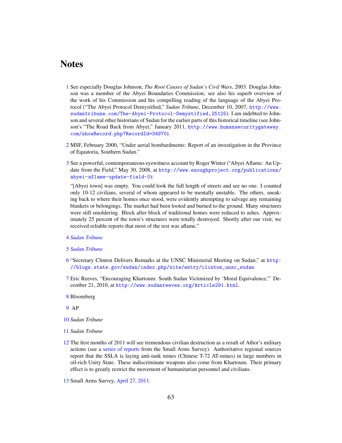### **Notes**

- <span id="page-62-0"></span>[1](#page-2-0) See especially Douglas Johnson, *The Root Causes of Sudan's Civil Wars*, 2003. Douglas Johnson was a member of the Abyei Boundaries Commission; see also his superb overview of the work of his Commission and his compelling reading of the language of the Abyei Protocol ("The Abyei Protocol Demystified," *Sudan Tribune*, December 10, 2007, [http://www.](http://www.sudantribune.com/The-Abyei-Protocol-Demystified,25125) [sudantribune.com/The-Abyei-Protocol-Demystified,25125](http://www.sudantribune.com/The-Abyei-Protocol-Demystified,25125)). I am indebted to Johnson and several other historians of Sudan for the earlier parts of this historical timeline (see Johnson's "The Road Back from Abyei," January 2011, [http://www.humansecuritygateway.](http://www.humansecuritygateway.com/showRecord.php?RecordId=34970) [com/showRecord.php?RecordId=34970](http://www.humansecuritygateway.com/showRecord.php?RecordId=34970)).
- <span id="page-62-1"></span>[2](#page-3-0) MSF, February 2000, "Under aerial bombardments: Report of an investigation in the Province of Equatoria, Southern Sudan."
- <span id="page-62-2"></span>[3](#page-6-0) See a powerful, contemporaneous eyewitness account by Roger Winter ("Abyei Aflame: An Update from the Field," May 30, 2008, at [http://www.enoughproject.org/publications/]( http://www.enoughproject.org/publications/abyei-aflame-update-field-0) [abyei-aflame-update-field-0]( http://www.enoughproject.org/publications/abyei-aflame-update-field-0)):

"[Abyei town] was empty. You could look the full length of streets and see no one. I counted only 10-12 civilians, several of whom appeared to be mentally unstable. The others, sneaking back to where their homes once stood, were evidently attempting to salvage any remaining blankets or belongings. The market had been looted and burned to the ground. Many structures were still smoldering. Block after block of traditional homes were reduced to ashes. Approximately 25 percent of the town's structures were totally destroyed. Shortly after our visit, we received reliable reports that most of the rest was aflame."

- <span id="page-62-3"></span>[4](#page-6-1) *[Sudan Tribune](http://www.sudantribune.com/China-secretly-sells-Sudan-multi,31809)*
- <span id="page-62-4"></span>[5](#page-7-0) *[Sudan Tribune](http://www.sudantribune.com/South-Sudan-captures-Khartoum,35912)*
- <span id="page-62-5"></span>[6](#page-8-0) "Secretary Clinton Delivers Remarks at the UNSC Ministerial Meeting on Sudan," at [http:](http://blogs.state.gov/sudan/index.php/site/entry/clinton_unsc_sudan) [//blogs.state.gov/sudan/index.php/site/entry/clinton\\_unsc\\_sudan](http://blogs.state.gov/sudan/index.php/site/entry/clinton_unsc_sudan)
- <span id="page-62-6"></span>[7](#page-9-0) Eric Reeves, "Encouraging Khartoum: South Sudan Victimized by 'Moral Equivalence,"' December 21, 2010, at <http://www.sudanreeves.org/Article291.html>.
- <span id="page-62-7"></span>[8](#page-9-1) Bloomberg
- <span id="page-62-8"></span>[9](#page-9-2) AP
- <span id="page-62-9"></span>[10](#page-9-3) *Sudan Tribune*
- <span id="page-62-10"></span>[11](#page-9-4) *Sudan Tribune*
- <span id="page-62-11"></span>[12](#page-10-0) The first months of 2011 will see tremendous civilian destruction as a result of Athor's military actions (see a [series of reports](http://www.smallarmssurveysudan.org/facts-figures-armed-groups-southern-sudan.php) from the Small Arms Survey). Authoritative regional sources report that the SSLA is laying anti-tank mines (Chinese T-72 AT-mines) in large numbers in oil-rich Unity State. These indiscriminate weapons also come from Khartoum. Their primary effect is to greatly restrict the movement of humanitarian personnel and civilians.
- <span id="page-62-12"></span>[13](#page-11-0) Small Arms Survey, [April 27, 2011.](http://www.smallarmssurveysudan.org/facts-figures-abyei.php)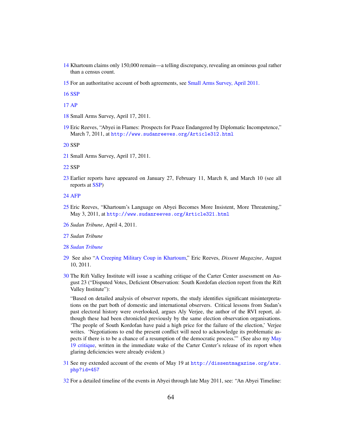- <span id="page-63-0"></span>[14](#page-11-1) Khartoum claims only 150,000 remain—a telling discrepancy, revealing an ominous goal rather than a census count.
- <span id="page-63-1"></span>[15](#page-11-2) For an authoritative account of both agreements, see [Small Arms Survey, April 2011.](http://www.smallarmssurveysudan.org/facts-figures-abyei.php)

<span id="page-63-2"></span>[16](#page-11-3) [SSP](http://www.satsentinel.org/reports-and-imagery/our-reports)

<span id="page-63-3"></span>[17](#page-12-0) [AP](http://articles.boston.com/2011-01-30/news/29346905_1_abyei-convoy-attacks)

- <span id="page-63-4"></span>[18](#page-12-1) Small Arms Survey, April 17, 2011.
- <span id="page-63-5"></span>[19](#page-12-2) Eric Reeves, "Abyei in Flames: Prospects for Peace Endangered by Diplomatic Incompetence," March 7, 2011, at <http://www.sudanreeves.org/Article312.html>

<span id="page-63-6"></span>[20](#page-12-3) SSP

<span id="page-63-7"></span>[21](#page-13-0) Small Arms Survey, April 17, 2011.

<span id="page-63-8"></span>[22](#page-13-1) SSP

<span id="page-63-9"></span>[23](#page-13-2) Earlier reports have appeared on January 27, February 11, March 8, and March 10 (see all reports at [SSP\)](http://www.satsentinel.org/reports-and-imagery/our-reports)

<span id="page-63-10"></span>[24](#page-13-3) [AFP](http://article.wn.com/view/2011/03/29/South_Sudan_landmines_threaten_aid_convoys_UN/)

- <span id="page-63-11"></span>[25](#page-13-4) Eric Reeves, "Khartoum's Language on Abyei Becomes More Insistent, More Threatening," May 3, 2011, at [http://www.sudanreeves.org/Article321.html](http://www.sudanreeves.org/Article321.html )
- <span id="page-63-12"></span>[26](#page-14-0) *Sudan Tribune*, April 4, 2011.
- <span id="page-63-13"></span>[27](#page-14-1) *Sudan Tribune*
- <span id="page-63-14"></span>[28](#page-14-2) *[Sudan Tribune](http://www.sudantribune.com/North-south-Sudan-agree-to,38581)*
- <span id="page-63-15"></span>[29](#page-15-0) See also ["A Creeping Military Coup in Khartoum,](http://www.sudanreeves.org/2011/12/30/2011/08/10/a-creeping-military-coup-in-khartoum-dissent-magazine-on-line-august-10-2011/)" Eric Reeves, *Dissent Magazine*, August 10, 2011.
- <span id="page-63-16"></span>[30](#page-15-1) The Rift Valley Institute will issue a scathing critique of the Carter Center assessment on August 23 ("Disputed Votes, Deficient Observation: South Kordofan election report from the Rift Valley Institute"):

"Based on detailed analysis of observer reports, the study identifies significant misinterpretations on the part both of domestic and international observers. Critical lessons from Sudan's past electoral history were overlooked, argues Aly Verjee, the author of the RVI report, although these had been chronicled previously by the same election observation organisations. 'The people of South Kordofan have paid a high price for the failure of the election,' Verjee writes. 'Negotiations to end the present conflict will need to acknowledge its problematic aspects if there is to be a chance of a resumption of the democratic process."' (See also my [May](http://www.sudanreeves.org/2011/12/30/2011/05/19/carter-center-fails-to-consider-key-issues-in-the-south-kordofan-gubernatorial-election/) [19 critique,](http://www.sudanreeves.org/2011/12/30/2011/05/19/carter-center-fails-to-consider-key-issues-in-the-south-kordofan-gubernatorial-election/) written in the immediate wake of the Carter Center's release of its report when glaring deficiencies were already evident.)

- <span id="page-63-17"></span>[31](#page-15-2) See my extended account of the events of May 19 at [http://dissentmagazine.org/atw.](http://dissentmagazine.org/atw.php?id=457) [php?id=457](http://dissentmagazine.org/atw.php?id=457)
- <span id="page-63-18"></span>[32](#page-15-3) For a detailed timeline of the events in Abyei through late May 2011, see: "An Abyei Timeline: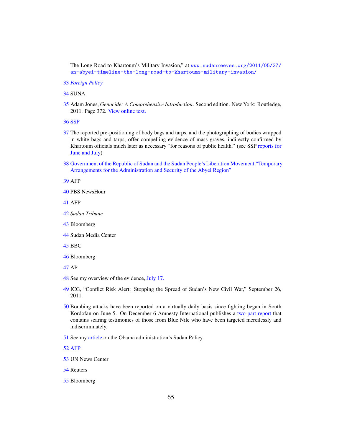The Long Road to Khartoum's Military Invasion," at [www.sudanreeves.org/2011/05/27/](www.sudanreeves.org/2011/05/27/an-abyei-timeline-the-long-road-to-khartoums-military-invasion/) [an-abyei-timeline-the-long-road-to-khartoums-military-invasion/](www.sudanreeves.org/2011/05/27/an-abyei-timeline-the-long-road-to-khartoums-military-invasion/)

- <span id="page-64-0"></span>*[Foreign Policy](http://www.foreignpolicy.com/articles/2011/05/26/sudan_falls_apart)*
- <span id="page-64-1"></span>SUNA
- <span id="page-64-2"></span> Adam Jones, *Genocide: A Comprehensive Introduction*. Second edition. New York: Routledge, 2011. Page 372. [View online text.](http://goo.gl/PVDL8)
- <span id="page-64-3"></span>[SSP](http://goo.gl/EBCTs)
- <span id="page-64-4"></span> The reported pre-positioning of body bags and tarps, and the photographing of bodies wrapped in white bags and tarps, offer compelling evidence of mass graves, indirectly confirmed by Khartoum officials much later as necessary "for reasons of public health." (see SSP [reports for](http://www.satsentinel.org/reports-and-imagery/our-reports) [June and July\)](http://www.satsentinel.org/reports-and-imagery/our-reports)
- <span id="page-64-5"></span> [Government of the Republic of Sudan and the Sudan People's Liberation Movement,"Temporary](http://www.sudantribune.com/Temporary-Arrangements-for-the,39767) [Arrangements for the Administration and Security of the Abyei Region"](http://www.sudantribune.com/Temporary-Arrangements-for-the,39767)
- <span id="page-64-6"></span>AFP
- <span id="page-64-7"></span>PBS NewsHour
- <span id="page-64-8"></span>AFP
- <span id="page-64-9"></span>*Sudan Tribune*
- <span id="page-64-10"></span>Bloomberg
- <span id="page-64-11"></span>Sudan Media Center
- <span id="page-64-12"></span>BBC
- <span id="page-64-13"></span>Bloomberg
- <span id="page-64-14"></span>AP
- <span id="page-64-15"></span>See my overview of the evidence, [July 17.](http://www.sudanreeves.org/2011/12/30/2011/07/17/us-un-refuse-to-speak-honestly-about-compelling-evidence-of-genocide-in-south-kordofan/)
- <span id="page-64-16"></span> ICG, "Conflict Risk Alert: Stopping the Spread of Sudan's New Civil War," September 26, 2011.
- <span id="page-64-17"></span> Bombing attacks have been reported on a virtually daily basis since fighting began in South Kordofan on June 5. On December 6 Amnesty International publishes a [two-part report](http://www.amnesty.be/libertes/spip.php?article209) that contains searing testimonies of those from Blue Nile who have been targeted mercilessly and indiscriminately.
- <span id="page-64-18"></span>See my [article](http://www.sudanreeves.org/2011/12/30/2011/10/10/what-really-animates-the-obama-administrations-sudan-policy/) on the Obama administration's Sudan Policy.
- <span id="page-64-19"></span>[AFP](http://reliefweb.int/node/444592)
- <span id="page-64-20"></span>UN News Center
- <span id="page-64-21"></span>Reuters
- <span id="page-64-22"></span>Bloomberg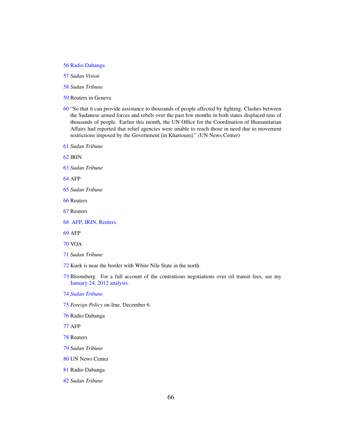- <span id="page-65-0"></span>[Radio Dabanga](http://www.radiodabanga.org/node/18422)
- <span id="page-65-1"></span>*Sudan Vision*
- <span id="page-65-2"></span>*Sudan Tribune*
- <span id="page-65-3"></span>Reuters in Geneva
- <span id="page-65-4"></span> "So that it can provide assistance to thousands of people affected by fighting. Clashes between the Sudanese armed forces and rebels over the past few months in both states displaced tens of thousands of people. Earlier this month, the UN Office for the Coordination of Humanitarian Affairs had reported that relief agencies were unable to reach those in need due to movement restrictions imposed by the Government [in Khartoum]." (UN News Center)
- <span id="page-65-5"></span>*Sudan Tribune*
- <span id="page-65-6"></span>IRIN
- <span id="page-65-7"></span>*Sudan Tribune*
- <span id="page-65-8"></span>AFP
- <span id="page-65-9"></span>*Sudan Tribune*
- <span id="page-65-10"></span>Reuters
- <span id="page-65-11"></span>Reuters
- <span id="page-65-12"></span>[AFP,](http://www.google.com/hostednews/afp/article/ALeqM5jh6CaKaSLSBmCOxHejQS7XG7AMaA?docId=CNG.a82b52e7bd3813cbcd907bbf111de5d6.f1) [IRIN,](http://www.irinnews.org/report.aspx?ReportId=93982) [Reuters.](http://af.reuters.com/article/topNews/idAFJOE79C0O420111013)
- <span id="page-65-13"></span>AFP
- <span id="page-65-14"></span>VOA
- <span id="page-65-15"></span>*Sudan Tribune*
- <span id="page-65-16"></span>Kuek is near the border with White Nile State in the north.
- <span id="page-65-17"></span> Bloomberg. For a full account of the contentious negotiations over oil transit fees, see my [January 24, 2012 analysis.](http://www.sudanreeves.org/2012/01/25/sudan-south-sudan-and-the-oil-revenues-controversy-khartoums-obstructionism-threatens-war/)
- <span id="page-65-18"></span>*[Sudan Tribune](http://www.sudantribune.com/S-Sudan-petitions-Security-Council,40923)*
- <span id="page-65-19"></span>*Foreign Policy* on-line, December 6.
- <span id="page-65-20"></span>Radio Dabanga
- <span id="page-65-21"></span>AFP
- <span id="page-65-22"></span>Reuters
- <span id="page-65-23"></span>*Sudan Tribune*
- <span id="page-65-24"></span>UN News Center
- <span id="page-65-25"></span>Radio Dabanga
- <span id="page-65-26"></span>*Sudan Tribune*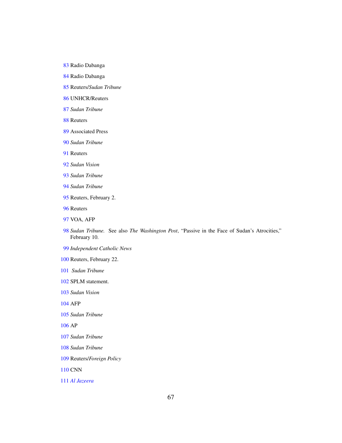- <span id="page-66-0"></span>Radio Dabanga
- <span id="page-66-1"></span>Radio Dabanga
- <span id="page-66-2"></span>Reuters/*Sudan Tribune*
- <span id="page-66-3"></span>UNHCR/Reuters
- <span id="page-66-4"></span>*Sudan Tribune*
- <span id="page-66-5"></span>Reuters
- <span id="page-66-6"></span>Associated Press
- <span id="page-66-7"></span>*Sudan Tribune*
- <span id="page-66-8"></span>Reuters
- <span id="page-66-9"></span>*Sudan Vision*
- <span id="page-66-10"></span>*Sudan Tribune*
- <span id="page-66-11"></span>*Sudan Tribune*
- <span id="page-66-12"></span>Reuters, February 2.
- <span id="page-66-13"></span>Reuters
- <span id="page-66-14"></span>VOA, AFP
- <span id="page-66-15"></span> *Sudan Tribune.* See also *The Washington Post*, "Passive in the Face of Sudan's Atrocities," February 10.
- <span id="page-66-16"></span>*Independent Catholic News*
- <span id="page-66-17"></span>Reuters, February 22.
- <span id="page-66-18"></span>*Sudan Tribune*
- <span id="page-66-19"></span>SPLM statement.
- <span id="page-66-20"></span>*Sudan Vision*
- <span id="page-66-21"></span>AFP
- <span id="page-66-22"></span>*Sudan Tribune*
- <span id="page-66-23"></span>AP
- <span id="page-66-24"></span>*Sudan Tribune*
- <span id="page-66-25"></span>*Sudan Tribune*
- <span id="page-66-26"></span>Reuters/*Foreign Policy*
- <span id="page-66-27"></span>CNN

<span id="page-66-28"></span>*[Al Jazeera](http://www.aljazeera.com/news/africa/2012/03/20123189523528780.html)*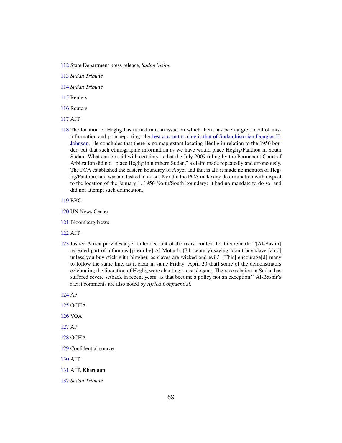<span id="page-67-0"></span>[112](#page-46-1) State Department press release, *Sudan Vision*

<span id="page-67-1"></span>[113](#page-46-2) *Sudan Tribune*

<span id="page-67-2"></span>[114](#page-47-0) *Sudan Tribune*

<span id="page-67-3"></span>[115](#page-48-0) Reuters

<span id="page-67-4"></span>[116](#page-48-1) Reuters

<span id="page-67-5"></span>[117](#page-48-2) AFP

<span id="page-67-6"></span>[118](#page-48-3) The location of Heglig has turned into an issue on which there has been a great deal of misinformation and poor reporting; the [best account to date is that of Sudan historian Douglas H.](http://www.sudanreeves.org/2012/05/03/sudan-historian-douglas-h-johnson-on-the-location-of-hegligpanthou/) [Johnson.](http://www.sudanreeves.org/2012/05/03/sudan-historian-douglas-h-johnson-on-the-location-of-hegligpanthou/) He concludes that there is no map extant locating Heglig in relation to the 1956 border, but that such ethnographic information as we have would place Heglig/Panthou in South Sudan. What can be said with certainty is that the July 2009 ruling by the Permanent Court of Arbitration did not "place Heglig in northern Sudan," a claim made repeatedly and erroneously. The PCA established the eastern boundary of Abyei and that is all; it made no mention of Heglig/Panthou, and was not tasked to do so. Nor did the PCA make any determination with respect to the location of the January 1, 1956 North/South boundary: it had no mandate to do so, and did not attempt such delineation.

<span id="page-67-7"></span>[119](#page-49-0) BBC

- <span id="page-67-8"></span>[120](#page-49-1) UN News Center
- <span id="page-67-9"></span>[121](#page-49-2) Bloomberg News
- <span id="page-67-10"></span>[122](#page-49-3) AFP
- <span id="page-67-11"></span>[123](#page-50-0) Justice Africa provides a yet fuller account of the racist context for this remark: "[Al-Bashir] repeated part of a famous [poem by] Al Motanbi (7th century) saying 'don't buy slave [abid] unless you buy stick with him/her, as slaves are wicked and evil.' [This] encourage[d] many to follow the same line, as it clear in same Friday [April 20 that] some of the demonstrators celebrating the liberation of Heglig were chanting racist slogans. The race relation in Sudan has suffered severe setback in recent years, as that become a policy not an exception." Al-Bashir's racist comments are also noted by *Africa Confidential*.
- <span id="page-67-12"></span>[124](#page-50-1) AP
- <span id="page-67-13"></span>[125](#page-50-2) OCHA
- <span id="page-67-14"></span>[126](#page-50-3) VOA
- <span id="page-67-15"></span>[127](#page-51-0) AP
- <span id="page-67-16"></span>[128](#page-51-1) OCHA
- <span id="page-67-17"></span>[129](#page-52-0) Confidential source
- <span id="page-67-18"></span>[130](#page-52-1) AFP
- <span id="page-67-19"></span>[131](#page-53-0) AFP, Khartoum
- <span id="page-67-20"></span>[132](#page-53-1) *Sudan Tribune*